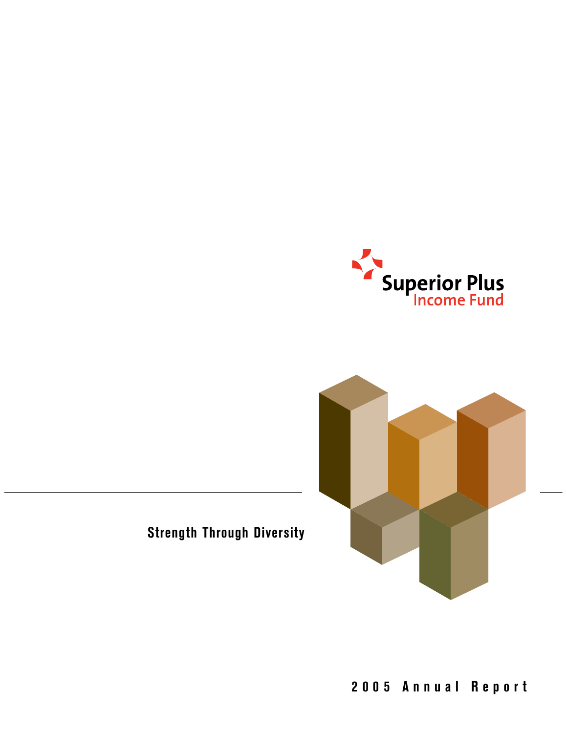



**Strength Through Diversity**

**2005 Annual Report**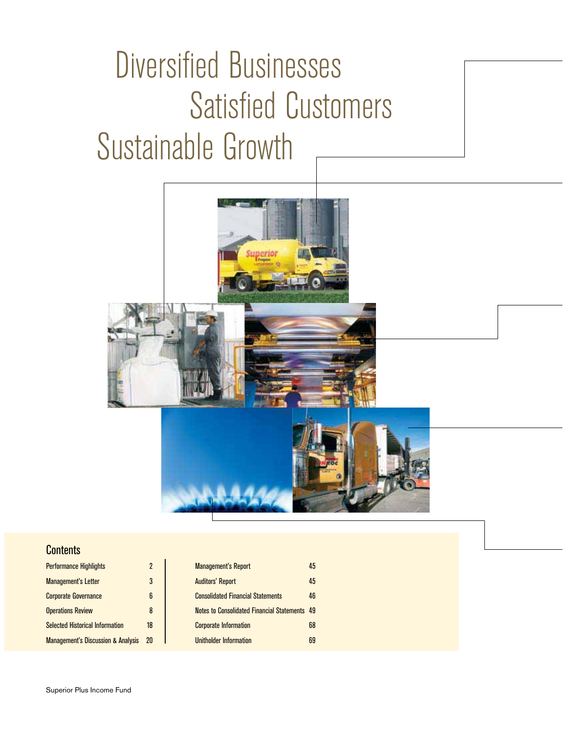# Diversified Businesses Satisfied Customers Sustainable Growth



#### **Contents**

| <b>Performance Highlights</b>                 |    | <b>Management's Report</b>                    | 45 |
|-----------------------------------------------|----|-----------------------------------------------|----|
| <b>Management's Letter</b>                    | 3  | <b>Auditors' Report</b>                       | 45 |
| <b>Corporate Governance</b>                   | 6  | <b>Consolidated Financial Statements</b>      | 46 |
| <b>Operations Review</b>                      | 8  | Notes to Consolidated Financial Statements 49 |    |
| <b>Selected Historical Information</b>        | 18 | <b>Corporate Information</b>                  | 68 |
| <b>Management's Discussion &amp; Analysis</b> | 20 | Unitholder Information                        | 69 |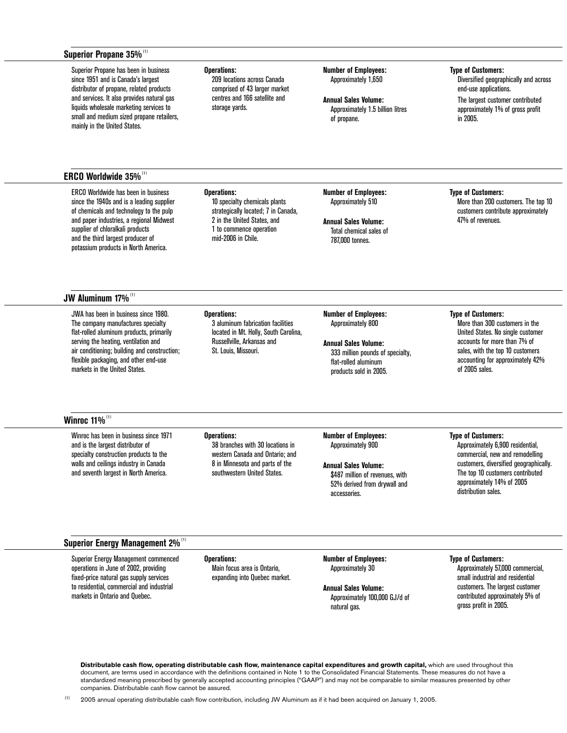#### Superior Propane 35%<sup>(1)</sup>

Superior Propane has been in business since 1951 and is Canada's largest distributor of propane, related products and services. It also provides natural gas liquids wholesale marketing services to small and medium sized propane retailers, mainly in the United States.

#### **ERCO Worldwide 35%**(1)

ERCO Worldwide has been in business since the 1940s and is a leading supplier of chemicals and technology to the pulp and paper industries, a regional Midwest supplier of chloralkali products and the third largest producer of potassium products in North America.

#### **JW Aluminum 17%**(1)

JWA has been in business since 1980. The company manufactures specialty flat-rolled aluminum products, primarily serving the heating, ventilation and air conditioning; building and construction; flexible packaging, and other end-use markets in the United States.

**Operations:**

**Operations:**

**Operations:**

storage yards.

209 locations across Canada comprised of 43 larger market centres and 166 satellite and

10 specialty chemicals plants strategically located; 7 in Canada, 2 in the United States, and 1 to commence operation mid-2006 in Chile.

3 aluminum fabrication facilities located in Mt. Holly, South Carolina, Russellville, Arkansas and St. Louis, Missouri.

**Number of Employees:** Approximately 1,650

**Annual Sales Volume:** Approximately 1.5 billion litres of propane.

**Number of Employees:**  Approximately 510

**Annual Sales Volume:** Total chemical sales of 787,000 tonnes.

#### **Type of Customers:**

Diversified geographically and across end-use applications. The largest customer contributed approximately 1% of gross profit in 2005.

**Type of Customers:**

More than 200 customers. The top 10 customers contribute approximately 47% of revenues.

**Number of Employees:** Approximately 800

**Annual Sales Volume:** 333 million pounds of specialty, flat-rolled aluminum products sold in 2005.

#### **Type of Customers:**

More than 300 customers in the United States. No single customer accounts for more than 7% of sales, with the top 10 customers accounting for approximately 42% of 2005 sales.

#### **Winroc 11%**<sup>(1)</sup>

Winroc has been in business since 1971 and is the largest distributor of specialty construction products to the walls and ceilings industry in Canada and seventh largest in North America.

#### **Operations:**

38 branches with 30 locations in western Canada and Ontario; and 8 in Minnesota and parts of the southwestern United States.

**Number of Employees:** Approximately 900

**Annual Sales Volume:** \$487 million of revenues, with 52% derived from drywall and accessories.

#### **Type of Customers:**

Approximately 6,900 residential, commercial, new and remodelling customers, diversified geographically. The top 10 customers contributed approximately 14% of 2005 distribution sales.

#### **Superior Energy Management 2%**(1)

Superior Energy Management commenced operations in June of 2002, providing fixed-price natural gas supply services to residential, commercial and industrial markets in Ontario and Quebec.

**Operations:** Main focus area is Ontario, expanding into Quebec market. **Number of Employees:** Approximately 30

**Annual Sales Volume:** Approximately 100,000 GJ/d of natural gas.

**Type of Customers:**

Approximately 57,000 commercial, small industrial and residential customers. The largest customer contributed approximately 5% of gross profit in 2005.

**Distributable cash flow, operating distributable cash flow, maintenance capital expenditures and growth capital,** which are used throughout this document, are terms used in accordance with the definitions contained in Note 1 to the Consolidated Financial Statements. These measures do not have a standardized meaning prescribed by generally accepted accounting principles ("GAAP") and may not be comparable to similar measures presented by other companies. Distributable cash flow cannot be assured.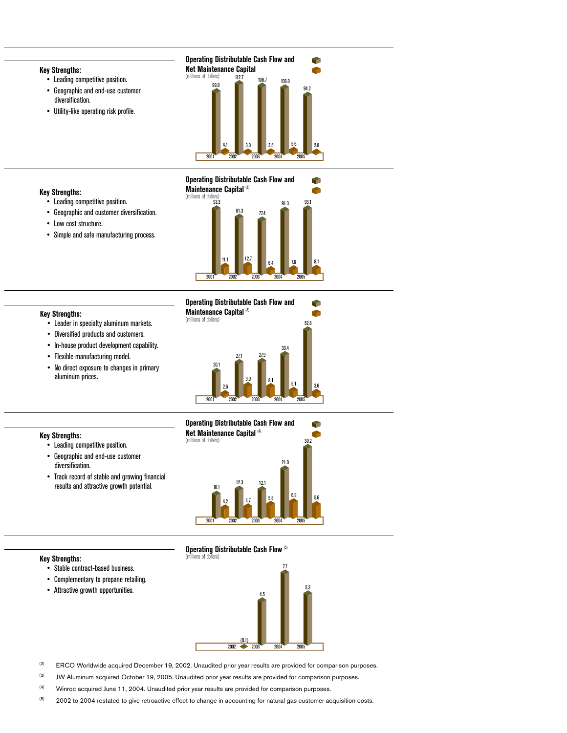#### **Key Strengths:**

- Leading competitive position.
- Geographic and end-use customer diversification.
- Utility-like operating risk profile.



93.1

Ĥ

P

91.3

#### **Operating Distributable Cash Flow and**

77.4 81.3

#### **Key Strengths:**

**Key Strengths:**

- Leading competitive position.
- Geographic and customer diversification.
- Low cost structure.
- Simple and safe manufacturing process.





2001

93.3 (millions of dollars)

**Maintenance Capital** (2)



- Diversified products and customers.
- In-house product development capability.
- Flexible manufacturing model.

• Leading competitive position. • Geographic and end-use customer

• No direct exposure to changes in primary aluminum prices.

• Track record of stable and growing financial



**11.1 12.7 6.4 7.6 8.1** 

2002 2003 2004 2005



#### results and attractive growth potential.

**Key Strengths:**

diversification.

#### **Key Strengths:**

- Stable contract-based business.
- Complementary to propane retailing.
- Attractive growth opportunities.



- <sup>(2)</sup> ERCO Worldwide acquired December 19, 2002. Unaudited prior year results are provided for comparison purposes.
- <sup>(3)</sup> JW Aluminum acquired October 19, 2005. Unaudited prior year results are provided for comparison purposes.
- (4) Winroc acquired June 11, 2004. Unaudited prior year results are provided for comparison purposes.
- $(5)$  2002 to 2004 restated to give retroactive effect to change in accounting for natural gas customer acquisition costs.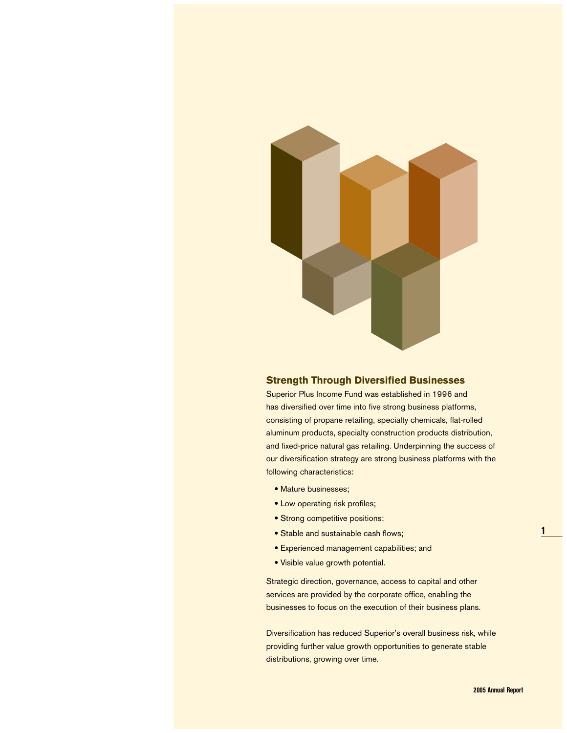

#### **Strength Through Diversified Businesses**

Superior Plus Income Fund was established in 1996 and has diversified over time into five strong business platforms, consisting of propane retailing, specialty chemicals, flat-rolled aluminum products, specialty construction products distribution, and fixed-price natural gas retailing. Underpinning the success of our diversification strategy are strong business platforms with the following characteristics:

- Mature businesses;
- Low operating risk profiles;
- Strong competitive positions;
- Stable and sustainable cash flows;
- Experienced management capabilities; and
- Visible value growth potential.

Strategic direction, governance, access to capital and other services are provided by the corporate office, enabling the businesses to focus on the execution of their business plans.

Diversification has reduced Superior's overall business risk, while providing further value growth opportunities to generate stable distributions, growing over time.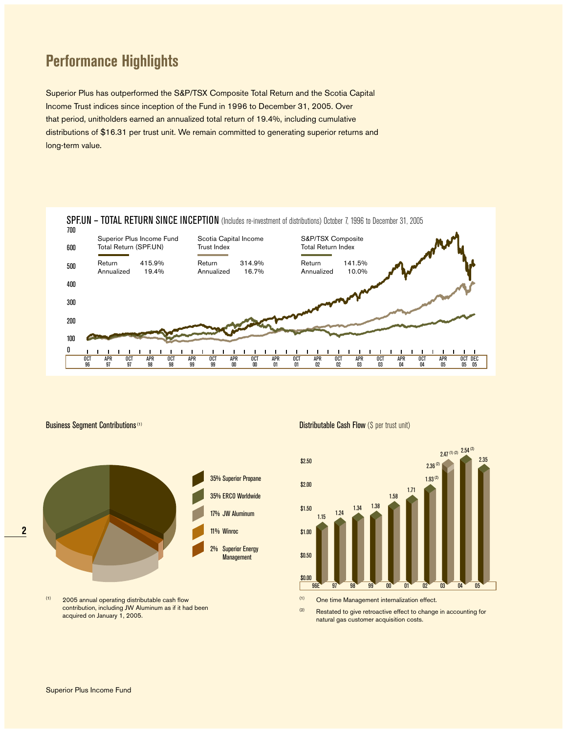## **Performance Highlights**

Superior Plus has outperformed the S&P/TSX Composite Total Return and the Scotia Capital Income Trust indices since inception of the Fund in 1996 to December 31, 2005. Over that period, unitholders earned an annualized total return of 19.4%, including cumulative distributions of \$16.31 per trust unit. We remain committed to generating superior returns and long-term value.





 $(1)$  2005 annual operating distributable cash flow contribution, including JW Aluminum as if it had been acquired on January 1, 2005.

Business Segment Contributions<sup>(1)</sup> Distributable Cash Flow (\$ per trust unit)



(1) One time Management internalization effect.

(2) Restated to give retroactive effect to change in accounting for natural gas customer acquisition costs.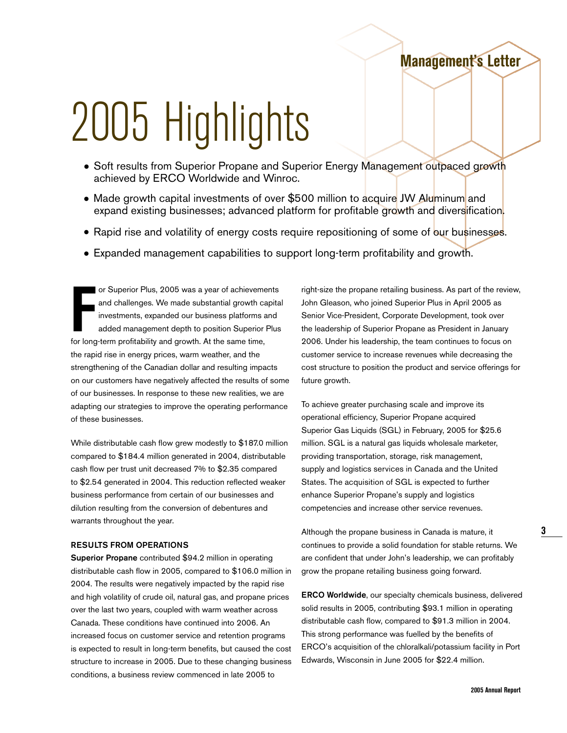## **Management's Letter**

# 2005 Highlights

- Soft results from Superior Propane and Superior Energy Management outpaced growth achieved by ERCO Worldwide and Winroc.
- Made growth capital investments of over \$500 million to acquire JW Aluminum and expand existing businesses; advanced platform for profitable growth and diversification.
- Rapid rise and volatility of energy costs require repositioning of some of our businesses.
- Expanded management capabilities to support long-term profitability and growth.

For Superior Plus, 2005 was a year of achievement and challenges. We made substantial growth can investments, expanded our business platforms a added management depth to position Superior loop-term profitability and growth or Superior Plus, 2005 was a year of achievements and challenges. We made substantial growth capital investments, expanded our business platforms and added management depth to position Superior Plus the rapid rise in energy prices, warm weather, and the strengthening of the Canadian dollar and resulting impacts on our customers have negatively affected the results of some of our businesses. In response to these new realities, we are adapting our strategies to improve the operating performance of these businesses.

While distributable cash flow grew modestly to \$187.0 million compared to \$184.4 million generated in 2004, distributable cash flow per trust unit decreased 7% to \$2.35 compared to \$2.54 generated in 2004. This reduction reflected weaker business performance from certain of our businesses and dilution resulting from the conversion of debentures and warrants throughout the year.

#### **RESULTS FROM OPERATIONS**

**Superior Propane** contributed \$94.2 million in operating distributable cash flow in 2005, compared to \$106.0 million in 2004. The results were negatively impacted by the rapid rise and high volatility of crude oil, natural gas, and propane prices over the last two years, coupled with warm weather across Canada. These conditions have continued into 2006. An increased focus on customer service and retention programs is expected to result in long-term benefits, but caused the cost structure to increase in 2005. Due to these changing business conditions, a business review commenced in late 2005 to

right-size the propane retailing business. As part of the review, John Gleason, who joined Superior Plus in April 2005 as Senior Vice-President, Corporate Development, took over the leadership of Superior Propane as President in January 2006. Under his leadership, the team continues to focus on customer service to increase revenues while decreasing the cost structure to position the product and service offerings for future growth.

To achieve greater purchasing scale and improve its operational efficiency, Superior Propane acquired Superior Gas Liquids (SGL) in February, 2005 for \$25.6 million. SGL is a natural gas liquids wholesale marketer, providing transportation, storage, risk management, supply and logistics services in Canada and the United States. The acquisition of SGL is expected to further enhance Superior Propane's supply and logistics competencies and increase other service revenues.

Although the propane business in Canada is mature, it continues to provide a solid foundation for stable returns. We are confident that under John's leadership, we can profitably grow the propane retailing business going forward.

**ERCO Worldwide**, our specialty chemicals business, delivered solid results in 2005, contributing \$93.1 million in operating distributable cash flow, compared to \$91.3 million in 2004. This strong performance was fuelled by the benefits of ERCO's acquisition of the chloralkali/potassium facility in Port Edwards, Wisconsin in June 2005 for \$22.4 million.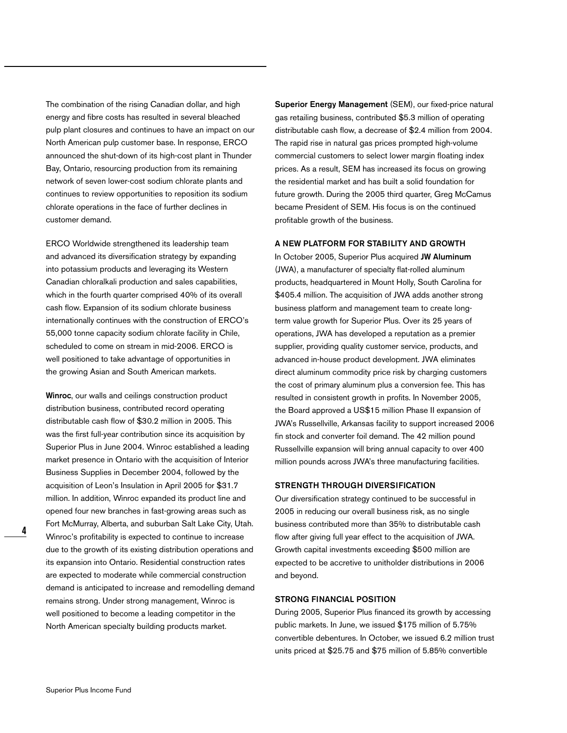The combination of the rising Canadian dollar, and high energy and fibre costs has resulted in several bleached pulp plant closures and continues to have an impact on our North American pulp customer base. In response, ERCO announced the shut-down of its high-cost plant in Thunder Bay, Ontario, resourcing production from its remaining network of seven lower-cost sodium chlorate plants and continues to review opportunities to reposition its sodium chlorate operations in the face of further declines in customer demand.

ERCO Worldwide strengthened its leadership team and advanced its diversification strategy by expanding into potassium products and leveraging its Western Canadian chloralkali production and sales capabilities, which in the fourth quarter comprised 40% of its overall cash flow. Expansion of its sodium chlorate business internationally continues with the construction of ERCO's 55,000 tonne capacity sodium chlorate facility in Chile, scheduled to come on stream in mid-2006. ERCO is well positioned to take advantage of opportunities in the growing Asian and South American markets.

**Winroc**, our walls and ceilings construction product distribution business, contributed record operating distributable cash flow of \$30.2 million in 2005. This was the first full-year contribution since its acquisition by Superior Plus in June 2004. Winroc established a leading market presence in Ontario with the acquisition of Interior Business Supplies in December 2004, followed by the acquisition of Leon's Insulation in April 2005 for \$31.7 million. In addition, Winroc expanded its product line and opened four new branches in fast-growing areas such as Fort McMurray, Alberta, and suburban Salt Lake City, Utah. Winroc's profitability is expected to continue to increase due to the growth of its existing distribution operations and its expansion into Ontario. Residential construction rates are expected to moderate while commercial construction demand is anticipated to increase and remodelling demand remains strong. Under strong management, Winroc is well positioned to become a leading competitor in the North American specialty building products market.

**Superior Energy Management** (SEM), our fixed-price natural gas retailing business, contributed \$5.3 million of operating distributable cash flow, a decrease of \$2.4 million from 2004. The rapid rise in natural gas prices prompted high-volume commercial customers to select lower margin floating index prices. As a result, SEM has increased its focus on growing the residential market and has built a solid foundation for future growth. During the 2005 third quarter, Greg McCamus became President of SEM. His focus is on the continued profitable growth of the business.

#### **A NEW PLATFORM FOR STABILITY AND GROWTH**

In October 2005, Superior Plus acquired **JW Aluminum** (JWA), a manufacturer of specialty flat-rolled aluminum products, headquartered in Mount Holly, South Carolina for \$405.4 million. The acquisition of JWA adds another strong business platform and management team to create longterm value growth for Superior Plus. Over its 25 years of operations, JWA has developed a reputation as a premier supplier, providing quality customer service, products, and advanced in-house product development. JWA eliminates direct aluminum commodity price risk by charging customers the cost of primary aluminum plus a conversion fee. This has resulted in consistent growth in profits. In November 2005, the Board approved a US\$15 million Phase II expansion of JWA's Russellville, Arkansas facility to support increased 2006 fin stock and converter foil demand. The 42 million pound Russellville expansion will bring annual capacity to over 400 million pounds across JWA's three manufacturing facilities.

#### **STRENGTH THROUGH DIVERSIFICATION**

Our diversification strategy continued to be successful in 2005 in reducing our overall business risk, as no single business contributed more than 35% to distributable cash flow after giving full year effect to the acquisition of JWA. Growth capital investments exceeding \$500 million are expected to be accretive to unitholder distributions in 2006 and beyond.

#### **STRONG FINANCIAL POSITION**

During 2005, Superior Plus financed its growth by accessing public markets. In June, we issued \$175 million of 5.75% convertible debentures. In October, we issued 6.2 million trust units priced at \$25.75 and \$75 million of 5.85% convertible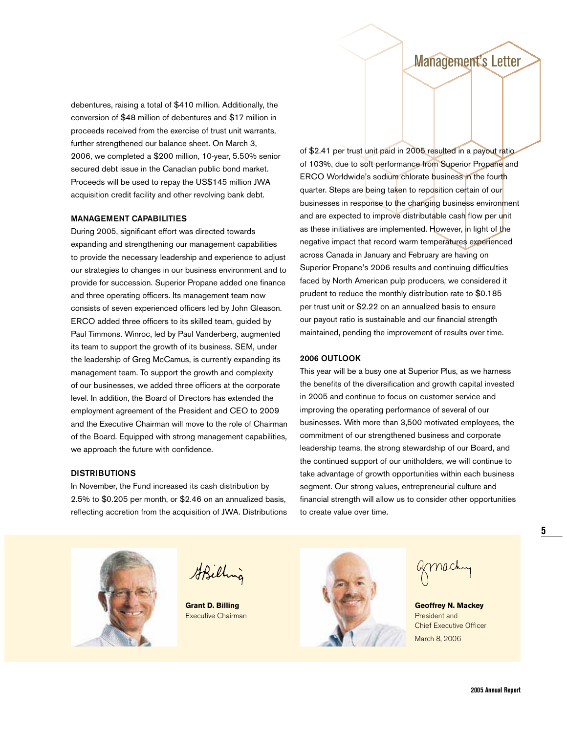## Management's Letter

debentures, raising a total of \$410 million. Additionally, the conversion of \$48 million of debentures and \$17 million in proceeds received from the exercise of trust unit warrants, further strengthened our balance sheet. On March 3, 2006, we completed a \$200 million, 10-year, 5.50% senior secured debt issue in the Canadian public bond market. Proceeds will be used to repay the US\$145 million JWA acquisition credit facility and other revolving bank debt.

#### **MANAGEMENT CAPABILITIES**

During 2005, significant effort was directed towards expanding and strengthening our management capabilities to provide the necessary leadership and experience to adjust our strategies to changes in our business environment and to provide for succession. Superior Propane added one finance and three operating officers. Its management team now consists of seven experienced officers led by John Gleason. ERCO added three officers to its skilled team, guided by Paul Timmons. Winroc, led by Paul Vanderberg, augmented its team to support the growth of its business. SEM, under the leadership of Greg McCamus, is currently expanding its management team. To support the growth and complexity of our businesses, we added three officers at the corporate level. In addition, the Board of Directors has extended the employment agreement of the President and CEO to 2009 and the Executive Chairman will move to the role of Chairman of the Board. Equipped with strong management capabilities, we approach the future with confidence.

#### of \$2.41 per trust unit paid in 2005 resulted in a payout ratio of 103%, due to soft performance from Superior Propane and ERCO Worldwide's sodium chlorate business in the fourth quarter. Steps are being taken to reposition certain of our businesses in response to the changing business environment and are expected to improve distributable cash flow per unit as these initiatives are implemented. However, in light of the negative impact that record warm temperatures experienced across Canada in January and February are having on Superior Propane's 2006 results and continuing difficulties faced by North American pulp producers, we considered it prudent to reduce the monthly distribution rate to \$0.185 per trust unit or \$2.22 on an annualized basis to ensure our payout ratio is sustainable and our financial strength maintained, pending the improvement of results over time.

#### **2006 OUTLOOK**

This year will be a busy one at Superior Plus, as we harness the benefits of the diversification and growth capital invested in 2005 and continue to focus on customer service and improving the operating performance of several of our businesses. With more than 3,500 motivated employees, the commitment of our strengthened business and corporate leadership teams, the strong stewardship of our Board, and the continued support of our unitholders, we will continue to take advantage of growth opportunities within each business segment. Our strong values, entrepreneurial culture and financial strength will allow us to consider other opportunities to create value over time.



In November, the Fund increased its cash distribution by 2.5% to \$0.205 per month, or \$2.46 on an annualized basis, reflecting accretion from the acquisition of JWA. Distributions



StBilling



Chief Executive Officer March 8, 2006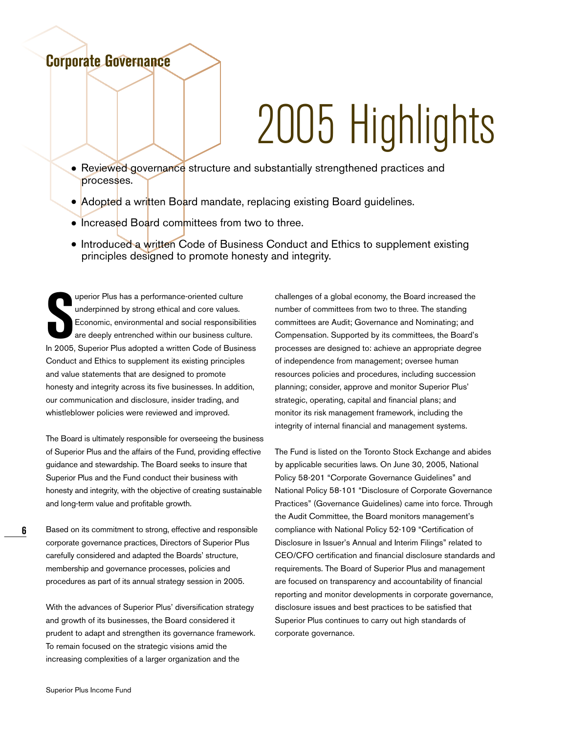## **Corporate Governance**

# 2005 Highlights

- Reviewed governance structure and substantially strengthened practices and processes.
- Adopted a written Board mandate, replacing existing Board guidelines.
- Increased Board committees from two to three.
- Introduced a written Code of Business Conduct and Ethics to supplement existing principles designed to promote honesty and integrity.

uperior Plus has a performance-oriented culture<br>
underpinned by strong ethical and core values.<br>
Economic, environmental and social responsibilities<br>
are deeply entrenched within our business culture.<br>
In 2005, Superior Pl uperior Plus has a performance-oriented culture underpinned by strong ethical and core values. Economic, environmental and social responsibilities are deeply entrenched within our business culture. Conduct and Ethics to supplement its existing principles and value statements that are designed to promote honesty and integrity across its five businesses. In addition, our communication and disclosure, insider trading, and whistleblower policies were reviewed and improved.

The Board is ultimately responsible for overseeing the business of Superior Plus and the affairs of the Fund, providing effective guidance and stewardship. The Board seeks to insure that Superior Plus and the Fund conduct their business with honesty and integrity, with the objective of creating sustainable and long-term value and profitable growth.

Based on its commitment to strong, effective and responsible corporate governance practices, Directors of Superior Plus carefully considered and adapted the Boards' structure, membership and governance processes, policies and procedures as part of its annual strategy session in 2005.

With the advances of Superior Plus' diversification strategy and growth of its businesses, the Board considered it prudent to adapt and strengthen its governance framework. To remain focused on the strategic visions amid the increasing complexities of a larger organization and the

challenges of a global economy, the Board increased the number of committees from two to three. The standing committees are Audit; Governance and Nominating; and Compensation. Supported by its committees, the Board's processes are designed to: achieve an appropriate degree of independence from management; oversee human resources policies and procedures, including succession planning; consider, approve and monitor Superior Plus' strategic, operating, capital and financial plans; and monitor its risk management framework, including the integrity of internal financial and management systems.

The Fund is listed on the Toronto Stock Exchange and abides by applicable securities laws. On June 30, 2005, National Policy 58-201 "Corporate Governance Guidelines" and National Policy 58-101 "Disclosure of Corporate Governance Practices" (Governance Guidelines) came into force. Through the Audit Committee, the Board monitors management's compliance with National Policy 52-109 "Certification of Disclosure in Issuer's Annual and Interim Filings" related to CEO/CFO certification and financial disclosure standards and requirements. The Board of Superior Plus and management are focused on transparency and accountability of financial reporting and monitor developments in corporate governance, disclosure issues and best practices to be satisfied that Superior Plus continues to carry out high standards of corporate governance.

**6**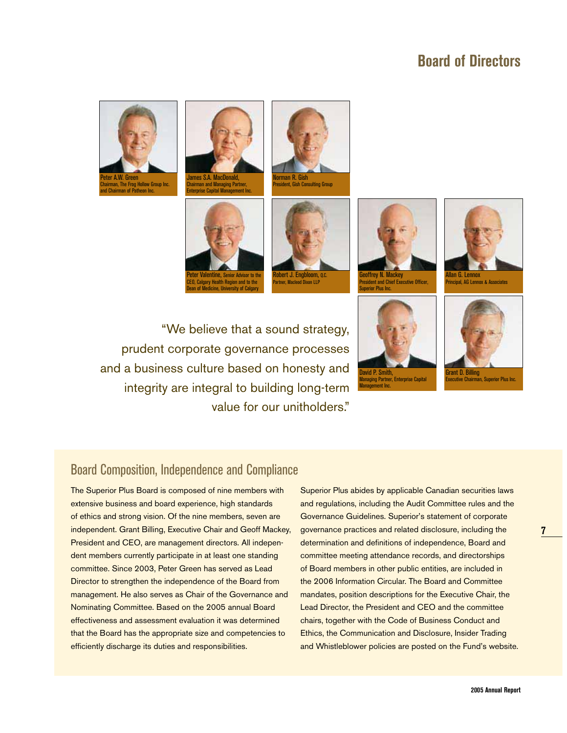## **Board of Directors**











Norman R. Gish President, Gish Consulting Group







llan G. Len **Principal, AG Lennox & Associate** 

"We believe that a sound strategy, prudent corporate governance processes and a business culture based on honesty and integrity are integral to building long-term value for our unitholders."





### Board Composition, Independence and Compliance

The Superior Plus Board is composed of nine members with extensive business and board experience, high standards of ethics and strong vision. Of the nine members, seven are independent. Grant Billing, Executive Chair and Geoff Mackey, President and CEO, are management directors. All independent members currently participate in at least one standing committee. Since 2003, Peter Green has served as Lead Director to strengthen the independence of the Board from management. He also serves as Chair of the Governance and Nominating Committee. Based on the 2005 annual Board effectiveness and assessment evaluation it was determined that the Board has the appropriate size and competencies to efficiently discharge its duties and responsibilities.

Superior Plus abides by applicable Canadian securities laws and regulations, including the Audit Committee rules and the Governance Guidelines. Superior's statement of corporate governance practices and related disclosure, including the determination and definitions of independence, Board and committee meeting attendance records, and directorships of Board members in other public entities, are included in the 2006 Information Circular. The Board and Committee mandates, position descriptions for the Executive Chair, the Lead Director, the President and CEO and the committee chairs, together with the Code of Business Conduct and Ethics, the Communication and Disclosure, Insider Trading and Whistleblower policies are posted on the Fund's website.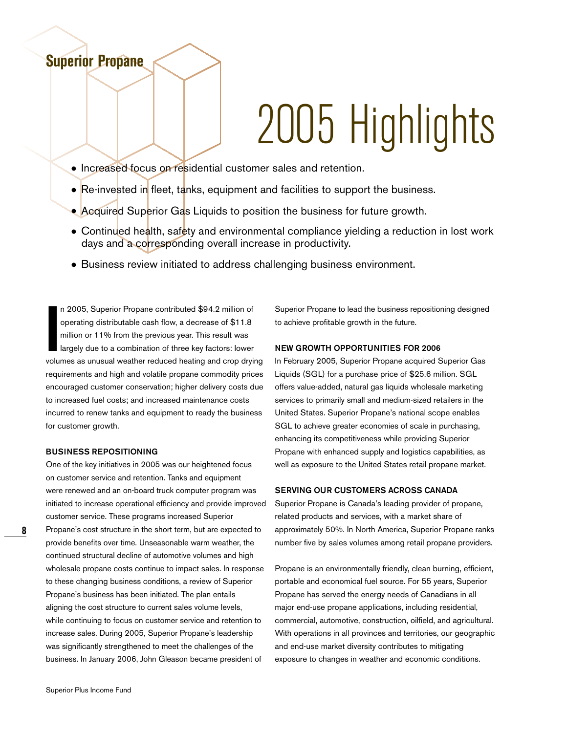# 2005 Highlights

- Increased focus on residential customer sales and retention.
- Re-invested in fleet, tanks, equipment and facilities to support the business.
- Acquired Superior Gas Liquids to position the business for future growth.
- Continued health, safety and environmental compliance yielding a reduction in lost work days and a corresponding overall increase in productivity.
- Business review initiated to address challenging business environment.

**II** n 2005, Superior Propane contributed \$94.2 million of operating distributable cash flow, a decrease of \$11.8 million or 11% from the previous year. This result was largely due to a combination of three key factors: lo n 2005, Superior Propane contributed \$94.2 million of operating distributable cash flow, a decrease of \$11.8 million or 11% from the previous year. This result was largely due to a combination of three key factors: lower requirements and high and volatile propane commodity prices encouraged customer conservation; higher delivery costs due to increased fuel costs; and increased maintenance costs incurred to renew tanks and equipment to ready the business for customer growth.

#### **BUSINESS REPOSITIONING**

**Superior Propane**

One of the key initiatives in 2005 was our heightened focus on customer service and retention. Tanks and equipment were renewed and an on-board truck computer program was initiated to increase operational efficiency and provide improved customer service. These programs increased Superior Propane's cost structure in the short term, but are expected to provide benefits over time. Unseasonable warm weather, the continued structural decline of automotive volumes and high wholesale propane costs continue to impact sales. In response to these changing business conditions, a review of Superior Propane's business has been initiated. The plan entails aligning the cost structure to current sales volume levels, while continuing to focus on customer service and retention to increase sales. During 2005, Superior Propane's leadership was significantly strengthened to meet the challenges of the business. In January 2006, John Gleason became president of

Superior Propane to lead the business repositioning designed to achieve profitable growth in the future.

#### **NEW GROWTH OPPORTUNITIES FOR 2006**

In February 2005, Superior Propane acquired Superior Gas Liquids (SGL) for a purchase price of \$25.6 million. SGL offers value-added, natural gas liquids wholesale marketing services to primarily small and medium-sized retailers in the United States. Superior Propane's national scope enables SGL to achieve greater economies of scale in purchasing, enhancing its competitiveness while providing Superior Propane with enhanced supply and logistics capabilities, as well as exposure to the United States retail propane market.

#### **SERVING OUR CUSTOMERS ACROSS CANADA**

Superior Propane is Canada's leading provider of propane, related products and services, with a market share of approximately 50%. In North America, Superior Propane ranks number five by sales volumes among retail propane providers.

Propane is an environmentally friendly, clean burning, efficient, portable and economical fuel source. For 55 years, Superior Propane has served the energy needs of Canadians in all major end-use propane applications, including residential, commercial, automotive, construction, oilfield, and agricultural. With operations in all provinces and territories, our geographic and end-use market diversity contributes to mitigating exposure to changes in weather and economic conditions.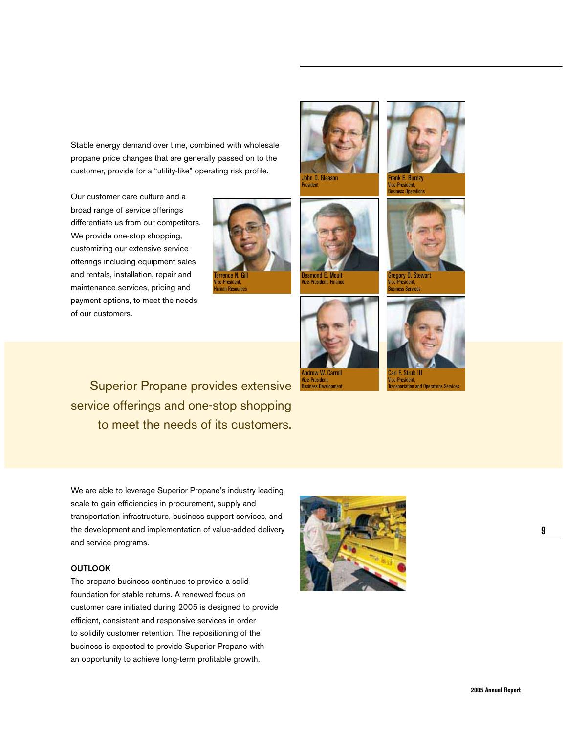Stable energy demand over time, combined with wholesale propane price changes that are generally passed on to the customer, provide for a "utility-like" operating risk profile.

Our customer care culture and a broad range of service offerings differentiate us from our competitors. We provide one-stop shopping, customizing our extensive service offerings including equipment sales and rentals, installation, repair and maintenance services, pricing and payment options, to meet the needs of our customers.







Vice-President, Business Operations



orv D. Stew Vice-President, Business Services



Desmond E. Moult **Ce-President, Finance** 



Transportation and Operations Services

Superior Propane provides extensive service offerings and one-stop shopping to meet the needs of its customers.

We are able to leverage Superior Propane's industry leading scale to gain efficiencies in procurement, supply and transportation infrastructure, business support services, and the development and implementation of value-added delivery and service programs.

#### **OUTLOOK**

The propane business continues to provide a solid foundation for stable returns. A renewed focus on customer care initiated during 2005 is designed to provide efficient, consistent and responsive services in order to solidify customer retention. The repositioning of the business is expected to provide Superior Propane with an opportunity to achieve long-term profitable growth.



**9**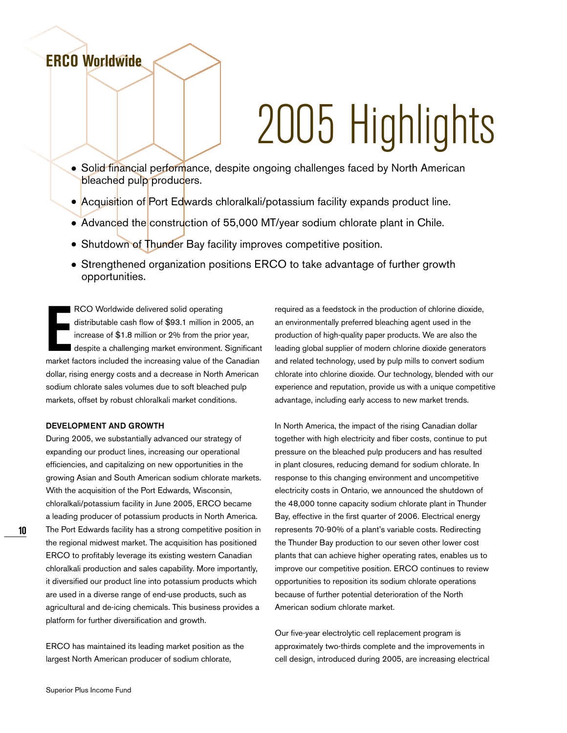# 2005 Highlights

- Solid financial performance, despite ongoing challenges faced by North American bleached pulp producers.
- Acquisition of Port Edwards chloralkali/potassium facility expands product line.
- Advanced the construction of 55,000 MT/year sodium chlorate plant in Chile.
- Shutdown of Thunder Bay facility improves competitive position.
- Strengthened organization positions ERCO to take advantage of further growth opportunities.

**ECO** Worldwide delivered solid operating<br>distributable cash flow of \$93.1 million in 2005, an<br>increase of \$1.8 million or 2% from the prior year,<br>despite a challenging market environment. Significant<br>market factors includ RCO Worldwide delivered solid operating distributable cash flow of \$93.1 million in 2005, an increase of \$1.8 million or 2% from the prior year, despite a challenging market environment. Significant dollar, rising energy costs and a decrease in North American sodium chlorate sales volumes due to soft bleached pulp markets, offset by robust chloralkali market conditions.

#### **DEVELOPMENT AND GROWTH**

**ERCO Worldwide**

During 2005, we substantially advanced our strategy of expanding our product lines, increasing our operational efficiencies, and capitalizing on new opportunities in the growing Asian and South American sodium chlorate markets. With the acquisition of the Port Edwards, Wisconsin, chloralkali/potassium facility in June 2005, ERCO became a leading producer of potassium products in North America. The Port Edwards facility has a strong competitive position in the regional midwest market. The acquisition has positioned ERCO to profitably leverage its existing western Canadian chloralkali production and sales capability. More importantly, it diversified our product line into potassium products which are used in a diverse range of end-use products, such as agricultural and de-icing chemicals. This business provides a platform for further diversification and growth.

ERCO has maintained its leading market position as the largest North American producer of sodium chlorate,

required as a feedstock in the production of chlorine dioxide, an environmentally preferred bleaching agent used in the production of high-quality paper products. We are also the leading global supplier of modern chlorine dioxide generators and related technology, used by pulp mills to convert sodium chlorate into chlorine dioxide. Our technology, blended with our experience and reputation, provide us with a unique competitive advantage, including early access to new market trends.

In North America, the impact of the rising Canadian dollar together with high electricity and fiber costs, continue to put pressure on the bleached pulp producers and has resulted in plant closures, reducing demand for sodium chlorate. In response to this changing environment and uncompetitive electricity costs in Ontario, we announced the shutdown of the 48,000 tonne capacity sodium chlorate plant in Thunder Bay, effective in the first quarter of 2006. Electrical energy represents 70-90% of a plant's variable costs. Redirecting the Thunder Bay production to our seven other lower cost plants that can achieve higher operating rates, enables us to improve our competitive position. ERCO continues to review opportunities to reposition its sodium chlorate operations because of further potential deterioration of the North American sodium chlorate market.

Our five-year electrolytic cell replacement program is approximately two-thirds complete and the improvements in cell design, introduced during 2005, are increasing electrical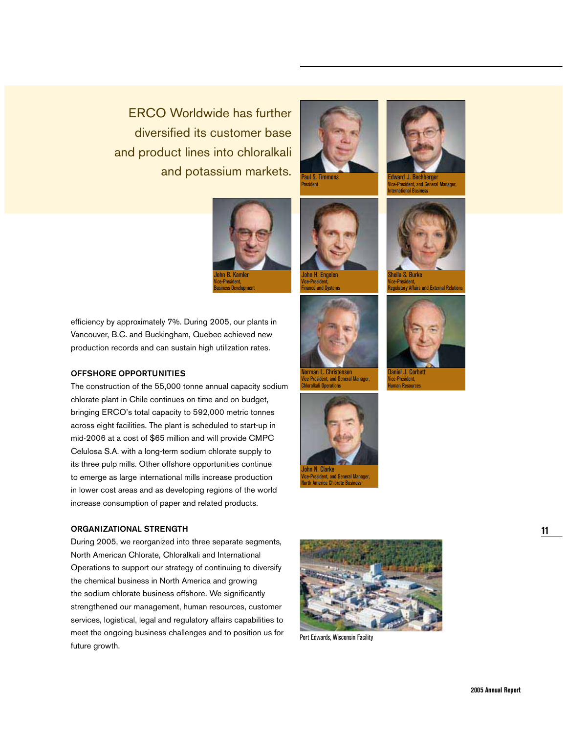ERCO Worldwide has further diversified its customer base and product lines into chloralkali and potassium markets.

> John B. Kamler Vice-President, Business Development







efficiency by approximately 7%. During 2005, our plants in Vancouver, B.C. and Buckingham, Quebec achieved new production records and can sustain high utilization rates.

#### **OFFSHORE OPPORTUNITIES**

The construction of the 55,000 tonne annual capacity sodium chlorate plant in Chile continues on time and on budget, bringing ERCO's total capacity to 592,000 metric tonnes across eight facilities. The plant is scheduled to start-up in mid-2006 at a cost of \$65 million and will provide CMPC Celulosa S.A. with a long-term sodium chlorate supply to its three pulp mills. Other offshore opportunities continue to emerge as large international mills increase production in lower cost areas and as developing regions of the world increase consumption of paper and related products.

#### **ORGANIZATIONAL STRENGTH**

During 2005, we reorganized into three separate segments, North American Chlorate, Chloralkali and International Operations to support our strategy of continuing to diversify the chemical business in North America and growing the sodium chlorate business offshore. We significantly strengthened our management, human resources, customer services, logistical, legal and regulatory affairs capabilities to meet the ongoing business challenges and to position us for future growth.





Chloralkali Operations

**Prica Chlorate Busi** 



Port Edwards, Wisconsin Facility



Edward J. Bechberger Vice-President, and General Manager, International Business



Vice-President, and Exte

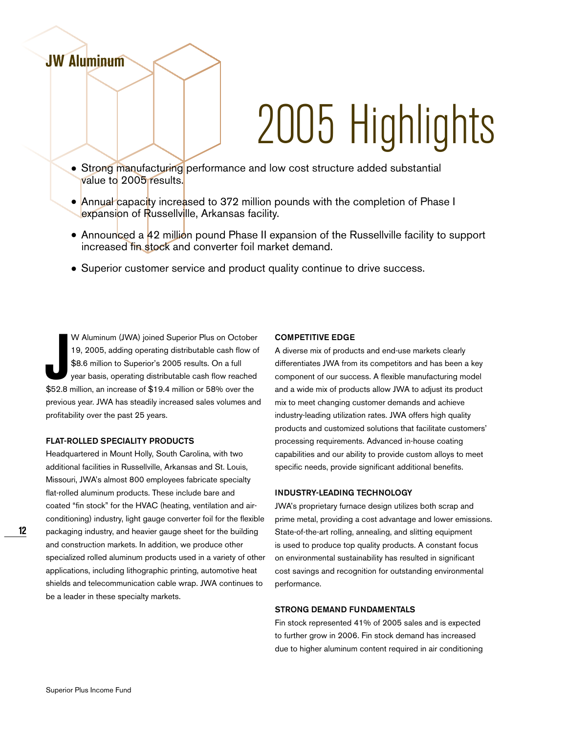# 2005 Highlights

- Strong manufacturing performance and low cost structure added substantial value to 2005 results.
- Annual capacity increased to 372 million pounds with the completion of Phase I expansion of Russellville, Arkansas facility.
- Announced a 42 million pound Phase II expansion of the Russellville facility to support increased fin stock and converter foil market demand.
- Superior customer service and product quality continue to drive success.

**Journal CE Superior Plus on October 19, 2005, adding operating distributable cash flow of \$8.6 million to Superior's 2005 results. On a full year basis, operating distributable cash flow reached \$52.8 million, an increase** W Aluminum (JWA) joined Superior Plus on October 19, 2005, adding operating distributable cash flow of \$8.6 million to Superior's 2005 results. On a full year basis, operating distributable cash flow reached previous year. JWA has steadily increased sales volumes and profitability over the past 25 years.

#### **FLAT-ROLLED SPECIALITY PRODUCTS**

**JW Aluminum**

Headquartered in Mount Holly, South Carolina, with two additional facilities in Russellville, Arkansas and St. Louis, Missouri, JWA's almost 800 employees fabricate specialty flat-rolled aluminum products. These include bare and coated "fin stock" for the HVAC (heating, ventilation and airconditioning) industry, light gauge converter foil for the flexible packaging industry, and heavier gauge sheet for the building and construction markets. In addition, we produce other specialized rolled aluminum products used in a variety of other applications, including lithographic printing, automotive heat shields and telecommunication cable wrap. JWA continues to be a leader in these specialty markets.

#### **COMPETITIVE EDGE**

A diverse mix of products and end-use markets clearly differentiates JWA from its competitors and has been a key component of our success. A flexible manufacturing model and a wide mix of products allow JWA to adjust its product mix to meet changing customer demands and achieve industry-leading utilization rates. JWA offers high quality products and customized solutions that facilitate customers' processing requirements. Advanced in-house coating capabilities and our ability to provide custom alloys to meet specific needs, provide significant additional benefits.

#### **INDUSTRY-LEADING TECHNOLOGY**

JWA's proprietary furnace design utilizes both scrap and prime metal, providing a cost advantage and lower emissions. State-of-the-art rolling, annealing, and slitting equipment is used to produce top quality products. A constant focus on environmental sustainability has resulted in significant cost savings and recognition for outstanding environmental performance.

#### **STRONG DEMAND FUNDAMENTALS**

Fin stock represented 41% of 2005 sales and is expected to further grow in 2006. Fin stock demand has increased due to higher aluminum content required in air conditioning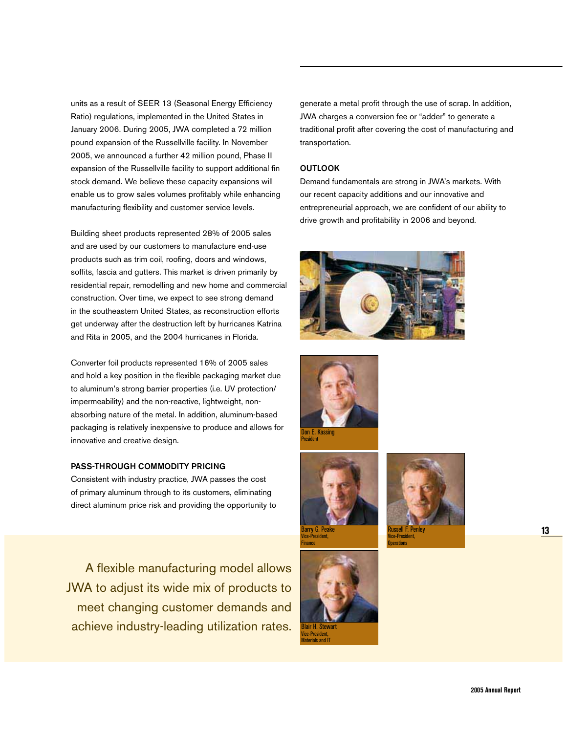units as a result of SEER 13 (Seasonal Energy Efficiency Ratio) regulations, implemented in the United States in January 2006. During 2005, JWA completed a 72 million pound expansion of the Russellville facility. In November 2005, we announced a further 42 million pound, Phase II expansion of the Russellville facility to support additional fin stock demand. We believe these capacity expansions will enable us to grow sales volumes profitably while enhancing manufacturing flexibility and customer service levels.

Building sheet products represented 28% of 2005 sales and are used by our customers to manufacture end-use products such as trim coil, roofing, doors and windows, soffits, fascia and gutters. This market is driven primarily by residential repair, remodelling and new home and commercial construction. Over time, we expect to see strong demand in the southeastern United States, as reconstruction efforts get underway after the destruction left by hurricanes Katrina and Rita in 2005, and the 2004 hurricanes in Florida.

Converter foil products represented 16% of 2005 sales and hold a key position in the flexible packaging market due to aluminum's strong barrier properties (i.e. UV protection/ impermeability) and the non-reactive, lightweight, nonabsorbing nature of the metal. In addition, aluminum-based packaging is relatively inexpensive to produce and allows for innovative and creative design.

#### **PASS-THROUGH COMMODITY PRICING**

Consistent with industry practice, JWA passes the cost of primary aluminum through to its customers, eliminating direct aluminum price risk and providing the opportunity to

A flexible manufacturing model allows JWA to adjust its wide mix of products to meet changing customer demands and achieve industry-leading utilization rates.

generate a metal profit through the use of scrap. In addition, JWA charges a conversion fee or "adder" to generate a traditional profit after covering the cost of manufacturing and transportation.

#### **OUTLOOK**

Demand fundamentals are strong in JWA's markets. With our recent capacity additions and our innovative and entrepreneurial approach, we are confident of our ability to drive growth and profitability in 2006 and beyond.











Finance

Vice-President, Materials and IT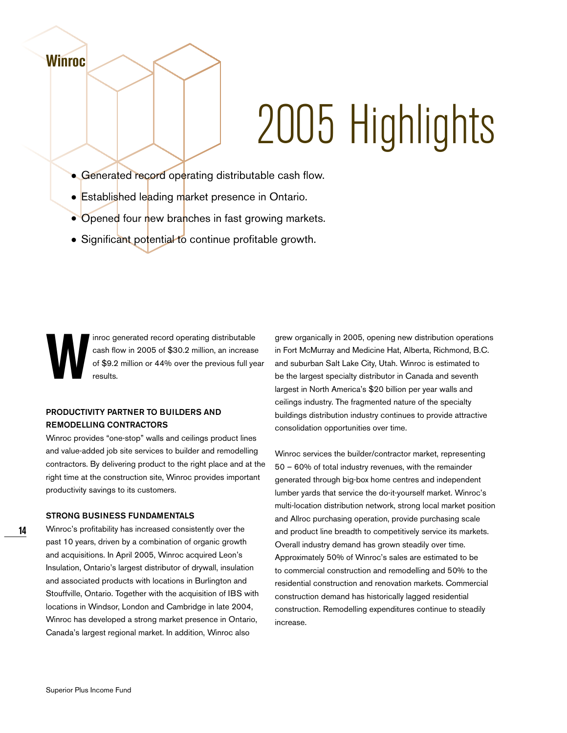# 2005 Highlights

- Generated record operating distributable cash flow.
- Established leading market presence in Ontario.
- Opened four new branches in fast growing markets.
- Significant potential to continue profitable growth.

inroc generated record operating distributable<br>cash flow in 2005 of \$30.2 million, an increase<br>of \$9.2 million or 44% over the previous full ye<br>results. cash flow in 2005 of \$30.2 million, an increase of \$9.2 million or 44% over the previous full year results.

#### **PRODUCTIVITY PARTNER TO BUILDERS AND REMODELLING CONTRACTORS**

Winroc provides "one-stop" walls and ceilings product lines and value-added job site services to builder and remodelling contractors. By delivering product to the right place and at the right time at the construction site, Winroc provides important productivity savings to its customers.

#### **STRONG BUSINESS FUNDAMENTALS**

Winroc's profitability has increased consistently over the past 10 years, driven by a combination of organic growth and acquisitions. In April 2005, Winroc acquired Leon's Insulation, Ontario's largest distributor of drywall, insulation and associated products with locations in Burlington and Stouffville, Ontario. Together with the acquisition of IBS with locations in Windsor, London and Cambridge in late 2004, Winroc has developed a strong market presence in Ontario, Canada's largest regional market. In addition, Winroc also

grew organically in 2005, opening new distribution operations in Fort McMurray and Medicine Hat, Alberta, Richmond, B.C. and suburban Salt Lake City, Utah. Winroc is estimated to be the largest specialty distributor in Canada and seventh largest in North America's \$20 billion per year walls and ceilings industry. The fragmented nature of the specialty buildings distribution industry continues to provide attractive consolidation opportunities over time.

Winroc services the builder/contractor market, representing 50 – 60% of total industry revenues, with the remainder generated through big-box home centres and independent lumber yards that service the do-it-yourself market. Winroc's multi-location distribution network, strong local market position and Allroc purchasing operation, provide purchasing scale and product line breadth to competitively service its markets. Overall industry demand has grown steadily over time. Approximately 50% of Winroc's sales are estimated to be to commercial construction and remodelling and 50% to the residential construction and renovation markets. Commercial construction demand has historically lagged residential construction. Remodelling expenditures continue to steadily increase.

**Winroc**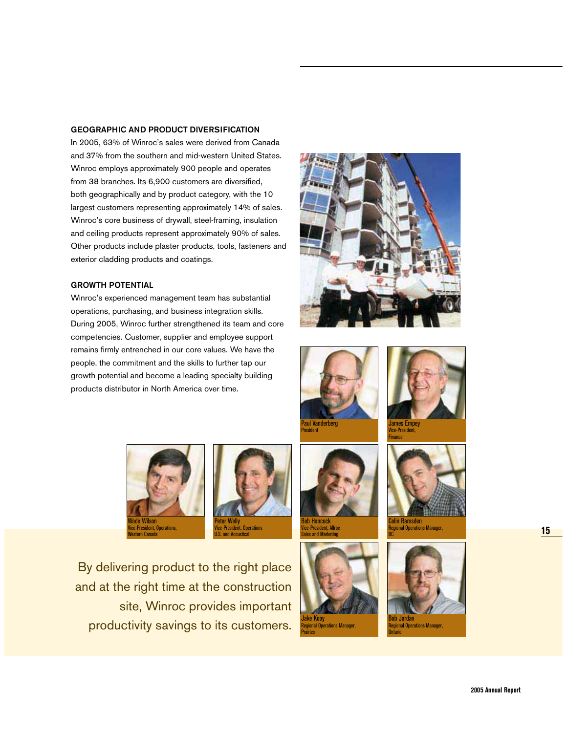#### **GEOGRAPHIC AND PRODUCT DIVERSIFICATION**

In 2005, 63% of Winroc's sales were derived from Canada and 37% from the southern and mid-western United States. Winroc employs approximately 900 people and operates from 38 branches. Its 6,900 customers are diversified, both geographically and by product category, with the 10 largest customers representing approximately 14% of sales. Winroc's core business of drywall, steel-framing, insulation and ceiling products represent approximately 90% of sales. Other products include plaster products, tools, fasteners and exterior cladding products and coatings.

#### **GROWTH POTENTIAL**

Winroc's experienced management team has substantial operations, purchasing, and business integration skills. During 2005, Winroc further strengthened its team and core competencies. Customer, supplier and employee support remains firmly entrenched in our core values. We have the people, the commitment and the skills to further tap our growth potential and become a leading specialty building products distributor in North America over time.











Bob Hancock Vice-President, Allroc Sales and Marketing





Colin Ramsden Regional Operations Manager, BC





By delivering product to the right place and at the right time at the construction site, Winroc provides important productivity savings to its customers.

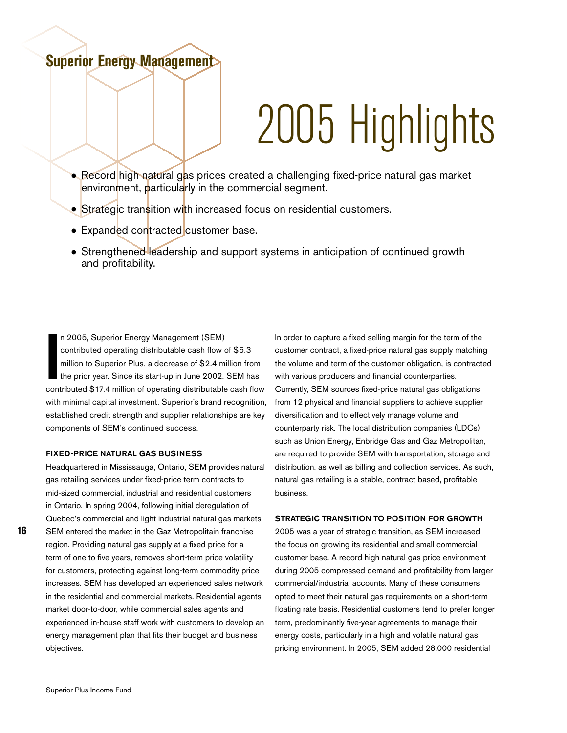## **Superior Energy Management**

# 2005 Highlights

- Record high natural gas prices created a challenging fixed-price natural gas market environment, particularly in the commercial segment.
- Strategic transition with increased focus on residential customers.
- Expanded contracted customer base.
- Strengthened leadership and support systems in anticipation of continued growth and profitability.

**II** 2005, Superior Energy Management (SEM)<br>
contributed operating distributable cash flow of \$5.3<br>
million to Superior Plus, a decrease of \$2.4 million from<br>
the prior year. Since its start-up in June 2002, SEM has<br>
contr n 2005, Superior Energy Management (SEM) contributed operating distributable cash flow of \$5.3 million to Superior Plus, a decrease of \$2.4 million from the prior year. Since its start-up in June 2002, SEM has with minimal capital investment. Superior's brand recognition, established credit strength and supplier relationships are key components of SEM's continued success.

#### **FIXED-PRICE NATURAL GAS BUSINESS**

Headquartered in Mississauga, Ontario, SEM provides natural gas retailing services under fixed-price term contracts to mid-sized commercial, industrial and residential customers in Ontario. In spring 2004, following initial deregulation of Quebec's commercial and light industrial natural gas markets, SEM entered the market in the Gaz Metropolitain franchise region. Providing natural gas supply at a fixed price for a term of one to five years, removes short-term price volatility for customers, protecting against long-term commodity price increases. SEM has developed an experienced sales network in the residential and commercial markets. Residential agents market door-to-door, while commercial sales agents and experienced in-house staff work with customers to develop an energy management plan that fits their budget and business objectives.

In order to capture a fixed selling margin for the term of the customer contract, a fixed-price natural gas supply matching the volume and term of the customer obligation, is contracted with various producers and financial counterparties. Currently, SEM sources fixed-price natural gas obligations from 12 physical and financial suppliers to achieve supplier diversification and to effectively manage volume and counterparty risk. The local distribution companies (LDCs) such as Union Energy, Enbridge Gas and Gaz Metropolitan, are required to provide SEM with transportation, storage and distribution, as well as billing and collection services. As such, natural gas retailing is a stable, contract based, profitable business.

#### **STRATEGIC TRANSITION TO POSITION FOR GROWTH**

2005 was a year of strategic transition, as SEM increased the focus on growing its residential and small commercial customer base. A record high natural gas price environment during 2005 compressed demand and profitability from larger commercial/industrial accounts. Many of these consumers opted to meet their natural gas requirements on a short-term floating rate basis. Residential customers tend to prefer longer term, predominantly five-year agreements to manage their energy costs, particularly in a high and volatile natural gas pricing environment. In 2005, SEM added 28,000 residential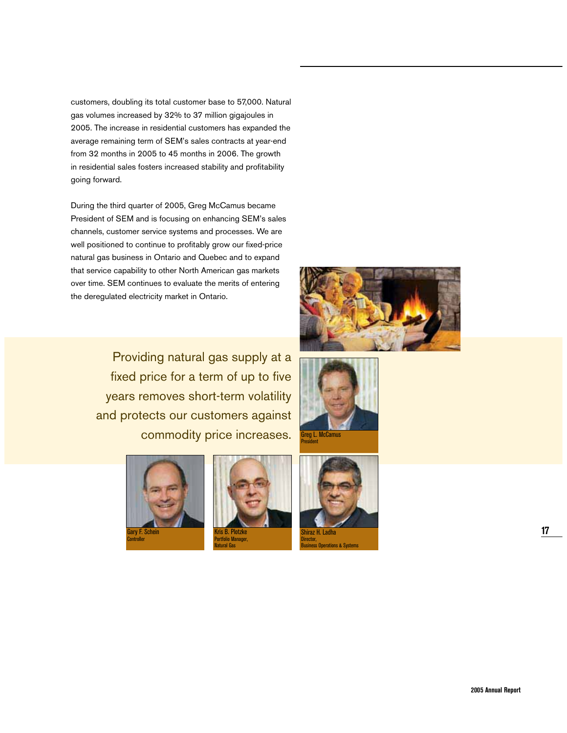customers, doubling its total customer base to 57,000. Natural gas volumes increased by 32% to 37 million gigajoules in 2005. The increase in residential customers has expanded the average remaining term of SEM's sales contracts at year-end from 32 months in 2005 to 45 months in 2006. The growth in residential sales fosters increased stability and profitability going forward.

During the third quarter of 2005, Greg McCamus became President of SEM and is focusing on enhancing SEM's sales channels, customer service systems and processes. We are well positioned to continue to profitably grow our fixed-price natural gas business in Ontario and Quebec and to expand that service capability to other North American gas markets over time. SEM continues to evaluate the merits of entering the deregulated electricity market in Ontario.

> Providing natural gas supply at a fixed price for a term of up to five years removes short-term volatility and protects our customers against commodity price increases.





Kris B. Plotzke Portfolio Manager, Natural Gas







Shiraz H. Ladha Director, Business Operations & Systems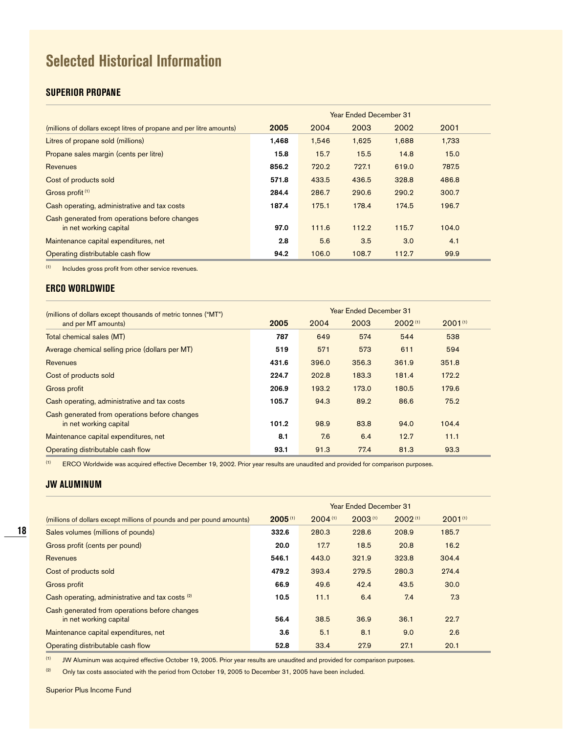# **Selected Historical Information**

#### **SUPERIOR PROPANE**

|                                                                         | <b>Year Ended December 31</b> |       |       |       |       |  |  |
|-------------------------------------------------------------------------|-------------------------------|-------|-------|-------|-------|--|--|
| (millions of dollars except litres of propane and per litre amounts)    | 2005                          | 2004  | 2003  | 2002  | 2001  |  |  |
| Litres of propane sold (millions)                                       | 1,468                         | 1,546 | 1,625 | 1,688 | 1,733 |  |  |
| Propane sales margin (cents per litre)                                  | 15.8                          | 15.7  | 15.5  | 14.8  | 15.0  |  |  |
| <b>Revenues</b>                                                         | 856.2                         | 720.2 | 727.1 | 619.0 | 787.5 |  |  |
| Cost of products sold                                                   | 571.8                         | 433.5 | 436.5 | 328.8 | 486.8 |  |  |
| Gross profit <sup>(1)</sup>                                             | 284.4                         | 286.7 | 290.6 | 290.2 | 300.7 |  |  |
| Cash operating, administrative and tax costs                            | 187.4                         | 175.1 | 178.4 | 174.5 | 196.7 |  |  |
| Cash generated from operations before changes<br>in net working capital | 97.0                          | 111.6 | 112.2 | 115.7 | 104.0 |  |  |
| Maintenance capital expenditures, net                                   | 2.8                           | 5.6   | 3.5   | 3.0   | 4.1   |  |  |
| Operating distributable cash flow                                       | 94.2                          | 106.0 | 108.7 | 112.7 | 99.9  |  |  |

(1) Includes gross profit from other service revenues.

#### **ERCO WORLDWIDE**

| (millions of dollars except thousands of metric tonnes ("MT")           |       |       | <b>Year Ended December 31</b> |         |              |  |
|-------------------------------------------------------------------------|-------|-------|-------------------------------|---------|--------------|--|
| and per MT amounts)                                                     | 2005  | 2004  | 2003                          | 2002(1) | $2001^{(1)}$ |  |
| Total chemical sales (MT)                                               | 787   | 649   | 574                           | 544     | 538          |  |
| Average chemical selling price (dollars per MT)                         | 519   | 571   | 573                           | 611     | 594          |  |
| <b>Revenues</b>                                                         | 431.6 | 396.0 | 356.3                         | 361.9   | 351.8        |  |
| Cost of products sold                                                   | 224.7 | 202.8 | 183.3                         | 181.4   | 172.2        |  |
| Gross profit                                                            | 206.9 | 193.2 | 173.0                         | 180.5   | 179.6        |  |
| Cash operating, administrative and tax costs                            | 105.7 | 94.3  | 89.2                          | 86.6    | 75.2         |  |
| Cash generated from operations before changes<br>in net working capital | 101.2 | 98.9  | 83.8                          | 94.0    | 104.4        |  |
| Maintenance capital expenditures, net                                   | 8.1   | 7.6   | 6.4                           | 12.7    | 11.1         |  |
| Operating distributable cash flow                                       | 93.1  | 91.3  | 77.4                          | 81.3    | 93.3         |  |

(1) ERCO Worldwide was acquired effective December 19, 2002. Prior year results are unaudited and provided for comparison purposes.

#### **JW ALUMINUM**

|                                                                         | <b>Year Ended December 31</b> |         |              |         |              |  |  |  |
|-------------------------------------------------------------------------|-------------------------------|---------|--------------|---------|--------------|--|--|--|
| (millions of dollars except millions of pounds and per pound amounts)   | 2005(1)                       | 2004(1) | $2003^{(1)}$ | 2002(1) | $2001^{(1)}$ |  |  |  |
| Sales volumes (millions of pounds)                                      | 332.6                         | 280.3   | 228.6        | 208.9   | 185.7        |  |  |  |
| Gross profit (cents per pound)                                          | 20.0                          | 17.7    | 18.5         | 20.8    | 16.2         |  |  |  |
| <b>Revenues</b>                                                         | 546.1                         | 443.0   | 321.9        | 323.8   | 304.4        |  |  |  |
| Cost of products sold                                                   | 479.2                         | 393.4   | 279.5        | 280.3   | 274.4        |  |  |  |
| Gross profit                                                            | 66.9                          | 49.6    | 42.4         | 43.5    | 30.0         |  |  |  |
| Cash operating, administrative and tax costs <sup>(2)</sup>             | 10.5                          | 11.1    | 6.4          | 7.4     | 7.3          |  |  |  |
| Cash generated from operations before changes<br>in net working capital | 56.4                          | 38.5    | 36.9         | 36.1    | 22.7         |  |  |  |
| Maintenance capital expenditures, net                                   | 3.6                           | 5.1     | 8.1          | 9.0     | 2.6          |  |  |  |
| Operating distributable cash flow                                       | 52.8                          | 33.4    | 27.9         | 27.1    | 20.1         |  |  |  |

(1) JW Aluminum was acquired effective October 19, 2005. Prior year results are unaudited and provided for comparison purposes.

 $(2)$  Only tax costs associated with the period from October 19, 2005 to December 31, 2005 have been included.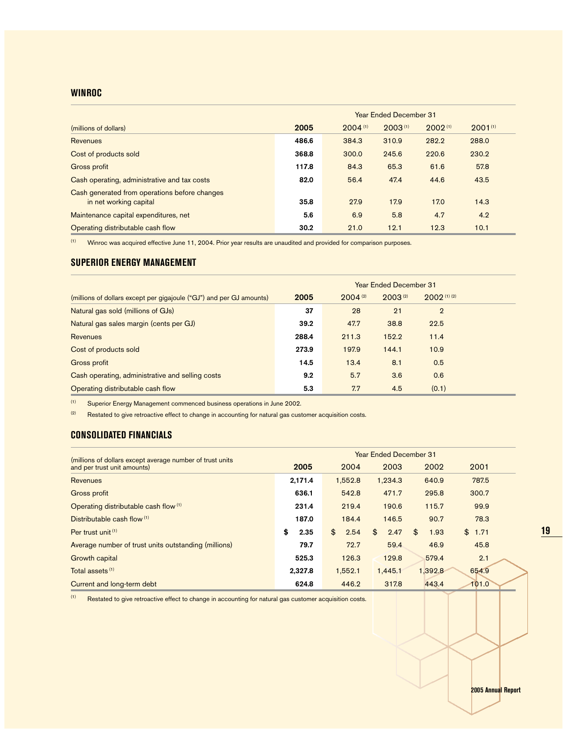#### **WINROC**

|                                                                         | <b>Year Ended December 31</b> |         |         |         |              |  |  |  |
|-------------------------------------------------------------------------|-------------------------------|---------|---------|---------|--------------|--|--|--|
| (millions of dollars)                                                   | 2005                          | 2004(1) | 2003(1) | 2002(1) | $2001^{(1)}$ |  |  |  |
| Revenues                                                                | 486.6                         | 384.3   | 310.9   | 282.2   | 288.0        |  |  |  |
| Cost of products sold                                                   | 368.8                         | 300.0   | 245.6   | 220.6   | 230.2        |  |  |  |
| Gross profit                                                            | 117.8                         | 84.3    | 65.3    | 61.6    | 57.8         |  |  |  |
| Cash operating, administrative and tax costs                            | 82.0                          | 56.4    | 47.4    | 44.6    | 43.5         |  |  |  |
| Cash generated from operations before changes<br>in net working capital | 35.8                          | 27.9    | 17.9    | 17.0    | 14.3         |  |  |  |
| Maintenance capital expenditures, net                                   | 5.6                           | 6.9     | 5.8     | 4.7     | 4.2          |  |  |  |
| Operating distributable cash flow                                       | 30.2                          | 21.0    | 12.1    | 12.3    | 10.1         |  |  |  |

 $(1)$  Winroc was acquired effective June 11, 2004. Prior year results are unaudited and provided for comparison purposes.

#### **SUPERIOR ENERGY MANAGEMENT**

|                                                                      | <b>Year Ended December 31</b> |         |              |                |  |  |  |  |
|----------------------------------------------------------------------|-------------------------------|---------|--------------|----------------|--|--|--|--|
| (millions of dollars except per gigajoule ("GJ") and per GJ amounts) | 2005                          | 2004(2) | $2003^{(2)}$ | 2002(1)(2)     |  |  |  |  |
| Natural gas sold (millions of GJs)                                   | 37                            | 28      | 21           | $\overline{2}$ |  |  |  |  |
| Natural gas sales margin (cents per GJ)                              | 39.2                          | 47.7    | 38.8         | 22.5           |  |  |  |  |
| <b>Revenues</b>                                                      | 288.4                         | 211.3   | 152.2        | 11.4           |  |  |  |  |
| Cost of products sold                                                | 273.9                         | 197.9   | 144.1        | 10.9           |  |  |  |  |
| Gross profit                                                         | 14.5                          | 13.4    | 8.1          | 0.5            |  |  |  |  |
| Cash operating, administrative and selling costs                     | 9.2                           | 5.7     | 3.6          | 0.6            |  |  |  |  |
| Operating distributable cash flow                                    | 5.3                           | 7.7     | 4.5          | (0.1)          |  |  |  |  |

(1) Superior Energy Management commenced business operations in June 2002.

 $(2)$  Restated to give retroactive effect to change in accounting for natural gas customer acquisition costs.

#### **CONSOLIDATED FINANCIALS**

| (millions of dollars except average number of trust units | <b>Year Ended December 31</b> |            |            |            |            |  |  |  |  |
|-----------------------------------------------------------|-------------------------------|------------|------------|------------|------------|--|--|--|--|
| and per trust unit amounts)                               | 2005                          | 2004       | 2003       | 2002       | 2001       |  |  |  |  |
| <b>Revenues</b>                                           | 2.171.4                       | 1.552.8    | 1.234.3    | 640.9      | 787.5      |  |  |  |  |
| Gross profit                                              | 636.1                         | 542.8      | 471.7      | 295.8      | 300.7      |  |  |  |  |
| Operating distributable cash flow (1)                     | 231.4                         | 219.4      | 190.6      | 115.7      | 99.9       |  |  |  |  |
| Distributable cash flow (1)                               | 187.0                         | 184.4      | 146.5      | 90.7       | 78.3       |  |  |  |  |
| Per trust unit (1)                                        | \$<br>2.35                    | \$<br>2.54 | \$<br>2.47 | \$<br>1.93 | \$<br>1.71 |  |  |  |  |
| Average number of trust units outstanding (millions)      | 79.7                          | 72.7       | 59.4       | 46.9       | 45.8       |  |  |  |  |
| Growth capital                                            | 525.3                         | 126.3      | 129.8      | 579.4      | 2.1        |  |  |  |  |
| Total assets <sup>(1)</sup>                               | 2.327.8                       | 1.552.1    | 1,445.1    | 1.392.8    | 654.9      |  |  |  |  |
| Current and long-term debt                                | 624.8                         | 446.2      | 317.8      | 443.4      | 101.0      |  |  |  |  |

(1) Restated to give retroactive effect to change in accounting for natural gas customer acquisition costs.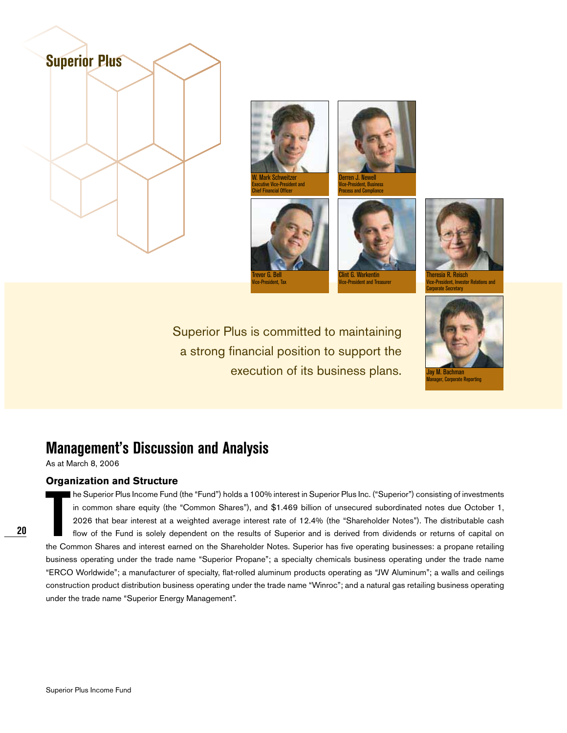





Vice-President, Business Process and Compliance





lint G. Warkentin ice-President and Trea



Theresia R. Reisch Vice-President, Investor Relations and Corporate Secretary

Superior Plus is committed to maintaining a strong financial position to support the execution of its business plans.



ager, Corporate Reporting

## **Management's Discussion and Analysis**

As at March 8, 2006

#### **Organization and Structure**

The Superior Plus Income Fund (the "Fund") holds a 100% interest in Superior Plus Inc. ("Superior") consisting of investments<br>in common share equity (the "Common Shares"), and \$1.469 billion of unsecured subordinated notes he Superior Plus Income Fund (the "Fund") holds a 100% interest in Superior Plus Inc. ("Superior") consisting of investments in common share equity (the "Common Shares"), and \$1.469 billion of unsecured subordinated notes due October 1, 2026 that bear interest at a weighted average interest rate of 12.4% (the "Shareholder Notes"). The distributable cash flow of the Fund is solely dependent on the results of Superior and is derived from dividends or returns of capital on business operating under the trade name "Superior Propane"; a specialty chemicals business operating under the trade name "ERCO Worldwide"; a manufacturer of specialty, flat-rolled aluminum products operating as "JW Aluminum"; a walls and ceilings construction product distribution business operating under the trade name "Winroc"; and a natural gas retailing business operating under the trade name "Superior Energy Management".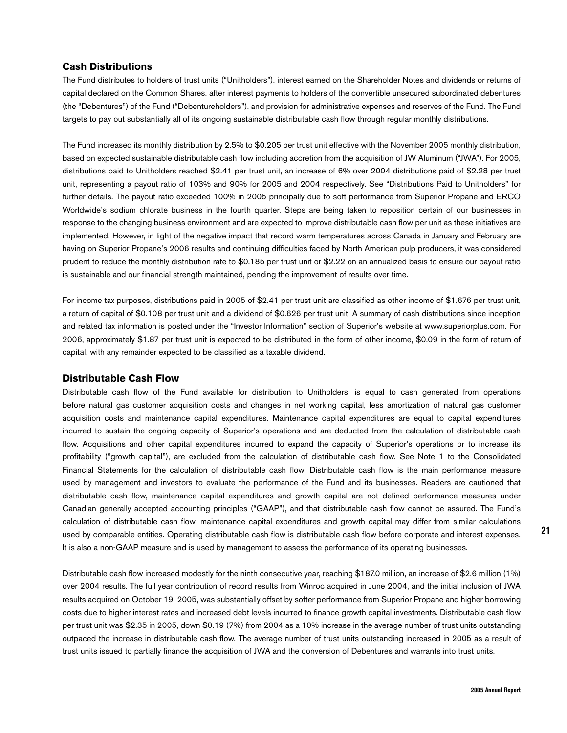#### **Cash Distributions**

The Fund distributes to holders of trust units ("Unitholders"), interest earned on the Shareholder Notes and dividends or returns of capital declared on the Common Shares, after interest payments to holders of the convertible unsecured subordinated debentures (the "Debentures") of the Fund ("Debentureholders"), and provision for administrative expenses and reserves of the Fund. The Fund targets to pay out substantially all of its ongoing sustainable distributable cash flow through regular monthly distributions.

The Fund increased its monthly distribution by 2.5% to \$0.205 per trust unit effective with the November 2005 monthly distribution, based on expected sustainable distributable cash flow including accretion from the acquisition of JW Aluminum ("JWA"). For 2005, distributions paid to Unitholders reached \$2.41 per trust unit, an increase of 6% over 2004 distributions paid of \$2.28 per trust unit, representing a payout ratio of 103% and 90% for 2005 and 2004 respectively. See "Distributions Paid to Unitholders" for further details. The payout ratio exceeded 100% in 2005 principally due to soft performance from Superior Propane and ERCO Worldwide's sodium chlorate business in the fourth quarter. Steps are being taken to reposition certain of our businesses in response to the changing business environment and are expected to improve distributable cash flow per unit as these initiatives are implemented. However, in light of the negative impact that record warm temperatures across Canada in January and February are having on Superior Propane's 2006 results and continuing difficulties faced by North American pulp producers, it was considered prudent to reduce the monthly distribution rate to \$0.185 per trust unit or \$2.22 on an annualized basis to ensure our payout ratio is sustainable and our financial strength maintained, pending the improvement of results over time.

For income tax purposes, distributions paid in 2005 of \$2.41 per trust unit are classified as other income of \$1.676 per trust unit, a return of capital of \$0.108 per trust unit and a dividend of \$0.626 per trust unit. A summary of cash distributions since inception and related tax information is posted under the "Investor Information" section of Superior's website at www.superiorplus.com. For 2006, approximately \$1.87 per trust unit is expected to be distributed in the form of other income, \$0.09 in the form of return of capital, with any remainder expected to be classified as a taxable dividend.

#### **Distributable Cash Flow**

Distributable cash flow of the Fund available for distribution to Unitholders, is equal to cash generated from operations before natural gas customer acquisition costs and changes in net working capital, less amortization of natural gas customer acquisition costs and maintenance capital expenditures. Maintenance capital expenditures are equal to capital expenditures incurred to sustain the ongoing capacity of Superior's operations and are deducted from the calculation of distributable cash flow. Acquisitions and other capital expenditures incurred to expand the capacity of Superior's operations or to increase its profitability ("growth capital"), are excluded from the calculation of distributable cash flow. See Note 1 to the Consolidated Financial Statements for the calculation of distributable cash flow. Distributable cash flow is the main performance measure used by management and investors to evaluate the performance of the Fund and its businesses. Readers are cautioned that distributable cash flow, maintenance capital expenditures and growth capital are not defined performance measures under Canadian generally accepted accounting principles ("GAAP"), and that distributable cash flow cannot be assured. The Fund's calculation of distributable cash flow, maintenance capital expenditures and growth capital may differ from similar calculations used by comparable entities. Operating distributable cash flow is distributable cash flow before corporate and interest expenses. It is also a non-GAAP measure and is used by management to assess the performance of its operating businesses.

Distributable cash flow increased modestly for the ninth consecutive year, reaching \$187.0 million, an increase of \$2.6 million (1%) over 2004 results. The full year contribution of record results from Winroc acquired in June 2004, and the initial inclusion of JWA results acquired on October 19, 2005, was substantially offset by softer performance from Superior Propane and higher borrowing costs due to higher interest rates and increased debt levels incurred to finance growth capital investments. Distributable cash flow per trust unit was \$2.35 in 2005, down \$0.19 (7%) from 2004 as a 10% increase in the average number of trust units outstanding outpaced the increase in distributable cash flow. The average number of trust units outstanding increased in 2005 as a result of trust units issued to partially finance the acquisition of JWA and the conversion of Debentures and warrants into trust units.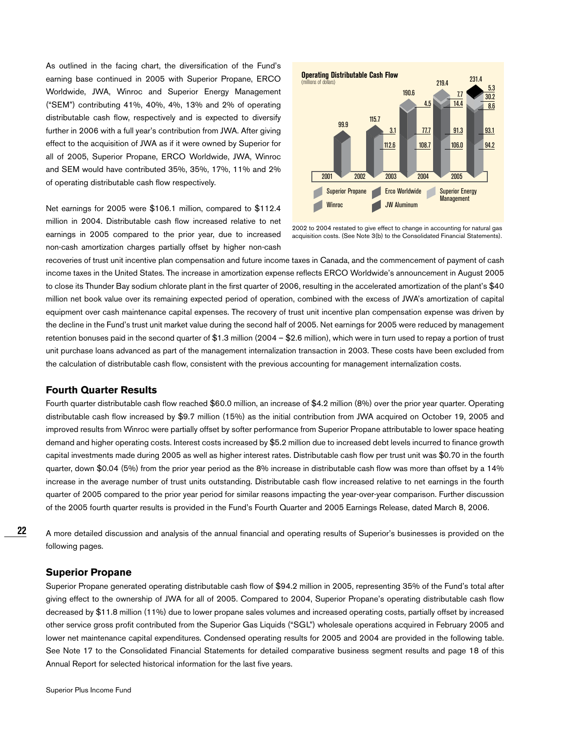As outlined in the facing chart, the diversification of the Fund's earning base continued in 2005 with Superior Propane, ERCO Worldwide, JWA, Winroc and Superior Energy Management ("SEM") contributing 41%, 40%, 4%, 13% and 2% of operating distributable cash flow, respectively and is expected to diversify further in 2006 with a full year's contribution from JWA. After giving effect to the acquisition of JWA as if it were owned by Superior for all of 2005, Superior Propane, ERCO Worldwide, JWA, Winroc and SEM would have contributed 35%, 35%, 17%, 11% and 2% of operating distributable cash flow respectively.

Net earnings for 2005 were \$106.1 million, compared to \$112.4 million in 2004. Distributable cash flow increased relative to net earnings in 2005 compared to the prior year, due to increased non-cash amortization charges partially offset by higher non-cash



2002 to 2004 restated to give effect to change in accounting for natural gas acquisition costs. (See Note 3(b) to the Consolidated Financial Statements).

recoveries of trust unit incentive plan compensation and future income taxes in Canada, and the commencement of payment of cash income taxes in the United States. The increase in amortization expense reflects ERCO Worldwide's announcement in August 2005 to close its Thunder Bay sodium chlorate plant in the first quarter of 2006, resulting in the accelerated amortization of the plant's \$40 million net book value over its remaining expected period of operation, combined with the excess of JWA's amortization of capital equipment over cash maintenance capital expenses. The recovery of trust unit incentive plan compensation expense was driven by the decline in the Fund's trust unit market value during the second half of 2005. Net earnings for 2005 were reduced by management retention bonuses paid in the second quarter of \$1.3 million (2004 – \$2.6 million), which were in turn used to repay a portion of trust unit purchase loans advanced as part of the management internalization transaction in 2003. These costs have been excluded from the calculation of distributable cash flow, consistent with the previous accounting for management internalization costs.

#### **Fourth Quarter Results**

Fourth quarter distributable cash flow reached \$60.0 million, an increase of \$4.2 million (8%) over the prior year quarter. Operating distributable cash flow increased by \$9.7 million (15%) as the initial contribution from JWA acquired on October 19, 2005 and improved results from Winroc were partially offset by softer performance from Superior Propane attributable to lower space heating demand and higher operating costs. Interest costs increased by \$5.2 million due to increased debt levels incurred to finance growth capital investments made during 2005 as well as higher interest rates. Distributable cash flow per trust unit was \$0.70 in the fourth quarter, down \$0.04 (5%) from the prior year period as the 8% increase in distributable cash flow was more than offset by a 14% increase in the average number of trust units outstanding. Distributable cash flow increased relative to net earnings in the fourth quarter of 2005 compared to the prior year period for similar reasons impacting the year-over-year comparison. Further discussion of the 2005 fourth quarter results is provided in the Fund's Fourth Quarter and 2005 Earnings Release, dated March 8, 2006.

A more detailed discussion and analysis of the annual financial and operating results of Superior's businesses is provided on the following pages.

#### **Superior Propane**

**22**

Superior Propane generated operating distributable cash flow of \$94.2 million in 2005, representing 35% of the Fund's total after giving effect to the ownership of JWA for all of 2005. Compared to 2004, Superior Propane's operating distributable cash flow decreased by \$11.8 million (11%) due to lower propane sales volumes and increased operating costs, partially offset by increased other service gross profit contributed from the Superior Gas Liquids ("SGL") wholesale operations acquired in February 2005 and lower net maintenance capital expenditures. Condensed operating results for 2005 and 2004 are provided in the following table. See Note 17 to the Consolidated Financial Statements for detailed comparative business segment results and page 18 of this Annual Report for selected historical information for the last five years.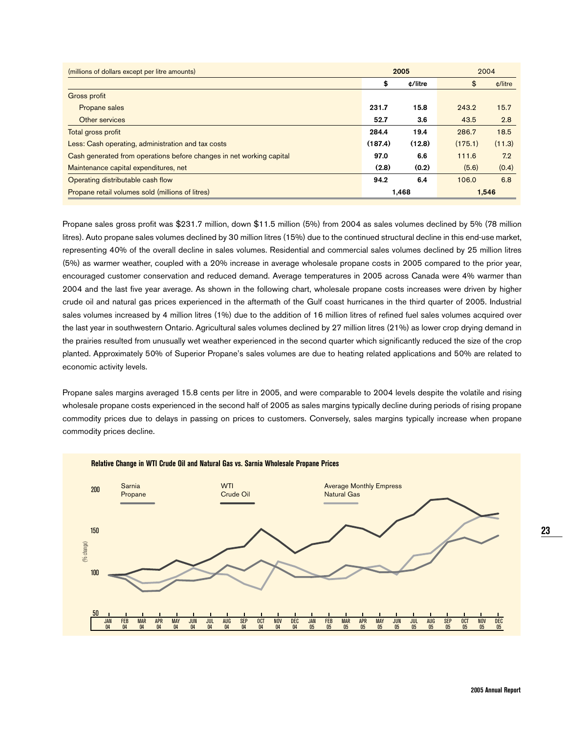| (millions of dollars except per litre amounts)                       |         | 2005    | 2004    |                         |  |
|----------------------------------------------------------------------|---------|---------|---------|-------------------------|--|
|                                                                      | \$      | ¢/litre | \$      | $\text{\degree}$ /litre |  |
| Gross profit                                                         |         |         |         |                         |  |
| Propane sales                                                        | 231.7   | 15.8    | 243.2   | 15.7                    |  |
| Other services                                                       | 52.7    | 3.6     | 43.5    | 2.8                     |  |
| Total gross profit                                                   | 284.4   | 19.4    | 286.7   | 18.5                    |  |
| Less: Cash operating, administration and tax costs                   | (187.4) | (12.8)  | (175.1) | (11.3)                  |  |
| Cash generated from operations before changes in net working capital | 97.0    | 6.6     | 111.6   | 7.2                     |  |
| Maintenance capital expenditures, net                                | (2.8)   | (0.2)   | (5.6)   | (0.4)                   |  |
| Operating distributable cash flow                                    | 94.2    | 6.4     | 106.0   | 6.8                     |  |
| Propane retail volumes sold (millions of litres)                     |         | 1,468   |         | 1,546                   |  |

Propane sales gross profit was \$231.7 million, down \$11.5 million (5%) from 2004 as sales volumes declined by 5% (78 million litres). Auto propane sales volumes declined by 30 million litres (15%) due to the continued structural decline in this end-use market, representing 40% of the overall decline in sales volumes. Residential and commercial sales volumes declined by 25 million litres (5%) as warmer weather, coupled with a 20% increase in average wholesale propane costs in 2005 compared to the prior year, encouraged customer conservation and reduced demand. Average temperatures in 2005 across Canada were 4% warmer than 2004 and the last five year average. As shown in the following chart, wholesale propane costs increases were driven by higher crude oil and natural gas prices experienced in the aftermath of the Gulf coast hurricanes in the third quarter of 2005. Industrial sales volumes increased by 4 million litres (1%) due to the addition of 16 million litres of refined fuel sales volumes acquired over the last year in southwestern Ontario. Agricultural sales volumes declined by 27 million litres (21%) as lower crop drying demand in the prairies resulted from unusually wet weather experienced in the second quarter which significantly reduced the size of the crop planted. Approximately 50% of Superior Propane's sales volumes are due to heating related applications and 50% are related to economic activity levels.

Propane sales margins averaged 15.8 cents per litre in 2005, and were comparable to 2004 levels despite the volatile and rising wholesale propane costs experienced in the second half of 2005 as sales margins typically decline during periods of rising propane commodity prices due to delays in passing on prices to customers. Conversely, sales margins typically increase when propane commodity prices decline.

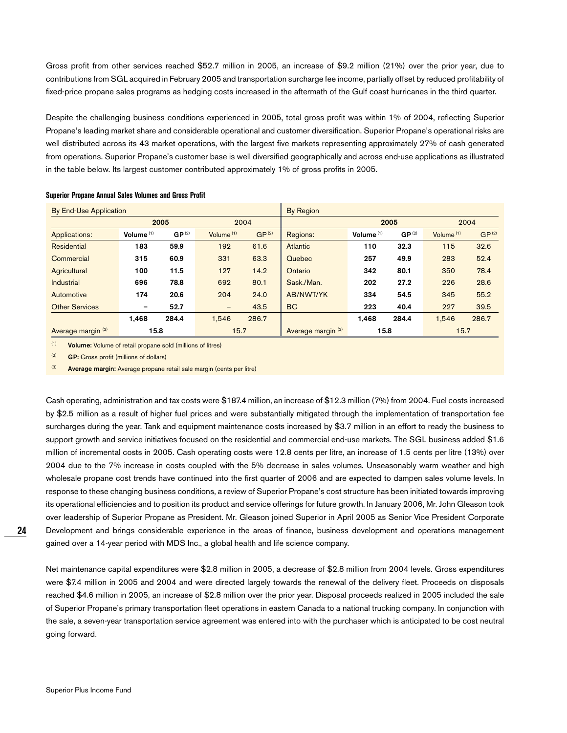Gross profit from other services reached \$52.7 million in 2005, an increase of \$9.2 million (21%) over the prior year, due to contributions from SGL acquired in February 2005 and transportation surcharge fee income, partially offset by reduced profitability of fixed-price propane sales programs as hedging costs increased in the aftermath of the Gulf coast hurricanes in the third quarter.

Despite the challenging business conditions experienced in 2005, total gross profit was within 1% of 2004, reflecting Superior Propane's leading market share and considerable operational and customer diversification. Superior Propane's operational risks are well distributed across its 43 market operations, with the largest five markets representing approximately 27% of cash generated from operations. Superior Propane's customer base is well diversified geographically and across end-use applications as illustrated in the table below. Its largest customer contributed approximately 1% of gross profits in 2005.

| By End-Use Application        |              |                   |                   |                   | By Region                     |              |                   |              |                   |
|-------------------------------|--------------|-------------------|-------------------|-------------------|-------------------------------|--------------|-------------------|--------------|-------------------|
|                               | 2005         |                   |                   | 2005<br>2004      |                               |              | 2004              |              |                   |
| Applications:                 | Volume $(1)$ | GP <sup>(2)</sup> | Volume $(1)$      | GP <sup>(2)</sup> | Regions:                      | Volume $(1)$ | GP <sup>(2)</sup> | Volume $(1)$ | GP <sup>(2)</sup> |
| Residential                   | 183          | 59.9              | 192               | 61.6              | <b>Atlantic</b>               | 110          | 32.3              | 115          | 32.6              |
| Commercial                    | 315          | 60.9              | 331               | 63.3              | Quebec                        | 257          | 49.9              | 283          | 52.4              |
| Agricultural                  | 100          | 11.5              | 127               | 14.2              | Ontario                       | 342          | 80.1              | 350          | 78.4              |
| <b>Industrial</b>             | 696          | 78.8              | 692               | 80.1              | Sask./Man.                    | 202          | 27.2              | 226          | 28.6              |
| Automotive                    | 174          | 20.6              | 204               | 24.0              | AB/NWT/YK                     | 334          | 54.5              | 345          | 55.2              |
| <b>Other Services</b>         | -            | 52.7              | $\qquad \qquad -$ | 43.5              | <b>BC</b>                     | 223          | 40.4              | 227          | 39.5              |
|                               | 1.468        | 284.4             | 1.546             | 286.7             |                               | 1,468        | 284.4             | 1.546        | 286.7             |
| Average margin <sup>(3)</sup> | 15.8         |                   | 15.7              |                   | Average margin <sup>(3)</sup> | 15.8         |                   | 15.7         |                   |

#### **Superior Propane Annual Sales Volumes and Gross Profit**

(1) **Volume:** Volume of retail propane sold (millions of litres)

(2) **GP:** Gross profit (millions of dollars)

(3) **Average margin:** Average propane retail sale margin (cents per litre)

Cash operating, administration and tax costs were \$187.4 million, an increase of \$12.3 million (7%) from 2004. Fuel costs increased by \$2.5 million as a result of higher fuel prices and were substantially mitigated through the implementation of transportation fee surcharges during the year. Tank and equipment maintenance costs increased by \$3.7 million in an effort to ready the business to support growth and service initiatives focused on the residential and commercial end-use markets. The SGL business added \$1.6 million of incremental costs in 2005. Cash operating costs were 12.8 cents per litre, an increase of 1.5 cents per litre (13%) over 2004 due to the 7% increase in costs coupled with the 5% decrease in sales volumes. Unseasonably warm weather and high wholesale propane cost trends have continued into the first quarter of 2006 and are expected to dampen sales volume levels. In response to these changing business conditions, a review of Superior Propane's cost structure has been initiated towards improving its operational efficiencies and to position its product and service offerings for future growth. In January 2006, Mr. John Gleason took over leadership of Superior Propane as President. Mr. Gleason joined Superior in April 2005 as Senior Vice President Corporate Development and brings considerable experience in the areas of finance, business development and operations management gained over a 14-year period with MDS Inc., a global health and life science company.

Net maintenance capital expenditures were \$2.8 million in 2005, a decrease of \$2.8 million from 2004 levels. Gross expenditures were \$7.4 million in 2005 and 2004 and were directed largely towards the renewal of the delivery fleet. Proceeds on disposals reached \$4.6 million in 2005, an increase of \$2.8 million over the prior year. Disposal proceeds realized in 2005 included the sale of Superior Propane's primary transportation fleet operations in eastern Canada to a national trucking company. In conjunction with the sale, a seven-year transportation service agreement was entered into with the purchaser which is anticipated to be cost neutral going forward.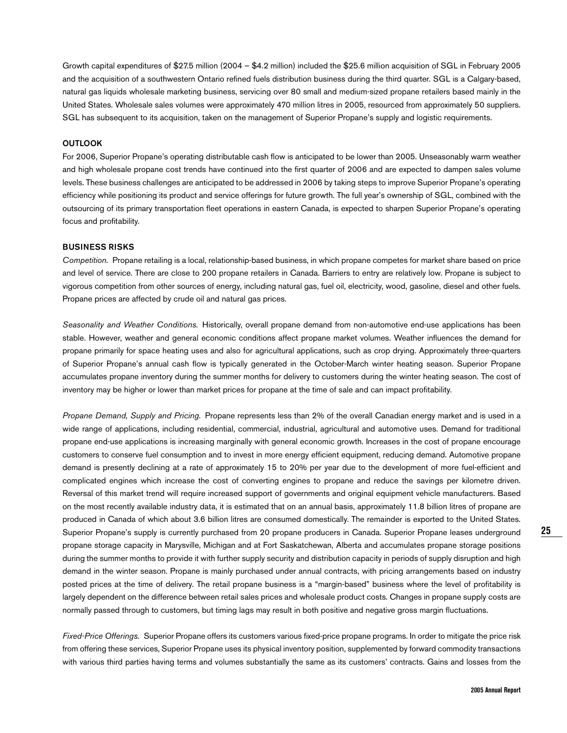Growth capital expenditures of \$27.5 million (2004 – \$4.2 million) included the \$25.6 million acquisition of SGL in February 2005 and the acquisition of a southwestern Ontario refined fuels distribution business during the third quarter. SGL is a Calgary-based, natural gas liquids wholesale marketing business, servicing over 80 small and medium-sized propane retailers based mainly in the United States. Wholesale sales volumes were approximately 470 million litres in 2005, resourced from approximately 50 suppliers. SGL has subsequent to its acquisition, taken on the management of Superior Propane's supply and logistic requirements.

#### **OUTLOOK**

For 2006, Superior Propane's operating distributable cash flow is anticipated to be lower than 2005. Unseasonably warm weather and high wholesale propane cost trends have continued into the first quarter of 2006 and are expected to dampen sales volume levels. These business challenges are anticipated to be addressed in 2006 by taking steps to improve Superior Propane's operating efficiency while positioning its product and service offerings for future growth. The full year's ownership of SGL, combined with the outsourcing of its primary transportation fleet operations in eastern Canada, is expected to sharpen Superior Propane's operating focus and profitability.

#### **BUSINESS RISKS**

Competition. Propane retailing is a local, relationship-based business, in which propane competes for market share based on price and level of service. There are close to 200 propane retailers in Canada. Barriers to entry are relatively low. Propane is subject to vigorous competition from other sources of energy, including natural gas, fuel oil, electricity, wood, gasoline, diesel and other fuels. Propane prices are affected by crude oil and natural gas prices.

Seasonality and Weather Conditions. Historically, overall propane demand from non-automotive end-use applications has been stable. However, weather and general economic conditions affect propane market volumes. Weather influences the demand for propane primarily for space heating uses and also for agricultural applications, such as crop drying. Approximately three-quarters of Superior Propane's annual cash flow is typically generated in the October-March winter heating season. Superior Propane accumulates propane inventory during the summer months for delivery to customers during the winter heating season. The cost of inventory may be higher or lower than market prices for propane at the time of sale and can impact profitability.

Propane Demand, Supply and Pricing. Propane represents less than 2% of the overall Canadian energy market and is used in a wide range of applications, including residential, commercial, industrial, agricultural and automotive uses. Demand for traditional propane end-use applications is increasing marginally with general economic growth. Increases in the cost of propane encourage customers to conserve fuel consumption and to invest in more energy efficient equipment, reducing demand. Automotive propane demand is presently declining at a rate of approximately 15 to 20% per year due to the development of more fuel-efficient and complicated engines which increase the cost of converting engines to propane and reduce the savings per kilometre driven. Reversal of this market trend will require increased support of governments and original equipment vehicle manufacturers. Based on the most recently available industry data, it is estimated that on an annual basis, approximately 11.8 billion litres of propane are produced in Canada of which about 3.6 billion litres are consumed domestically. The remainder is exported to the United States. Superior Propane's supply is currently purchased from 20 propane producers in Canada. Superior Propane leases underground propane storage capacity in Marysville, Michigan and at Fort Saskatchewan, Alberta and accumulates propane storage positions during the summer months to provide it with further supply security and distribution capacity in periods of supply disruption and high demand in the winter season. Propane is mainly purchased under annual contracts, with pricing arrangements based on industry posted prices at the time of delivery. The retail propane business is a "margin-based" business where the level of profitability is largely dependent on the difference between retail sales prices and wholesale product costs. Changes in propane supply costs are normally passed through to customers, but timing lags may result in both positive and negative gross margin fluctuations.

Fixed-Price Offerings. Superior Propane offers its customers various fixed-price propane programs. In order to mitigate the price risk from offering these services, Superior Propane uses its physical inventory position, supplemented by forward commodity transactions with various third parties having terms and volumes substantially the same as its customers' contracts. Gains and losses from the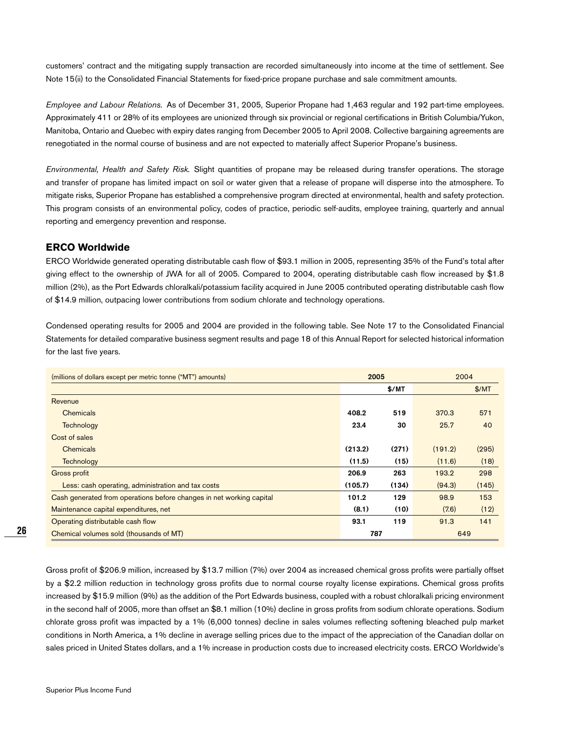customers' contract and the mitigating supply transaction are recorded simultaneously into income at the time of settlement. See Note 15(ii) to the Consolidated Financial Statements for fixed-price propane purchase and sale commitment amounts.

Employee and Labour Relations. As of December 31, 2005, Superior Propane had 1,463 regular and 192 part-time employees. Approximately 411 or 28% of its employees are unionized through six provincial or regional certifications in British Columbia/Yukon, Manitoba, Ontario and Quebec with expiry dates ranging from December 2005 to April 2008. Collective bargaining agreements are renegotiated in the normal course of business and are not expected to materially affect Superior Propane's business.

Environmental, Health and Safety Risk. Slight quantities of propane may be released during transfer operations. The storage and transfer of propane has limited impact on soil or water given that a release of propane will disperse into the atmosphere. To mitigate risks, Superior Propane has established a comprehensive program directed at environmental, health and safety protection. This program consists of an environmental policy, codes of practice, periodic self-audits, employee training, quarterly and annual reporting and emergency prevention and response.

#### **ERCO Worldwide**

ERCO Worldwide generated operating distributable cash flow of \$93.1 million in 2005, representing 35% of the Fund's total after giving effect to the ownership of JWA for all of 2005. Compared to 2004, operating distributable cash flow increased by \$1.8 million (2%), as the Port Edwards chloralkali/potassium facility acquired in June 2005 contributed operating distributable cash flow of \$14.9 million, outpacing lower contributions from sodium chlorate and technology operations.

Condensed operating results for 2005 and 2004 are provided in the following table. See Note 17 to the Consolidated Financial Statements for detailed comparative business segment results and page 18 of this Annual Report for selected historical information for the last five years.

| (millions of dollars except per metric tonne ("MT") amounts)         | 2005    |       | 2004    |       |
|----------------------------------------------------------------------|---------|-------|---------|-------|
|                                                                      |         | \$/MT |         | \$/MT |
| Revenue                                                              |         |       |         |       |
| Chemicals                                                            | 408.2   | 519   | 370.3   | 571   |
| Technology                                                           | 23.4    | 30    | 25.7    | 40    |
| Cost of sales                                                        |         |       |         |       |
| Chemicals                                                            | (213.2) | (271) | (191.2) | (295) |
| Technology                                                           | (11.5)  | (15)  | (11.6)  | (18)  |
| Gross profit                                                         | 206.9   | 263   | 193.2   | 298   |
| Less: cash operating, administration and tax costs                   | (105.7) | (134) | (94.3)  | (145) |
| Cash generated from operations before changes in net working capital | 101.2   | 129   | 98.9    | 153   |
| Maintenance capital expenditures, net                                | (8.1)   | (10)  | (7.6)   | (12)  |
| Operating distributable cash flow                                    | 93.1    | 119   | 91.3    | 141   |
| Chemical volumes sold (thousands of MT)                              | 787     |       | 649     |       |

Gross profit of \$206.9 million, increased by \$13.7 million (7%) over 2004 as increased chemical gross profits were partially offset by a \$2.2 million reduction in technology gross profits due to normal course royalty license expirations. Chemical gross profits increased by \$15.9 million (9%) as the addition of the Port Edwards business, coupled with a robust chloralkali pricing environment in the second half of 2005, more than offset an \$8.1 million (10%) decline in gross profits from sodium chlorate operations. Sodium chlorate gross profit was impacted by a 1% (6,000 tonnes) decline in sales volumes reflecting softening bleached pulp market conditions in North America, a 1% decline in average selling prices due to the impact of the appreciation of the Canadian dollar on sales priced in United States dollars, and a 1% increase in production costs due to increased electricity costs. ERCO Worldwide's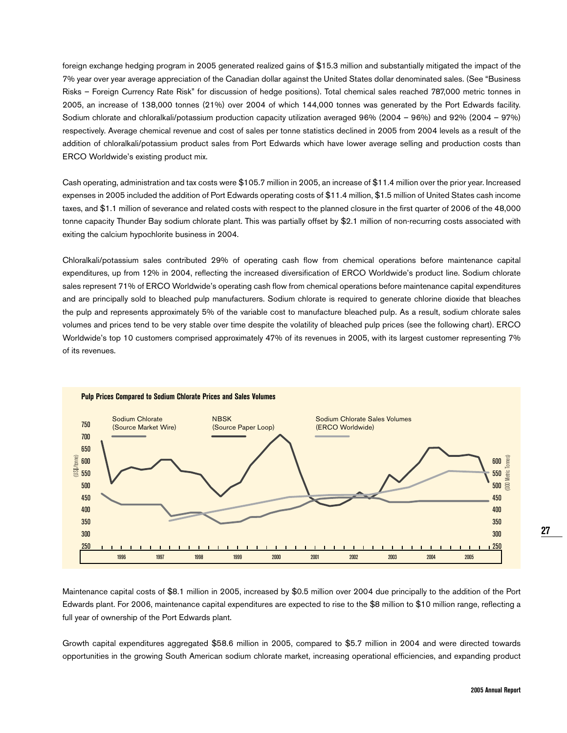foreign exchange hedging program in 2005 generated realized gains of \$15.3 million and substantially mitigated the impact of the 7% year over year average appreciation of the Canadian dollar against the United States dollar denominated sales. (See "Business Risks – Foreign Currency Rate Risk" for discussion of hedge positions). Total chemical sales reached 787,000 metric tonnes in 2005, an increase of 138,000 tonnes (21%) over 2004 of which 144,000 tonnes was generated by the Port Edwards facility. Sodium chlorate and chloralkali/potassium production capacity utilization averaged 96% (2004 – 96%) and 92% (2004 – 97%) respectively. Average chemical revenue and cost of sales per tonne statistics declined in 2005 from 2004 levels as a result of the addition of chloralkali/potassium product sales from Port Edwards which have lower average selling and production costs than ERCO Worldwide's existing product mix.

Cash operating, administration and tax costs were \$105.7 million in 2005, an increase of \$11.4 million over the prior year. Increased expenses in 2005 included the addition of Port Edwards operating costs of \$11.4 million, \$1.5 million of United States cash income taxes, and \$1.1 million of severance and related costs with respect to the planned closure in the first quarter of 2006 of the 48,000 tonne capacity Thunder Bay sodium chlorate plant. This was partially offset by \$2.1 million of non-recurring costs associated with exiting the calcium hypochlorite business in 2004.

Chloralkali/potassium sales contributed 29% of operating cash flow from chemical operations before maintenance capital expenditures, up from 12% in 2004, reflecting the increased diversification of ERCO Worldwide's product line. Sodium chlorate sales represent 71% of ERCO Worldwide's operating cash flow from chemical operations before maintenance capital expenditures and are principally sold to bleached pulp manufacturers. Sodium chlorate is required to generate chlorine dioxide that bleaches the pulp and represents approximately 5% of the variable cost to manufacture bleached pulp. As a result, sodium chlorate sales volumes and prices tend to be very stable over time despite the volatility of bleached pulp prices (see the following chart). ERCO Worldwide's top 10 customers comprised approximately 47% of its revenues in 2005, with its largest customer representing 7% of its revenues.



Maintenance capital costs of \$8.1 million in 2005, increased by \$0.5 million over 2004 due principally to the addition of the Port Edwards plant. For 2006, maintenance capital expenditures are expected to rise to the \$8 million to \$10 million range, reflecting a full year of ownership of the Port Edwards plant.

Growth capital expenditures aggregated \$58.6 million in 2005, compared to \$5.7 million in 2004 and were directed towards opportunities in the growing South American sodium chlorate market, increasing operational efficiencies, and expanding product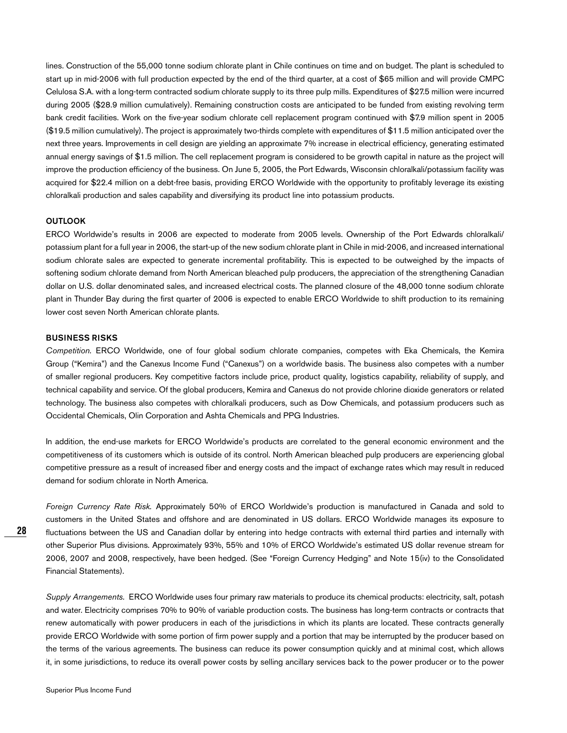lines. Construction of the 55,000 tonne sodium chlorate plant in Chile continues on time and on budget. The plant is scheduled to start up in mid-2006 with full production expected by the end of the third quarter, at a cost of \$65 million and will provide CMPC Celulosa S.A. with a long-term contracted sodium chlorate supply to its three pulp mills. Expenditures of \$27.5 million were incurred during 2005 (\$28.9 million cumulatively). Remaining construction costs are anticipated to be funded from existing revolving term bank credit facilities. Work on the five-year sodium chlorate cell replacement program continued with \$7.9 million spent in 2005 (\$19.5 million cumulatively). The project is approximately two-thirds complete with expenditures of \$11.5 million anticipated over the next three years. Improvements in cell design are yielding an approximate 7% increase in electrical efficiency, generating estimated annual energy savings of \$1.5 million. The cell replacement program is considered to be growth capital in nature as the project will improve the production efficiency of the business. On June 5, 2005, the Port Edwards, Wisconsin chloralkali/potassium facility was acquired for \$22.4 million on a debt-free basis, providing ERCO Worldwide with the opportunity to profitably leverage its existing chloralkali production and sales capability and diversifying its product line into potassium products.

#### **OUTLOOK**

ERCO Worldwide's results in 2006 are expected to moderate from 2005 levels. Ownership of the Port Edwards chloralkali/ potassium plant for a full year in 2006, the start-up of the new sodium chlorate plant in Chile in mid-2006, and increased international sodium chlorate sales are expected to generate incremental profitability. This is expected to be outweighed by the impacts of softening sodium chlorate demand from North American bleached pulp producers, the appreciation of the strengthening Canadian dollar on U.S. dollar denominated sales, and increased electrical costs. The planned closure of the 48,000 tonne sodium chlorate plant in Thunder Bay during the first quarter of 2006 is expected to enable ERCO Worldwide to shift production to its remaining lower cost seven North American chlorate plants.

#### **BUSINESS RISKS**

Competition. ERCO Worldwide, one of four global sodium chlorate companies, competes with Eka Chemicals, the Kemira Group ("Kemira") and the Canexus Income Fund ("Canexus") on a worldwide basis. The business also competes with a number of smaller regional producers. Key competitive factors include price, product quality, logistics capability, reliability of supply, and technical capability and service. Of the global producers, Kemira and Canexus do not provide chlorine dioxide generators or related technology. The business also competes with chloralkali producers, such as Dow Chemicals, and potassium producers such as Occidental Chemicals, Olin Corporation and Ashta Chemicals and PPG Industries.

In addition, the end-use markets for ERCO Worldwide's products are correlated to the general economic environment and the competitiveness of its customers which is outside of its control. North American bleached pulp producers are experiencing global competitive pressure as a result of increased fiber and energy costs and the impact of exchange rates which may result in reduced demand for sodium chlorate in North America.

Foreign Currency Rate Risk. Approximately 50% of ERCO Worldwide's production is manufactured in Canada and sold to customers in the United States and offshore and are denominated in US dollars. ERCO Worldwide manages its exposure to fluctuations between the US and Canadian dollar by entering into hedge contracts with external third parties and internally with other Superior Plus divisions. Approximately 93%, 55% and 10% of ERCO Worldwide's estimated US dollar revenue stream for 2006, 2007 and 2008, respectively, have been hedged. (See "Foreign Currency Hedging" and Note 15(iv) to the Consolidated Financial Statements).

Supply Arrangements. ERCO Worldwide uses four primary raw materials to produce its chemical products: electricity, salt, potash and water. Electricity comprises 70% to 90% of variable production costs. The business has long-term contracts or contracts that renew automatically with power producers in each of the jurisdictions in which its plants are located. These contracts generally provide ERCO Worldwide with some portion of firm power supply and a portion that may be interrupted by the producer based on the terms of the various agreements. The business can reduce its power consumption quickly and at minimal cost, which allows it, in some jurisdictions, to reduce its overall power costs by selling ancillary services back to the power producer or to the power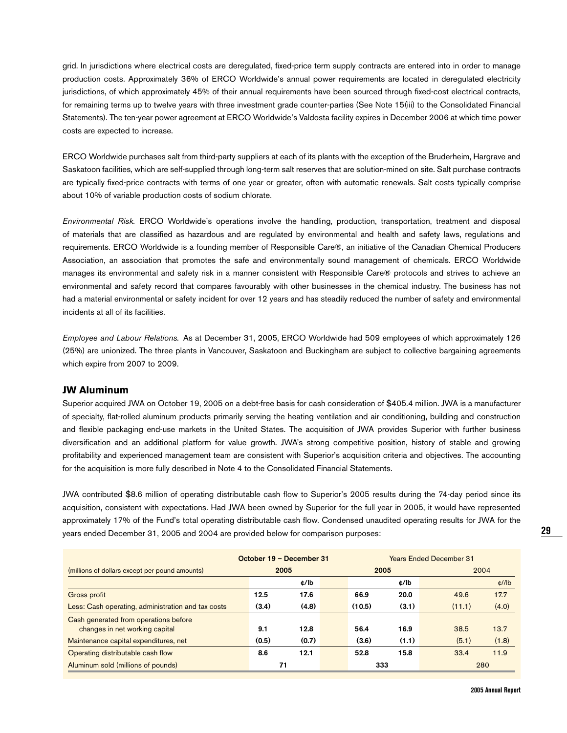grid. In jurisdictions where electrical costs are deregulated, fixed-price term supply contracts are entered into in order to manage production costs. Approximately 36% of ERCO Worldwide's annual power requirements are located in deregulated electricity jurisdictions, of which approximately 45% of their annual requirements have been sourced through fixed-cost electrical contracts, for remaining terms up to twelve years with three investment grade counter-parties (See Note 15(iii) to the Consolidated Financial Statements). The ten-year power agreement at ERCO Worldwide's Valdosta facility expires in December 2006 at which time power costs are expected to increase.

ERCO Worldwide purchases salt from third-party suppliers at each of its plants with the exception of the Bruderheim, Hargrave and Saskatoon facilities, which are self-supplied through long-term salt reserves that are solution-mined on site. Salt purchase contracts are typically fixed-price contracts with terms of one year or greater, often with automatic renewals. Salt costs typically comprise about 10% of variable production costs of sodium chlorate.

Environmental Risk. ERCO Worldwide's operations involve the handling, production, transportation, treatment and disposal of materials that are classified as hazardous and are regulated by environmental and health and safety laws, regulations and requirements. ERCO Worldwide is a founding member of Responsible Care®, an initiative of the Canadian Chemical Producers Association, an association that promotes the safe and environmentally sound management of chemicals. ERCO Worldwide manages its environmental and safety risk in a manner consistent with Responsible Care® protocols and strives to achieve an environmental and safety record that compares favourably with other businesses in the chemical industry. The business has not had a material environmental or safety incident for over 12 years and has steadily reduced the number of safety and environmental incidents at all of its facilities.

Employee and Labour Relations. As at December 31, 2005, ERCO Worldwide had 509 employees of which approximately 126 (25%) are unionized. The three plants in Vancouver, Saskatoon and Buckingham are subject to collective bargaining agreements which expire from 2007 to 2009.

#### **JW Aluminum**

Superior acquired JWA on October 19, 2005 on a debt-free basis for cash consideration of \$405.4 million. JWA is a manufacturer of specialty, flat-rolled aluminum products primarily serving the heating ventilation and air conditioning, building and construction and flexible packaging end-use markets in the United States. The acquisition of JWA provides Superior with further business diversification and an additional platform for value growth. JWA's strong competitive position, history of stable and growing profitability and experienced management team are consistent with Superior's acquisition criteria and objectives. The accounting for the acquisition is more fully described in Note 4 to the Consolidated Financial Statements.

JWA contributed \$8.6 million of operating distributable cash flow to Superior's 2005 results during the 74-day period since its acquisition, consistent with expectations. Had JWA been owned by Superior for the full year in 2005, it would have represented approximately 17% of the Fund's total operating distributable cash flow. Condensed unaudited operating results for JWA for the years ended December 31, 2005 and 2004 are provided below for comparison purposes:

|                                                    | October 19 - December 31 |       |  | <b>Years Ended December 31</b> |       |        |       |
|----------------------------------------------------|--------------------------|-------|--|--------------------------------|-------|--------|-------|
| (millions of dollars except per pound amounts)     |                          | 2005  |  | 2005                           |       | 2004   |       |
|                                                    |                          | ¢/lb  |  |                                | ¢/lb  |        | d/1   |
| Gross profit                                       | 12.5                     | 17.6  |  | 66.9                           | 20.0  | 49.6   | 17.7  |
| Less: Cash operating, administration and tax costs | (3.4)                    | (4.8) |  | (10.5)                         | (3.1) | (11.1) | (4.0) |
| Cash generated from operations before              |                          |       |  |                                |       |        |       |
| changes in net working capital                     | 9.1                      | 12.8  |  | 56.4                           | 16.9  | 38.5   | 13.7  |
| Maintenance capital expenditures, net              | (0.5)                    | (0.7) |  | (3.6)                          | (1.1) | (5.1)  | (1.8) |
| Operating distributable cash flow                  | 8.6                      | 12.1  |  | 52.8                           | 15.8  | 33.4   | 11.9  |
| Aluminum sold (millions of pounds)                 |                          | 71    |  | 333                            |       |        | 280   |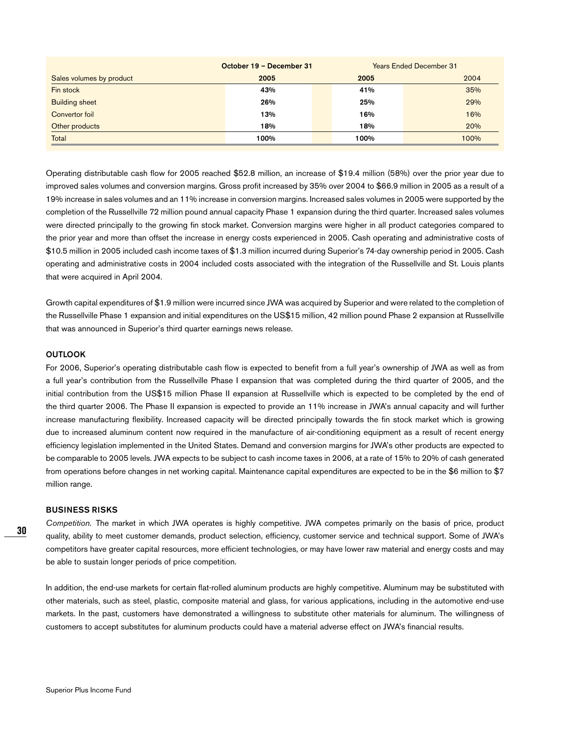|                          | October 19 - December 31 |  |      | <b>Years Ended December 31</b> |
|--------------------------|--------------------------|--|------|--------------------------------|
| Sales volumes by product | 2005                     |  | 2005 | 2004                           |
| Fin stock                | 43%                      |  | 41%  | 35%                            |
| <b>Building sheet</b>    | 26%                      |  | 25%  | 29%                            |
| Convertor foil           | 13%                      |  | 16%  | 16%                            |
| Other products           | 18%                      |  | 18%  | 20%                            |
| Total                    | 100%                     |  | 100% | 100%                           |

Operating distributable cash flow for 2005 reached \$52.8 million, an increase of \$19.4 million (58%) over the prior year due to improved sales volumes and conversion margins. Gross profit increased by 35% over 2004 to \$66.9 million in 2005 as a result of a 19% increase in sales volumes and an 11% increase in conversion margins. Increased sales volumes in 2005 were supported by the completion of the Russellville 72 million pound annual capacity Phase 1 expansion during the third quarter. Increased sales volumes were directed principally to the growing fin stock market. Conversion margins were higher in all product categories compared to the prior year and more than offset the increase in energy costs experienced in 2005. Cash operating and administrative costs of \$10.5 million in 2005 included cash income taxes of \$1.3 million incurred during Superior's 74-day ownership period in 2005. Cash operating and administrative costs in 2004 included costs associated with the integration of the Russellville and St. Louis plants that were acquired in April 2004.

Growth capital expenditures of \$1.9 million were incurred since JWA was acquired by Superior and were related to the completion of the Russellville Phase 1 expansion and initial expenditures on the US\$15 million, 42 million pound Phase 2 expansion at Russellville that was announced in Superior's third quarter earnings news release.

#### **OUTLOOK**

For 2006, Superior's operating distributable cash flow is expected to benefit from a full year's ownership of JWA as well as from a full year's contribution from the Russellville Phase I expansion that was completed during the third quarter of 2005, and the initial contribution from the US\$15 million Phase II expansion at Russellville which is expected to be completed by the end of the third quarter 2006. The Phase II expansion is expected to provide an 11% increase in JWA's annual capacity and will further increase manufacturing flexibility. Increased capacity will be directed principally towards the fin stock market which is growing due to increased aluminum content now required in the manufacture of air-conditioning equipment as a result of recent energy efficiency legislation implemented in the United States. Demand and conversion margins for JWA's other products are expected to be comparable to 2005 levels. JWA expects to be subject to cash income taxes in 2006, at a rate of 15% to 20% of cash generated from operations before changes in net working capital. Maintenance capital expenditures are expected to be in the \$6 million to \$7 million range.

#### **BUSINESS RISKS**

Competition. The market in which JWA operates is highly competitive. JWA competes primarily on the basis of price, product quality, ability to meet customer demands, product selection, efficiency, customer service and technical support. Some of JWA's competitors have greater capital resources, more efficient technologies, or may have lower raw material and energy costs and may be able to sustain longer periods of price competition.

In addition, the end-use markets for certain flat-rolled aluminum products are highly competitive. Aluminum may be substituted with other materials, such as steel, plastic, composite material and glass, for various applications, including in the automotive end-use markets. In the past, customers have demonstrated a willingness to substitute other materials for aluminum. The willingness of customers to accept substitutes for aluminum products could have a material adverse effect on JWA's financial results.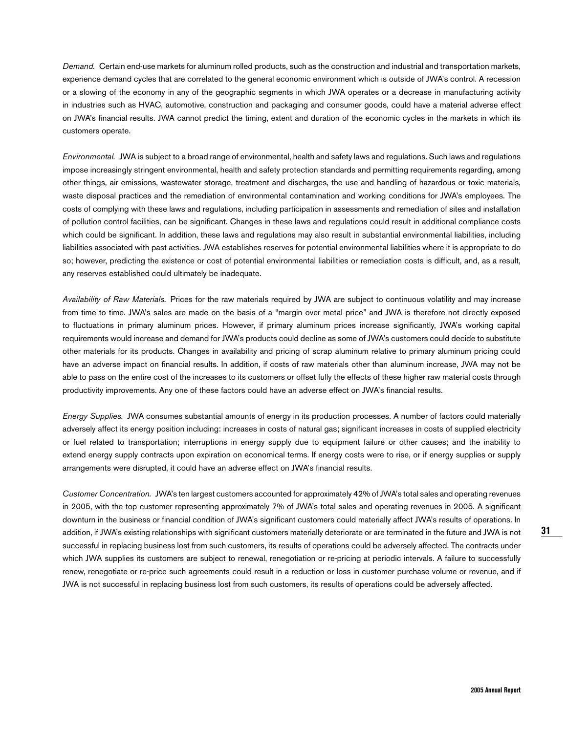Demand. Certain end-use markets for aluminum rolled products, such as the construction and industrial and transportation markets, experience demand cycles that are correlated to the general economic environment which is outside of JWA's control. A recession or a slowing of the economy in any of the geographic segments in which JWA operates or a decrease in manufacturing activity in industries such as HVAC, automotive, construction and packaging and consumer goods, could have a material adverse effect on JWA's financial results. JWA cannot predict the timing, extent and duration of the economic cycles in the markets in which its customers operate.

Environmental. JWA is subject to a broad range of environmental, health and safety laws and regulations. Such laws and regulations impose increasingly stringent environmental, health and safety protection standards and permitting requirements regarding, among other things, air emissions, wastewater storage, treatment and discharges, the use and handling of hazardous or toxic materials, waste disposal practices and the remediation of environmental contamination and working conditions for JWA's employees. The costs of complying with these laws and regulations, including participation in assessments and remediation of sites and installation of pollution control facilities, can be significant. Changes in these laws and regulations could result in additional compliance costs which could be significant. In addition, these laws and regulations may also result in substantial environmental liabilities, including liabilities associated with past activities. JWA establishes reserves for potential environmental liabilities where it is appropriate to do so; however, predicting the existence or cost of potential environmental liabilities or remediation costs is difficult, and, as a result, any reserves established could ultimately be inadequate.

Availability of Raw Materials. Prices for the raw materials required by JWA are subject to continuous volatility and may increase from time to time. JWA's sales are made on the basis of a "margin over metal price" and JWA is therefore not directly exposed to fluctuations in primary aluminum prices. However, if primary aluminum prices increase significantly, JWA's working capital requirements would increase and demand for JWA's products could decline as some of JWA's customers could decide to substitute other materials for its products. Changes in availability and pricing of scrap aluminum relative to primary aluminum pricing could have an adverse impact on financial results. In addition, if costs of raw materials other than aluminum increase, JWA may not be able to pass on the entire cost of the increases to its customers or offset fully the effects of these higher raw material costs through productivity improvements. Any one of these factors could have an adverse effect on JWA's financial results.

Energy Supplies. JWA consumes substantial amounts of energy in its production processes. A number of factors could materially adversely affect its energy position including: increases in costs of natural gas; significant increases in costs of supplied electricity or fuel related to transportation; interruptions in energy supply due to equipment failure or other causes; and the inability to extend energy supply contracts upon expiration on economical terms. If energy costs were to rise, or if energy supplies or supply arrangements were disrupted, it could have an adverse effect on JWA's financial results.

Customer Concentration. JWA's ten largest customers accounted for approximately 42% of JWA's total sales and operating revenues in 2005, with the top customer representing approximately 7% of JWA's total sales and operating revenues in 2005. A significant downturn in the business or financial condition of JWA's significant customers could materially affect JWA's results of operations. In addition, if JWA's existing relationships with significant customers materially deteriorate or are terminated in the future and JWA is not successful in replacing business lost from such customers, its results of operations could be adversely affected. The contracts under which JWA supplies its customers are subject to renewal, renegotiation or re-pricing at periodic intervals. A failure to successfully renew, renegotiate or re-price such agreements could result in a reduction or loss in customer purchase volume or revenue, and if JWA is not successful in replacing business lost from such customers, its results of operations could be adversely affected.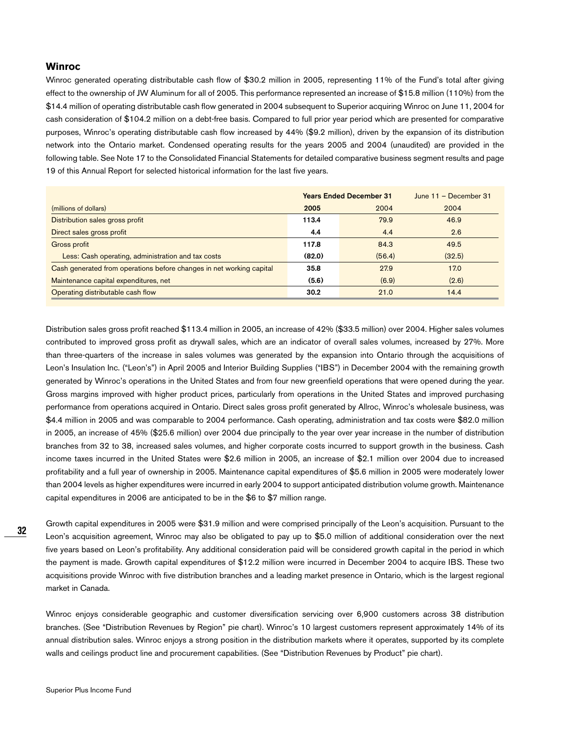#### **Winroc**

Winroc generated operating distributable cash flow of \$30.2 million in 2005, representing 11% of the Fund's total after giving effect to the ownership of JW Aluminum for all of 2005. This performance represented an increase of \$15.8 million (110%) from the \$14.4 million of operating distributable cash flow generated in 2004 subsequent to Superior acquiring Winroc on June 11, 2004 for cash consideration of \$104.2 million on a debt-free basis. Compared to full prior year period which are presented for comparative purposes, Winroc's operating distributable cash flow increased by 44% (\$9.2 million), driven by the expansion of its distribution network into the Ontario market. Condensed operating results for the years 2005 and 2004 (unaudited) are provided in the following table. See Note 17 to the Consolidated Financial Statements for detailed comparative business segment results and page 19 of this Annual Report for selected historical information for the last five years.

|                                                                      | <b>Years Ended December 31</b> |        | June $11 -$ December 31 |
|----------------------------------------------------------------------|--------------------------------|--------|-------------------------|
| (millions of dollars)                                                | 2005                           | 2004   | 2004                    |
| Distribution sales gross profit                                      | 113.4                          | 79.9   | 46.9                    |
| Direct sales gross profit                                            | 4.4                            | 4.4    | 2.6                     |
| Gross profit                                                         | 117.8                          | 84.3   | 49.5                    |
| Less: Cash operating, administration and tax costs                   | (82.0)                         | (56.4) | (32.5)                  |
| Cash generated from operations before changes in net working capital | 35.8                           | 27.9   | 17.0                    |
| Maintenance capital expenditures, net                                | (5.6)                          | (6.9)  | (2.6)                   |
| Operating distributable cash flow                                    | 30.2                           | 21.0   | 14.4                    |

Distribution sales gross profit reached \$113.4 million in 2005, an increase of 42% (\$33.5 million) over 2004. Higher sales volumes contributed to improved gross profit as drywall sales, which are an indicator of overall sales volumes, increased by 27%. More than three-quarters of the increase in sales volumes was generated by the expansion into Ontario through the acquisitions of Leon's Insulation Inc. ("Leon's") in April 2005 and Interior Building Supplies ("IBS") in December 2004 with the remaining growth generated by Winroc's operations in the United States and from four new greenfield operations that were opened during the year. Gross margins improved with higher product prices, particularly from operations in the United States and improved purchasing performance from operations acquired in Ontario. Direct sales gross profit generated by Allroc, Winroc's wholesale business, was \$4.4 million in 2005 and was comparable to 2004 performance. Cash operating, administration and tax costs were \$82.0 million in 2005, an increase of 45% (\$25.6 million) over 2004 due principally to the year over year increase in the number of distribution branches from 32 to 38, increased sales volumes, and higher corporate costs incurred to support growth in the business. Cash income taxes incurred in the United States were \$2.6 million in 2005, an increase of \$2.1 million over 2004 due to increased profitability and a full year of ownership in 2005. Maintenance capital expenditures of \$5.6 million in 2005 were moderately lower than 2004 levels as higher expenditures were incurred in early 2004 to support anticipated distribution volume growth. Maintenance capital expenditures in 2006 are anticipated to be in the \$6 to \$7 million range.

Growth capital expenditures in 2005 were \$31.9 million and were comprised principally of the Leon's acquisition. Pursuant to the Leon's acquisition agreement, Winroc may also be obligated to pay up to \$5.0 million of additional consideration over the next five years based on Leon's profitability. Any additional consideration paid will be considered growth capital in the period in which the payment is made. Growth capital expenditures of \$12.2 million were incurred in December 2004 to acquire IBS. These two acquisitions provide Winroc with five distribution branches and a leading market presence in Ontario, which is the largest regional market in Canada.

Winroc enjoys considerable geographic and customer diversification servicing over 6,900 customers across 38 distribution branches. (See "Distribution Revenues by Region" pie chart). Winroc's 10 largest customers represent approximately 14% of its annual distribution sales. Winroc enjoys a strong position in the distribution markets where it operates, supported by its complete walls and ceilings product line and procurement capabilities. (See "Distribution Revenues by Product" pie chart).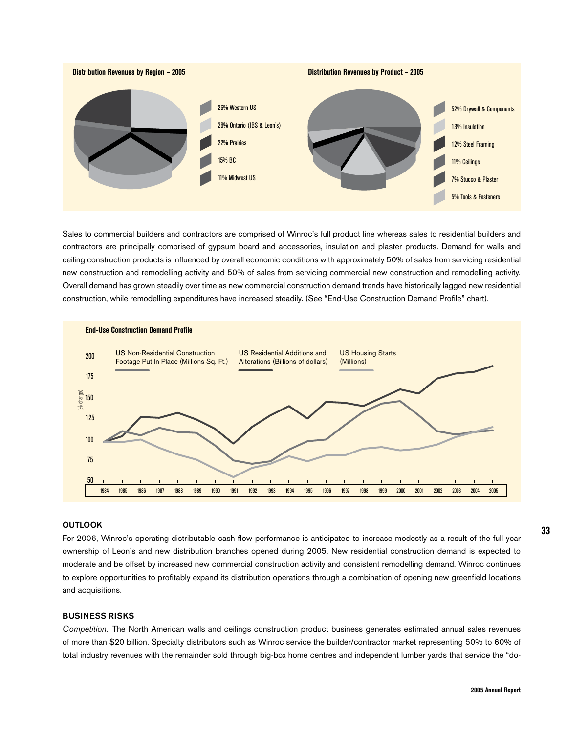

Sales to commercial builders and contractors are comprised of Winroc's full product line whereas sales to residential builders and contractors are principally comprised of gypsum board and accessories, insulation and plaster products. Demand for walls and ceiling construction products is influenced by overall economic conditions with approximately 50% of sales from servicing residential new construction and remodelling activity and 50% of sales from servicing commercial new construction and remodelling activity. Overall demand has grown steadily over time as new commercial construction demand trends have historically lagged new residential construction, while remodelling expenditures have increased steadily. (See "End-Use Construction Demand Profile" chart).



#### **OUTLOOK**

For 2006, Winroc's operating distributable cash flow performance is anticipated to increase modestly as a result of the full year ownership of Leon's and new distribution branches opened during 2005. New residential construction demand is expected to moderate and be offset by increased new commercial construction activity and consistent remodelling demand. Winroc continues to explore opportunities to profitably expand its distribution operations through a combination of opening new greenfield locations and acquisitions.

## **BUSINESS RISKS**

Competition. The North American walls and ceilings construction product business generates estimated annual sales revenues of more than \$20 billion. Specialty distributors such as Winroc service the builder/contractor market representing 50% to 60% of total industry revenues with the remainder sold through big-box home centres and independent lumber yards that service the "do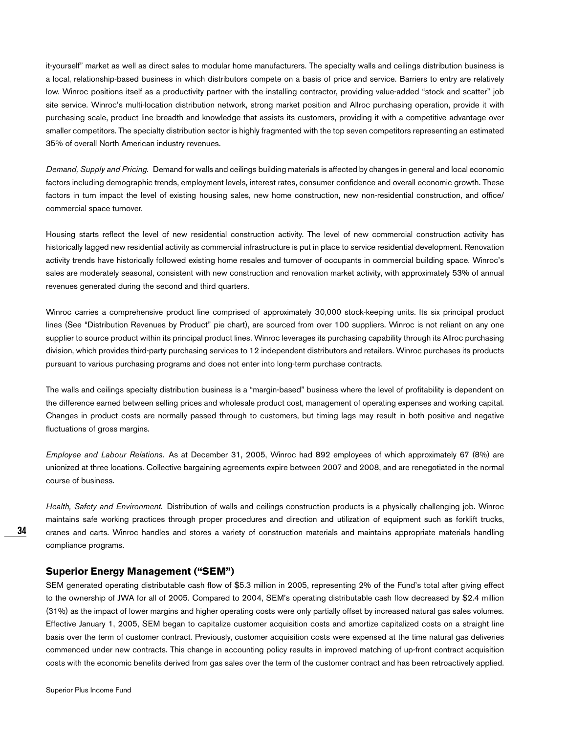it-yourself" market as well as direct sales to modular home manufacturers. The specialty walls and ceilings distribution business is a local, relationship-based business in which distributors compete on a basis of price and service. Barriers to entry are relatively low. Winroc positions itself as a productivity partner with the installing contractor, providing value-added "stock and scatter" job site service. Winroc's multi-location distribution network, strong market position and Allroc purchasing operation, provide it with purchasing scale, product line breadth and knowledge that assists its customers, providing it with a competitive advantage over smaller competitors. The specialty distribution sector is highly fragmented with the top seven competitors representing an estimated 35% of overall North American industry revenues.

Demand, Supply and Pricing. Demand for walls and ceilings building materials is affected by changes in general and local economic factors including demographic trends, employment levels, interest rates, consumer confidence and overall economic growth. These factors in turn impact the level of existing housing sales, new home construction, new non-residential construction, and office/ commercial space turnover.

Housing starts reflect the level of new residential construction activity. The level of new commercial construction activity has historically lagged new residential activity as commercial infrastructure is put in place to service residential development. Renovation activity trends have historically followed existing home resales and turnover of occupants in commercial building space. Winroc's sales are moderately seasonal, consistent with new construction and renovation market activity, with approximately 53% of annual revenues generated during the second and third quarters.

Winroc carries a comprehensive product line comprised of approximately 30,000 stock-keeping units. Its six principal product lines (See "Distribution Revenues by Product" pie chart), are sourced from over 100 suppliers. Winroc is not reliant on any one supplier to source product within its principal product lines. Winroc leverages its purchasing capability through its Allroc purchasing division, which provides third-party purchasing services to 12 independent distributors and retailers. Winroc purchases its products pursuant to various purchasing programs and does not enter into long-term purchase contracts.

The walls and ceilings specialty distribution business is a "margin-based" business where the level of profitability is dependent on the difference earned between selling prices and wholesale product cost, management of operating expenses and working capital. Changes in product costs are normally passed through to customers, but timing lags may result in both positive and negative fluctuations of gross margins.

Employee and Labour Relations. As at December 31, 2005, Winroc had 892 employees of which approximately 67 (8%) are unionized at three locations. Collective bargaining agreements expire between 2007 and 2008, and are renegotiated in the normal course of business.

Health, Safety and Environment. Distribution of walls and ceilings construction products is a physically challenging job. Winroc maintains safe working practices through proper procedures and direction and utilization of equipment such as forklift trucks, cranes and carts. Winroc handles and stores a variety of construction materials and maintains appropriate materials handling compliance programs.

#### **Superior Energy Management ("SEM")**

SEM generated operating distributable cash flow of \$5.3 million in 2005, representing 2% of the Fund's total after giving effect to the ownership of JWA for all of 2005. Compared to 2004, SEM's operating distributable cash flow decreased by \$2.4 million (31%) as the impact of lower margins and higher operating costs were only partially offset by increased natural gas sales volumes. Effective January 1, 2005, SEM began to capitalize customer acquisition costs and amortize capitalized costs on a straight line basis over the term of customer contract. Previously, customer acquisition costs were expensed at the time natural gas deliveries commenced under new contracts. This change in accounting policy results in improved matching of up-front contract acquisition costs with the economic benefits derived from gas sales over the term of the customer contract and has been retroactively applied.

**34**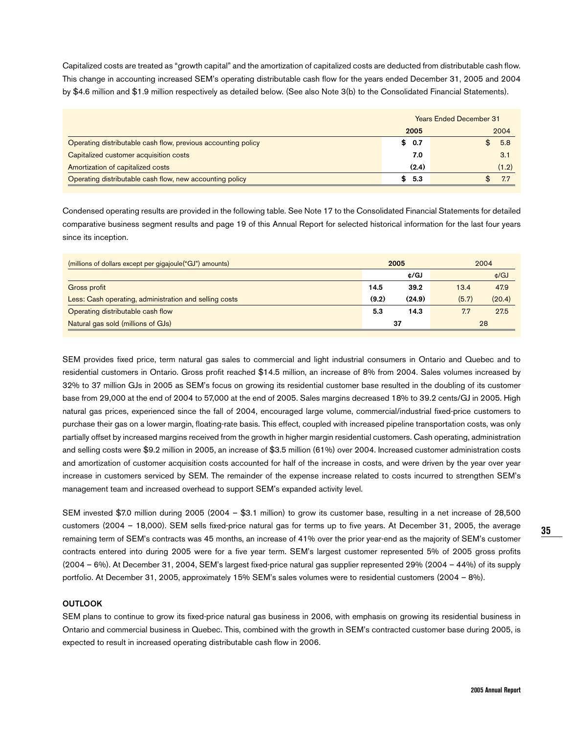Capitalized costs are treated as "growth capital" and the amortization of capitalized costs are deducted from distributable cash flow. This change in accounting increased SEM's operating distributable cash flow for the years ended December 31, 2005 and 2004 by \$4.6 million and \$1.9 million respectively as detailed below. (See also Note 3(b) to the Consolidated Financial Statements).

|                                                               | <b>Years Ended December 31</b> |  |       |
|---------------------------------------------------------------|--------------------------------|--|-------|
|                                                               | 2005                           |  | 2004  |
| Operating distributable cash flow, previous accounting policy | \$0.7                          |  | 5.8   |
| Capitalized customer acquisition costs                        | 7.0                            |  | 3.1   |
| Amortization of capitalized costs                             | (2.4)                          |  | (1.2) |
| Operating distributable cash flow, new accounting policy      | \$5.3                          |  |       |

Condensed operating results are provided in the following table. See Note 17 to the Consolidated Financial Statements for detailed comparative business segment results and page 19 of this Annual Report for selected historical information for the last four years since its inception.

| (millions of dollars except per gigajoule("GJ") amounts) |       | 2005   |       | 2004   |
|----------------------------------------------------------|-------|--------|-------|--------|
|                                                          |       | ¢/GJ   |       | ¢/GJ   |
| Gross profit                                             | 14.5  | 39.2   | 13.4  | 47.9   |
| Less: Cash operating, administration and selling costs   | (9.2) | (24.9) | (5.7) | (20.4) |
| Operating distributable cash flow                        | 5.3   | 14.3   | 7.7   | 27.5   |
| Natural gas sold (millions of GJs)                       |       | 37     |       | 28     |

SEM provides fixed price, term natural gas sales to commercial and light industrial consumers in Ontario and Quebec and to residential customers in Ontario. Gross profit reached \$14.5 million, an increase of 8% from 2004. Sales volumes increased by 32% to 37 million GJs in 2005 as SEM's focus on growing its residential customer base resulted in the doubling of its customer base from 29,000 at the end of 2004 to 57,000 at the end of 2005. Sales margins decreased 18% to 39.2 cents/GJ in 2005. High natural gas prices, experienced since the fall of 2004, encouraged large volume, commercial/industrial fixed-price customers to purchase their gas on a lower margin, floating-rate basis. This effect, coupled with increased pipeline transportation costs, was only partially offset by increased margins received from the growth in higher margin residential customers. Cash operating, administration and selling costs were \$9.2 million in 2005, an increase of \$3.5 million (61%) over 2004. Increased customer administration costs and amortization of customer acquisition costs accounted for half of the increase in costs, and were driven by the year over year increase in customers serviced by SEM. The remainder of the expense increase related to costs incurred to strengthen SEM's management team and increased overhead to support SEM's expanded activity level.

SEM invested \$7.0 million during 2005 (2004 – \$3.1 million) to grow its customer base, resulting in a net increase of 28,500 customers (2004 – 18,000). SEM sells fixed-price natural gas for terms up to five years. At December 31, 2005, the average remaining term of SEM's contracts was 45 months, an increase of 41% over the prior year-end as the majority of SEM's customer contracts entered into during 2005 were for a five year term. SEM's largest customer represented 5% of 2005 gross profits (2004 – 6%). At December 31, 2004, SEM's largest fixed-price natural gas supplier represented 29% (2004 – 44%) of its supply portfolio. At December 31, 2005, approximately 15% SEM's sales volumes were to residential customers (2004 – 8%).

#### **OUTLOOK**

SEM plans to continue to grow its fixed-price natural gas business in 2006, with emphasis on growing its residential business in Ontario and commercial business in Quebec. This, combined with the growth in SEM's contracted customer base during 2005, is expected to result in increased operating distributable cash flow in 2006.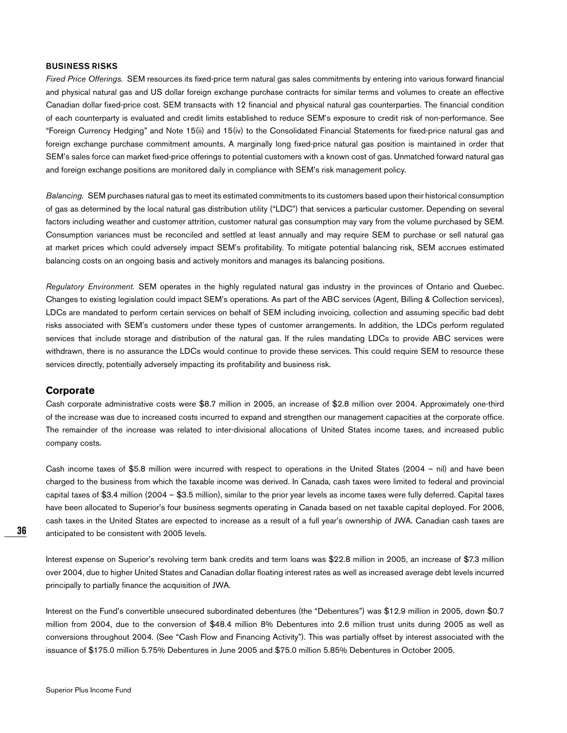## **BUSINESS RISKS**

Fixed Price Offerings. SEM resources its fixed-price term natural gas sales commitments by entering into various forward financial and physical natural gas and US dollar foreign exchange purchase contracts for similar terms and volumes to create an effective Canadian dollar fixed-price cost. SEM transacts with 12 financial and physical natural gas counterparties. The financial condition of each counterparty is evaluated and credit limits established to reduce SEM's exposure to credit risk of non-performance. See "Foreign Currency Hedging" and Note 15(ii) and 15(iv) to the Consolidated Financial Statements for fixed-price natural gas and foreign exchange purchase commitment amounts. A marginally long fixed-price natural gas position is maintained in order that SEM's sales force can market fixed-price offerings to potential customers with a known cost of gas. Unmatched forward natural gas and foreign exchange positions are monitored daily in compliance with SEM's risk management policy.

Balancing. SEM purchases natural gas to meet its estimated commitments to its customers based upon their historical consumption of gas as determined by the local natural gas distribution utility ("LDC") that services a particular customer. Depending on several factors including weather and customer attrition, customer natural gas consumption may vary from the volume purchased by SEM. Consumption variances must be reconciled and settled at least annually and may require SEM to purchase or sell natural gas at market prices which could adversely impact SEM's profitability. To mitigate potential balancing risk, SEM accrues estimated balancing costs on an ongoing basis and actively monitors and manages its balancing positions.

Regulatory Environment. SEM operates in the highly regulated natural gas industry in the provinces of Ontario and Quebec. Changes to existing legislation could impact SEM's operations. As part of the ABC services (Agent, Billing & Collection services), LDCs are mandated to perform certain services on behalf of SEM including invoicing, collection and assuming specific bad debt risks associated with SEM's customers under these types of customer arrangements. In addition, the LDCs perform regulated services that include storage and distribution of the natural gas. If the rules mandating LDCs to provide ABC services were withdrawn, there is no assurance the LDCs would continue to provide these services. This could require SEM to resource these services directly, potentially adversely impacting its profitability and business risk.

#### **Corporate**

Cash corporate administrative costs were \$8.7 million in 2005, an increase of \$2.8 million over 2004. Approximately one-third of the increase was due to increased costs incurred to expand and strengthen our management capacities at the corporate office. The remainder of the increase was related to inter-divisional allocations of United States income taxes, and increased public company costs.

Cash income taxes of \$5.8 million were incurred with respect to operations in the United States (2004 – nil) and have been charged to the business from which the taxable income was derived. In Canada, cash taxes were limited to federal and provincial capital taxes of \$3.4 million (2004 – \$3.5 million), similar to the prior year levels as income taxes were fully deferred. Capital taxes have been allocated to Superior's four business segments operating in Canada based on net taxable capital deployed. For 2006, cash taxes in the United States are expected to increase as a result of a full year's ownership of JWA. Canadian cash taxes are anticipated to be consistent with 2005 levels.

Interest expense on Superior's revolving term bank credits and term loans was \$22.8 million in 2005, an increase of \$7.3 million over 2004, due to higher United States and Canadian dollar floating interest rates as well as increased average debt levels incurred principally to partially finance the acquisition of JWA.

Interest on the Fund's convertible unsecured subordinated debentures (the "Debentures") was \$12.9 million in 2005, down \$0.7 million from 2004, due to the conversion of \$48.4 million 8% Debentures into 2.6 million trust units during 2005 as well as conversions throughout 2004. (See "Cash Flow and Financing Activity"). This was partially offset by interest associated with the issuance of \$175.0 million 5.75% Debentures in June 2005 and \$75.0 million 5.85% Debentures in October 2005.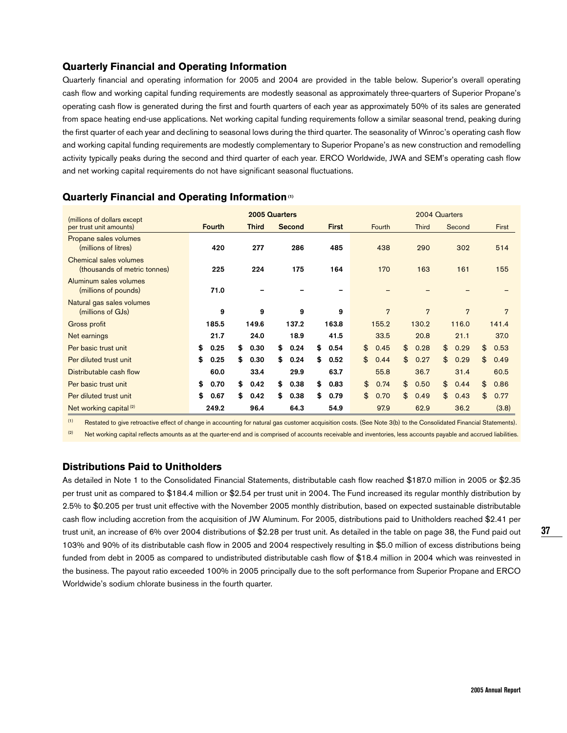## **Quarterly Financial and Operating Information**

Quarterly financial and operating information for 2005 and 2004 are provided in the table below. Superior's overall operating cash flow and working capital funding requirements are modestly seasonal as approximately three-quarters of Superior Propane's operating cash flow is generated during the first and fourth quarters of each year as approximately 50% of its sales are generated from space heating end-use applications. Net working capital funding requirements follow a similar seasonal trend, peaking during the first quarter of each year and declining to seasonal lows during the third quarter. The seasonality of Winroc's operating cash flow and working capital funding requirements are modestly complementary to Superior Propane's as new construction and remodelling activity typically peaks during the second and third quarter of each year. ERCO Worldwide, JWA and SEM's operating cash flow and net working capital requirements do not have significant seasonal fluctuations.

| (millions of dollars except                            |               | 2005 Quarters |               |              |                | 2004 Quarters  |            |            |
|--------------------------------------------------------|---------------|---------------|---------------|--------------|----------------|----------------|------------|------------|
| per trust unit amounts)                                | <b>Fourth</b> | <b>Third</b>  | <b>Second</b> | <b>First</b> | Fourth         | <b>Third</b>   | Second     | First      |
| Propane sales volumes<br>(millions of litres)          | 420           | 277           | 286           | 485          | 438            | 290            | 302        | 514        |
| Chemical sales volumes<br>(thousands of metric tonnes) | 225           | 224           | 175           | 164          | 170            | 163            | 161        | 155        |
| Aluminum sales volumes<br>(millions of pounds)         | 71.0          |               |               |              |                |                |            |            |
| Natural gas sales volumes<br>(millions of GJs)         | 9             | 9             | 9             | 9            | $\overline{7}$ | $\overline{7}$ | 7          | 7          |
| Gross profit                                           | 185.5         | 149.6         | 137.2         | 163.8        | 155.2          | 130.2          | 116.0      | 141.4      |
| Net earnings                                           | 21.7          | 24.0          | 18.9          | 41.5         | 33.5           | 20.8           | 21.1       | 37.0       |
| Per basic trust unit                                   | \$<br>0.25    | \$<br>0.30    | \$<br>0.24    | \$<br>0.54   | \$<br>0.45     | \$<br>0.28     | \$<br>0.29 | \$<br>0.53 |
| Per diluted trust unit                                 | \$<br>0.25    | \$<br>0.30    | \$<br>0.24    | \$<br>0.52   | \$<br>0.44     | \$<br>0.27     | \$<br>0.29 | \$<br>0.49 |
| Distributable cash flow                                | 60.0          | 33.4          | 29.9          | 63.7         | 55.8           | 36.7           | 31.4       | 60.5       |
| Per basic trust unit                                   | \$<br>0.70    | \$<br>0.42    | \$<br>0.38    | \$<br>0.83   | \$<br>0.74     | \$<br>0.50     | \$<br>0.44 | \$<br>0.86 |
| Per diluted trust unit                                 | \$<br>0.67    | \$<br>0.42    | \$<br>0.38    | \$<br>0.79   | \$<br>0.70     | \$<br>0.49     | \$<br>0.43 | \$<br>0.77 |
| Net working capital <sup>(2)</sup>                     | 249.2         | 96.4          | 64.3          | 54.9         | 97.9           | 62.9           | 36.2       | (3.8)      |

## **Quarterly Financial and Operating Information (1)**

(1) Restated to give retroactive effect of change in accounting for natural gas customer acquisition costs. (See Note 3(b) to the Consolidated Financial Statements).  $(2)$  Net working capital reflects amounts as at the quarter-end and is comprised of accounts receivable and inventories, less accounts payable and accrued liabilities.

## **Distributions Paid to Unitholders**

As detailed in Note 1 to the Consolidated Financial Statements, distributable cash flow reached \$187.0 million in 2005 or \$2.35 per trust unit as compared to \$184.4 million or \$2.54 per trust unit in 2004. The Fund increased its regular monthly distribution by 2.5% to \$0.205 per trust unit effective with the November 2005 monthly distribution, based on expected sustainable distributable cash flow including accretion from the acquisition of JW Aluminum. For 2005, distributions paid to Unitholders reached \$2.41 per trust unit, an increase of 6% over 2004 distributions of \$2.28 per trust unit. As detailed in the table on page 38, the Fund paid out 103% and 90% of its distributable cash flow in 2005 and 2004 respectively resulting in \$5.0 million of excess distributions being funded from debt in 2005 as compared to undistributed distributable cash flow of \$18.4 million in 2004 which was reinvested in the business. The payout ratio exceeded 100% in 2005 principally due to the soft performance from Superior Propane and ERCO Worldwide's sodium chlorate business in the fourth quarter.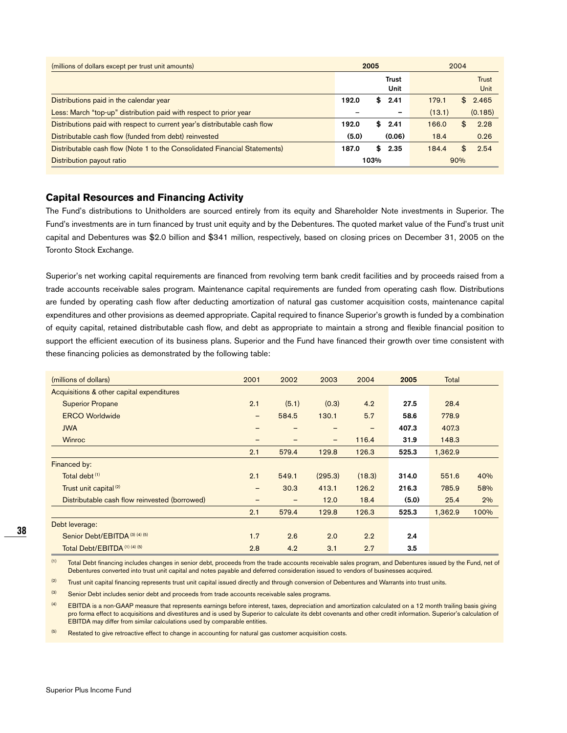| (millions of dollars except per trust unit amounts)                       |       | 2005         |        | 2004         |  |  |
|---------------------------------------------------------------------------|-------|--------------|--------|--------------|--|--|
|                                                                           |       | <b>Trust</b> |        | <b>Trust</b> |  |  |
|                                                                           |       | Unit         |        | Unit         |  |  |
| Distributions paid in the calendar year                                   | 192.0 | S.<br>2.41   | 179.1  | 2.465<br>£   |  |  |
| Less: March "top-up" distribution paid with respect to prior year         |       |              | (13.1) | (0.185)      |  |  |
| Distributions paid with respect to current year's distributable cash flow | 192.0 | \$<br>2.41   | 166.0  | 2.28<br>£    |  |  |
| Distributable cash flow (funded from debt) reinvested                     | (5.0) | (0.06)       | 18.4   | 0.26         |  |  |
| Distributable cash flow (Note 1 to the Consolidated Financial Statements) | 187.0 | \$<br>2.35   | 184.4  | \$<br>2.54   |  |  |
| Distribution payout ratio                                                 |       | 103%         |        | 90%          |  |  |

## **Capital Resources and Financing Activity**

The Fund's distributions to Unitholders are sourced entirely from its equity and Shareholder Note investments in Superior. The Fund's investments are in turn financed by trust unit equity and by the Debentures. The quoted market value of the Fund's trust unit capital and Debentures was \$2.0 billion and \$341 million, respectively, based on closing prices on December 31, 2005 on the Toronto Stock Exchange.

Superior's net working capital requirements are financed from revolving term bank credit facilities and by proceeds raised from a trade accounts receivable sales program. Maintenance capital requirements are funded from operating cash flow. Distributions are funded by operating cash flow after deducting amortization of natural gas customer acquisition costs, maintenance capital expenditures and other provisions as deemed appropriate. Capital required to finance Superior's growth is funded by a combination of equity capital, retained distributable cash flow, and debt as appropriate to maintain a strong and flexible financial position to support the efficient execution of its business plans. Superior and the Fund have financed their growth over time consistent with these financing policies as demonstrated by the following table:

| (millions of dollars)                         | 2001                     | 2002              | 2003            | 2004   | 2005  | Total   |      |
|-----------------------------------------------|--------------------------|-------------------|-----------------|--------|-------|---------|------|
| Acquisitions & other capital expenditures     |                          |                   |                 |        |       |         |      |
| <b>Superior Propane</b>                       | 2.1                      | (5.1)             | (0.3)           | 4.2    | 27.5  | 28.4    |      |
| <b>ERCO Worldwide</b>                         | $\qquad \qquad -$        | 584.5             | 130.1           | 5.7    | 58.6  | 778.9   |      |
| <b>JWA</b>                                    | $\overline{\phantom{0}}$ |                   | $\qquad \qquad$ | -      | 407.3 | 407.3   |      |
| <b>Winroc</b>                                 | -                        |                   | -               | 116.4  | 31.9  | 148.3   |      |
|                                               | 2.1                      | 579.4             | 129.8           | 126.3  | 525.3 | 1,362.9 |      |
| Financed by:                                  |                          |                   |                 |        |       |         |      |
| Total debt <sup>(1)</sup>                     | 2.1                      | 549.1             | (295.3)         | (18.3) | 314.0 | 551.6   | 40%  |
| Trust unit capital <sup>(2)</sup>             | $\qquad \qquad -$        | 30.3              | 413.1           | 126.2  | 216.3 | 785.9   | 58%  |
| Distributable cash flow reinvested (borrowed) | $\overline{\phantom{0}}$ | $\qquad \qquad -$ | 12.0            | 18.4   | (5.0) | 25.4    | 2%   |
|                                               | 2.1                      | 579.4             | 129.8           | 126.3  | 525.3 | 1,362.9 | 100% |
| Debt leverage:                                |                          |                   |                 |        |       |         |      |
| Senior Debt/EBITDA (3) (4) (5)                | 1.7                      | 2.6               | 2.0             | 2.2    | 2.4   |         |      |
| Total Debt/EBITDA (1) (4) (5)                 | 2.8                      | 4.2               | 3.1             | 2.7    | 3.5   |         |      |

(1) Total Debt financing includes changes in senior debt, proceeds from the trade accounts receivable sales program, and Debentures issued by the Fund, net of Debentures converted into trust unit capital and notes payable and deferred consideration issued to vendors of businesses acquired.

<sup>(2)</sup> Trust unit capital financing represents trust unit capital issued directly and through conversion of Debentures and Warrants into trust units.

(3) Senior Debt includes senior debt and proceeds from trade accounts receivable sales programs.

(4) EBITDA is a non-GAAP measure that represents earnings before interest, taxes, depreciation and amortization calculated on a 12 month trailing basis giving pro forma effect to acquisitions and divestitures and is used by Superior to calculate its debt covenants and other credit information. Superior's calculation of EBITDA may differ from similar calculations used by comparable entities.

 $(5)$  Restated to give retroactive effect to change in accounting for natural gas customer acquisition costs.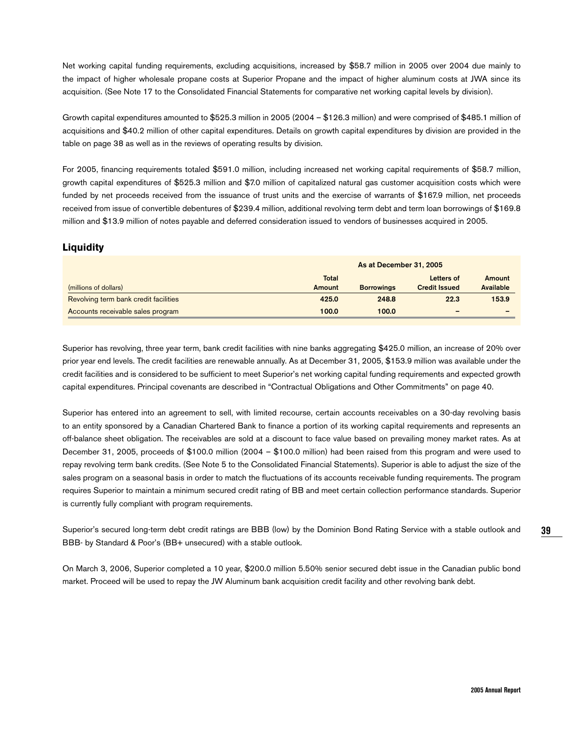Net working capital funding requirements, excluding acquisitions, increased by \$58.7 million in 2005 over 2004 due mainly to the impact of higher wholesale propane costs at Superior Propane and the impact of higher aluminum costs at JWA since its acquisition. (See Note 17 to the Consolidated Financial Statements for comparative net working capital levels by division).

Growth capital expenditures amounted to \$525.3 million in 2005 (2004 – \$126.3 million) and were comprised of \$485.1 million of acquisitions and \$40.2 million of other capital expenditures. Details on growth capital expenditures by division are provided in the table on page 38 as well as in the reviews of operating results by division.

For 2005, financing requirements totaled \$591.0 million, including increased net working capital requirements of \$58.7 million, growth capital expenditures of \$525.3 million and \$7.0 million of capitalized natural gas customer acquisition costs which were funded by net proceeds received from the issuance of trust units and the exercise of warrants of \$167.9 million, net proceeds received from issue of convertible debentures of \$239.4 million, additional revolving term debt and term loan borrowings of \$169.8 million and \$13.9 million of notes payable and deferred consideration issued to vendors of businesses acquired in 2005.

## **Liquidity**

|                                       | As at December 31, 2005 |                   |                          |           |  |  |
|---------------------------------------|-------------------------|-------------------|--------------------------|-----------|--|--|
|                                       | <b>Total</b>            |                   | Letters of               | Amount    |  |  |
| (millions of dollars)                 | Amount                  | <b>Borrowings</b> | <b>Credit Issued</b>     | Available |  |  |
| Revolving term bank credit facilities | 425.0                   | 248.8             | 22.3                     | 153.9     |  |  |
| Accounts receivable sales program     | 100.0                   | 100.0             | $\overline{\phantom{0}}$ |           |  |  |

Superior has revolving, three year term, bank credit facilities with nine banks aggregating \$425.0 million, an increase of 20% over prior year end levels. The credit facilities are renewable annually. As at December 31, 2005, \$153.9 million was available under the credit facilities and is considered to be sufficient to meet Superior's net working capital funding requirements and expected growth capital expenditures. Principal covenants are described in "Contractual Obligations and Other Commitments" on page 40.

Superior has entered into an agreement to sell, with limited recourse, certain accounts receivables on a 30-day revolving basis to an entity sponsored by a Canadian Chartered Bank to finance a portion of its working capital requirements and represents an off-balance sheet obligation. The receivables are sold at a discount to face value based on prevailing money market rates. As at December 31, 2005, proceeds of \$100.0 million (2004 – \$100.0 million) had been raised from this program and were used to repay revolving term bank credits. (See Note 5 to the Consolidated Financial Statements). Superior is able to adjust the size of the sales program on a seasonal basis in order to match the fluctuations of its accounts receivable funding requirements. The program requires Superior to maintain a minimum secured credit rating of BB and meet certain collection performance standards. Superior is currently fully compliant with program requirements.

Superior's secured long-term debt credit ratings are BBB (low) by the Dominion Bond Rating Service with a stable outlook and BBB- by Standard & Poor's (BB+ unsecured) with a stable outlook.

On March 3, 2006, Superior completed a 10 year, \$200.0 million 5.50% senior secured debt issue in the Canadian public bond market. Proceed will be used to repay the JW Aluminum bank acquisition credit facility and other revolving bank debt.

**39**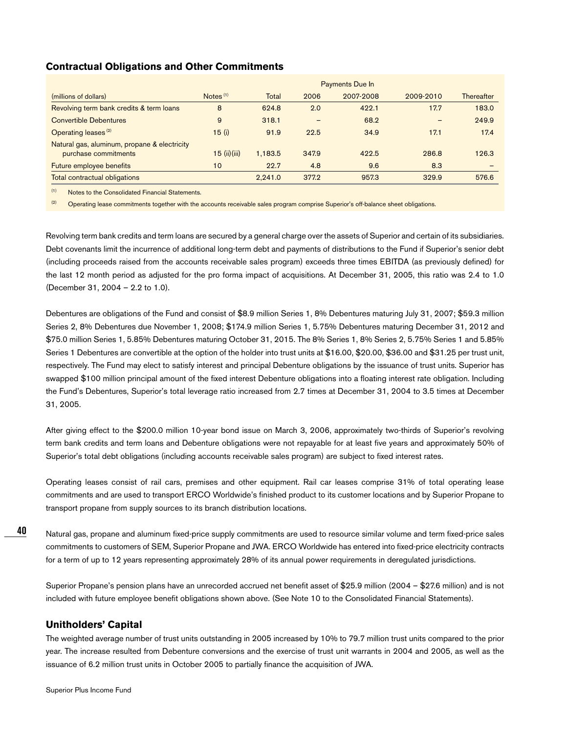## **Contractual Obligations and Other Commitments**

|                                              |                      |              |                          | <b>Payments Due In</b> |           |            |
|----------------------------------------------|----------------------|--------------|--------------------------|------------------------|-----------|------------|
| (millions of dollars)                        | Notes <sup>(1)</sup> | <b>Total</b> | 2006                     | 2007-2008              | 2009-2010 | Thereafter |
| Revolving term bank credits & term loans     | 8                    | 624.8        | 2.0                      | 422.1                  | 17.7      | 183.0      |
| <b>Convertible Debentures</b>                | 9                    | 318.1        | $\overline{\phantom{0}}$ | 68.2                   |           | 249.9      |
| Operating leases <sup>(2)</sup>              | 15(i)                | 91.9         | 22.5                     | 34.9                   | 17.1      | 17.4       |
| Natural gas, aluminum, propane & electricity |                      |              |                          |                        |           |            |
| purchase commitments                         | $15$ (ii) (iii)      | 1,183.5      | 347.9                    | 422.5                  | 286.8     | 126.3      |
| Future employee benefits                     | 10                   | 22.7         | 4.8                      | 9.6                    | 8.3       |            |
| Total contractual obligations                |                      | 2.241.0      | 377.2                    | 957.3                  | 329.9     | 576.6      |

(1) Notes to the Consolidated Financial Statements.

<sup>(2)</sup> Operating lease commitments together with the accounts receivable sales program comprise Superior's off-balance sheet obligations.

Revolving term bank credits and term loans are secured by a general charge over the assets of Superior and certain of its subsidiaries. Debt covenants limit the incurrence of additional long-term debt and payments of distributions to the Fund if Superior's senior debt (including proceeds raised from the accounts receivable sales program) exceeds three times EBITDA (as previously defined) for the last 12 month period as adjusted for the pro forma impact of acquisitions. At December 31, 2005, this ratio was 2.4 to 1.0 (December 31, 2004 – 2.2 to 1.0).

Debentures are obligations of the Fund and consist of \$8.9 million Series 1, 8% Debentures maturing July 31, 2007; \$59.3 million Series 2, 8% Debentures due November 1, 2008; \$174.9 million Series 1, 5.75% Debentures maturing December 31, 2012 and \$75.0 million Series 1, 5.85% Debentures maturing October 31, 2015. The 8% Series 1, 8% Series 2, 5.75% Series 1 and 5.85% Series 1 Debentures are convertible at the option of the holder into trust units at \$16.00, \$20.00, \$36.00 and \$31.25 per trust unit, respectively. The Fund may elect to satisfy interest and principal Debenture obligations by the issuance of trust units. Superior has swapped \$100 million principal amount of the fixed interest Debenture obligations into a floating interest rate obligation. Including the Fund's Debentures, Superior's total leverage ratio increased from 2.7 times at December 31, 2004 to 3.5 times at December 31, 2005.

After giving effect to the \$200.0 million 10-year bond issue on March 3, 2006, approximately two-thirds of Superior's revolving term bank credits and term loans and Debenture obligations were not repayable for at least five years and approximately 50% of Superior's total debt obligations (including accounts receivable sales program) are subject to fixed interest rates.

Operating leases consist of rail cars, premises and other equipment. Rail car leases comprise 31% of total operating lease commitments and are used to transport ERCO Worldwide's finished product to its customer locations and by Superior Propane to transport propane from supply sources to its branch distribution locations.

**40**

Natural gas, propane and aluminum fixed-price supply commitments are used to resource similar volume and term fixed-price sales commitments to customers of SEM, Superior Propane and JWA. ERCO Worldwide has entered into fixed-price electricity contracts for a term of up to 12 years representing approximately 28% of its annual power requirements in deregulated jurisdictions.

Superior Propane's pension plans have an unrecorded accrued net benefit asset of \$25.9 million (2004 – \$27.6 million) and is not included with future employee benefit obligations shown above. (See Note 10 to the Consolidated Financial Statements).

## **Unitholders' Capital**

The weighted average number of trust units outstanding in 2005 increased by 10% to 79.7 million trust units compared to the prior year. The increase resulted from Debenture conversions and the exercise of trust unit warrants in 2004 and 2005, as well as the issuance of 6.2 million trust units in October 2005 to partially finance the acquisition of JWA.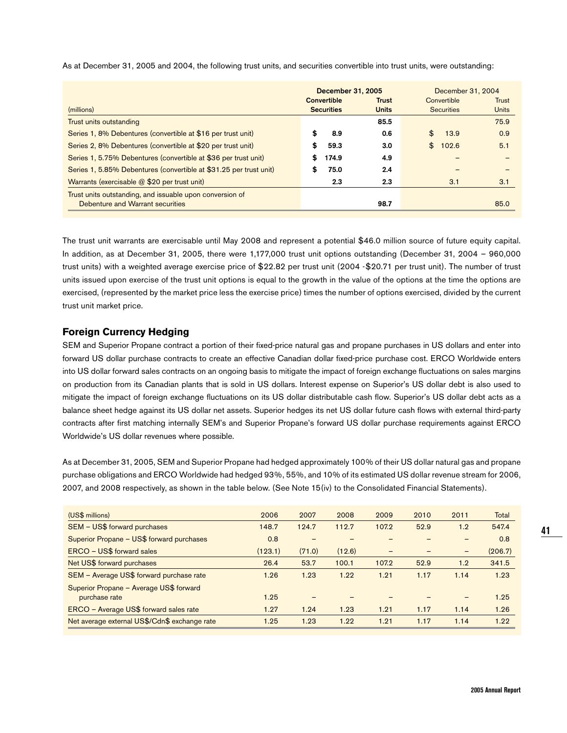|                                                                    | December 31, 2005 |                   |              |             | December 31, 2004 |              |
|--------------------------------------------------------------------|-------------------|-------------------|--------------|-------------|-------------------|--------------|
|                                                                    |                   | Convertible       | <b>Trust</b> | Convertible |                   | Trust        |
| (millions)                                                         |                   | <b>Securities</b> | <b>Units</b> |             | <b>Securities</b> | <b>Units</b> |
| Trust units outstanding                                            |                   |                   | 85.5         |             |                   | 75.9         |
| Series 1, 8% Debentures (convertible at \$16 per trust unit)       |                   | 8.9               | 0.6          | \$          | 13.9              | 0.9          |
| Series 2, 8% Debentures (convertible at \$20 per trust unit)       | S                 | 59.3              | 3.0          | \$          | 102.6             | 5.1          |
| Series 1, 5.75% Debentures (convertible at \$36 per trust unit)    | S                 | 174.9             | 4.9          |             |                   |              |
| Series 1, 5.85% Debentures (convertible at \$31.25 per trust unit) | \$                | 75.0              | 2.4          |             |                   |              |
| Warrants (exercisable @ \$20 per trust unit)                       |                   | 2.3               | 2.3          |             | 3.1               | 3.1          |
| Trust units outstanding, and issuable upon conversion of           |                   |                   |              |             |                   |              |
| Debenture and Warrant securities                                   |                   |                   | 98.7         |             |                   | 85.0         |

As at December 31, 2005 and 2004, the following trust units, and securities convertible into trust units, were outstanding:

The trust unit warrants are exercisable until May 2008 and represent a potential \$46.0 million source of future equity capital. In addition, as at December 31, 2005, there were 1,177,000 trust unit options outstanding (December 31, 2004 – 960,000 trust units) with a weighted average exercise price of \$22.82 per trust unit (2004 -\$20.71 per trust unit). The number of trust units issued upon exercise of the trust unit options is equal to the growth in the value of the options at the time the options are exercised, (represented by the market price less the exercise price) times the number of options exercised, divided by the current trust unit market price.

## **Foreign Currency Hedging**

SEM and Superior Propane contract a portion of their fixed-price natural gas and propane purchases in US dollars and enter into forward US dollar purchase contracts to create an effective Canadian dollar fixed-price purchase cost. ERCO Worldwide enters into US dollar forward sales contracts on an ongoing basis to mitigate the impact of foreign exchange fluctuations on sales margins on production from its Canadian plants that is sold in US dollars. Interest expense on Superior's US dollar debt is also used to mitigate the impact of foreign exchange fluctuations on its US dollar distributable cash flow. Superior's US dollar debt acts as a balance sheet hedge against its US dollar net assets. Superior hedges its net US dollar future cash flows with external third-party contracts after first matching internally SEM's and Superior Propane's forward US dollar purchase requirements against ERCO Worldwide's US dollar revenues where possible.

As at December 31, 2005, SEM and Superior Propane had hedged approximately 100% of their US dollar natural gas and propane purchase obligations and ERCO Worldwide had hedged 93%, 55%, and 10% of its estimated US dollar revenue stream for 2006, 2007, and 2008 respectively, as shown in the table below. (See Note 15(iv) to the Consolidated Financial Statements).

| 2006    | 2007   | 2008   | 2009  | 2010 | 2011 | <b>Total</b> |
|---------|--------|--------|-------|------|------|--------------|
| 148.7   | 124.7  | 112.7  | 107.2 | 52.9 | 1.2  | 547.4        |
| 0.8     |        |        |       |      |      | 0.8          |
| (123.1) | (71.0) | (12.6) | -     |      | -    | (206.7)      |
| 26.4    | 53.7   | 100.1  | 107.2 | 52.9 | 1.2  | 341.5        |
| 1.26    | 1.23   | 1.22   | 1.21  | 1.17 | 1.14 | 1.23         |
|         |        |        |       |      |      |              |
| 1.25    |        |        |       |      |      | 1.25         |
| 1.27    | 1.24   | 1.23   | 1.21  | 1.17 | 1.14 | 1.26         |
| 1.25    | 1.23   | 1.22   | 1.21  | 1.17 | 1.14 | 1.22         |
|         |        |        |       |      |      |              |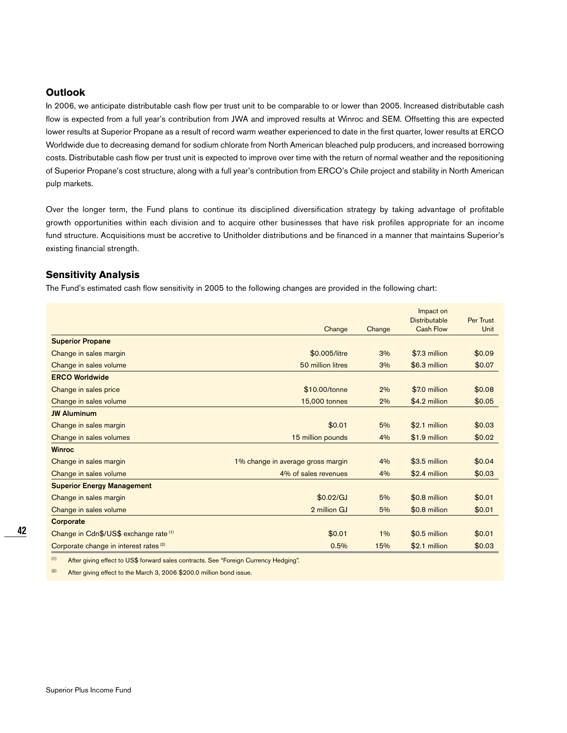## **Outlook**

In 2006, we anticipate distributable cash flow per trust unit to be comparable to or lower than 2005. Increased distributable cash flow is expected from a full year's contribution from JWA and improved results at Winroc and SEM. Offsetting this are expected lower results at Superior Propane as a result of record warm weather experienced to date in the first quarter, lower results at ERCO Worldwide due to decreasing demand for sodium chlorate from North American bleached pulp producers, and increased borrowing costs. Distributable cash flow per trust unit is expected to improve over time with the return of normal weather and the repositioning of Superior Propane's cost structure, along with a full year's contribution from ERCO's Chile project and stability in North American pulp markets.

Over the longer term, the Fund plans to continue its disciplined diversification strategy by taking advantage of profitable growth opportunities within each division and to acquire other businesses that have risk profiles appropriate for an income fund structure. Acquisitions must be accretive to Unitholder distributions and be financed in a manner that maintains Superior's existing financial strength.

## **Sensitivity Analysis**

The Fund's estimated cash flow sensitivity in 2005 to the following changes are provided in the following chart:

|                                                   |                                   |        | Impact on<br><b>Distributable</b> | Per Trust |
|---------------------------------------------------|-----------------------------------|--------|-----------------------------------|-----------|
|                                                   | Change                            | Change | <b>Cash Flow</b>                  | Unit      |
| <b>Superior Propane</b>                           |                                   |        |                                   |           |
| Change in sales margin                            | \$0.005/litre                     | 3%     | \$7.3 million                     | \$0.09    |
| Change in sales volume                            | 50 million litres                 | 3%     | \$6.3 million                     | \$0.07    |
| <b>ERCO Worldwide</b>                             |                                   |        |                                   |           |
| Change in sales price                             | \$10.00/tonne                     | 2%     | \$7.0 million                     | \$0.08    |
| Change in sales volume                            | 15,000 tonnes                     | 2%     | \$4.2 million                     | \$0.05    |
| <b>JW Aluminum</b>                                |                                   |        |                                   |           |
| Change in sales margin                            | \$0.01                            | 5%     | \$2.1 million                     | \$0.03    |
| Change in sales volumes                           | 15 million pounds                 | 4%     | \$1.9 million                     | \$0.02    |
| <b>Winroc</b>                                     |                                   |        |                                   |           |
| Change in sales margin                            | 1% change in average gross margin | 4%     | \$3.5 million                     | \$0.04    |
| Change in sales volume                            | 4% of sales revenues              | 4%     | \$2.4 million                     | \$0.03    |
| <b>Superior Energy Management</b>                 |                                   |        |                                   |           |
| Change in sales margin                            | \$0.02/GJ                         | 5%     | \$0.8 million                     | \$0.01    |
| Change in sales volume                            | 2 million GJ                      | 5%     | \$0.8 million                     | \$0.01    |
| Corporate                                         |                                   |        |                                   |           |
| Change in Cdn\$/US\$ exchange rate (1)            | \$0.01                            | 1%     | \$0.5 million                     | \$0.01    |
| Corporate change in interest rates <sup>(2)</sup> | 0.5%                              | 15%    | \$2.1 million                     | \$0.03    |

(1) After giving effect to US\$ forward sales contracts. See "Foreign Currency Hedging".

 $(2)$  After giving effect to the March 3, 2006 \$200.0 million bond issue.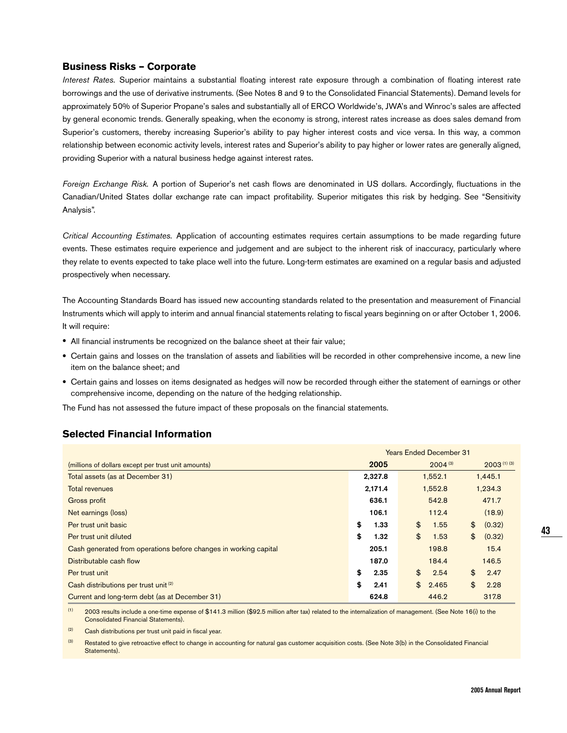## **Business Risks – Corporate**

Interest Rates. Superior maintains a substantial floating interest rate exposure through a combination of floating interest rate borrowings and the use of derivative instruments. (See Notes 8 and 9 to the Consolidated Financial Statements). Demand levels for approximately 50% of Superior Propane's sales and substantially all of ERCO Worldwide's, JWA's and Winroc's sales are affected by general economic trends. Generally speaking, when the economy is strong, interest rates increase as does sales demand from Superior's customers, thereby increasing Superior's ability to pay higher interest costs and vice versa. In this way, a common relationship between economic activity levels, interest rates and Superior's ability to pay higher or lower rates are generally aligned, providing Superior with a natural business hedge against interest rates.

Foreign Exchange Risk. A portion of Superior's net cash flows are denominated in US dollars. Accordingly, fluctuations in the Canadian/United States dollar exchange rate can impact profitability. Superior mitigates this risk by hedging. See "Sensitivity Analysis".

Critical Accounting Estimates. Application of accounting estimates requires certain assumptions to be made regarding future events. These estimates require experience and judgement and are subject to the inherent risk of inaccuracy, particularly where they relate to events expected to take place well into the future. Long-term estimates are examined on a regular basis and adjusted prospectively when necessary.

The Accounting Standards Board has issued new accounting standards related to the presentation and measurement of Financial Instruments which will apply to interim and annual financial statements relating to fiscal years beginning on or after October 1, 2006. It will require:

- All financial instruments be recognized on the balance sheet at their fair value;
- Certain gains and losses on the translation of assets and liabilities will be recorded in other comprehensive income, a new line item on the balance sheet; and
- Certain gains and losses on items designated as hedges will now be recorded through either the statement of earnings or other comprehensive income, depending on the nature of the hedging relationship.

The Fund has not assessed the future impact of these proposals on the financial statements.

## **Selected Financial Information**

|                                                                  | <b>Years Ended December 31</b> |                       |                         |  |  |
|------------------------------------------------------------------|--------------------------------|-----------------------|-------------------------|--|--|
| (millions of dollars except per trust unit amounts)              | 2005                           | $2004^{(3)}$          | $2003^{(1)(3)}$         |  |  |
| Total assets (as at December 31)                                 | 2,327.8                        | 1,552.1               | 1,445.1                 |  |  |
| <b>Total revenues</b>                                            | 2,171.4                        | 1,552.8               | 1,234.3                 |  |  |
| Gross profit                                                     | 636.1                          | 542.8                 | 471.7                   |  |  |
| Net earnings (loss)                                              | 106.1                          | 112.4                 | (18.9)                  |  |  |
| Per trust unit basic                                             | \$<br>1.33                     | $\mathbf{\$}$<br>1.55 | $\mathbf{\$}$<br>(0.32) |  |  |
| Per trust unit diluted                                           | \$<br>1.32                     | \$<br>1.53            | \$<br>(0.32)            |  |  |
| Cash generated from operations before changes in working capital | 205.1                          | 198.8                 | 15.4                    |  |  |
| Distributable cash flow                                          | 187.0                          | 184.4                 | 146.5                   |  |  |
| Per trust unit                                                   | \$<br>2.35                     | \$<br>2.54            | \$<br>2.47              |  |  |
| Cash distributions per trust unit <sup>(2)</sup>                 | \$<br>2.41                     | \$<br>2.465           | \$<br>2.28              |  |  |
| Current and long-term debt (as at December 31)                   | 624.8                          | 446.2                 | 317.8                   |  |  |

 $(1)$  2003 results include a one-time expense of \$141.3 million (\$92.5 million after tax) related to the internalization of management. (See Note 16(i) to the Consolidated Financial Statements).

(2) Cash distributions per trust unit paid in fiscal year.

(3) Restated to give retroactive effect to change in accounting for natural gas customer acquisition costs. (See Note 3(b) in the Consolidated Financial Statements).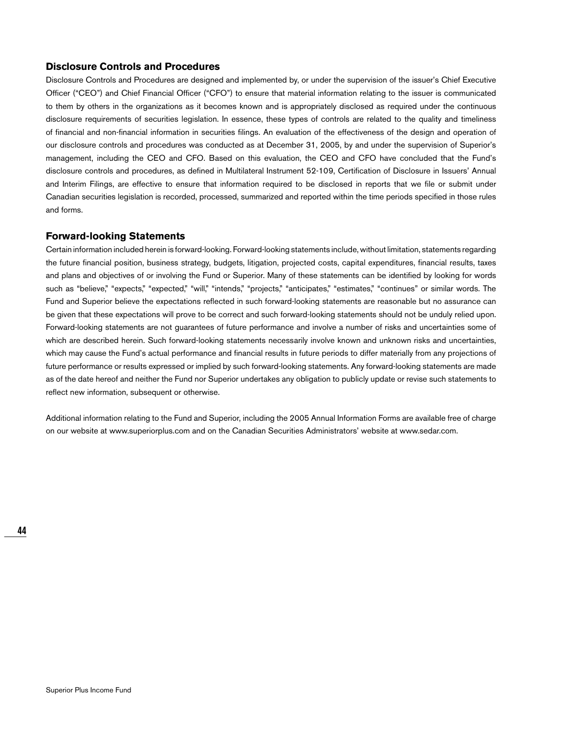## **Disclosure Controls and Procedures**

Disclosure Controls and Procedures are designed and implemented by, or under the supervision of the issuer's Chief Executive Officer ("CEO") and Chief Financial Officer ("CFO") to ensure that material information relating to the issuer is communicated to them by others in the organizations as it becomes known and is appropriately disclosed as required under the continuous disclosure requirements of securities legislation. In essence, these types of controls are related to the quality and timeliness of financial and non-financial information in securities filings. An evaluation of the effectiveness of the design and operation of our disclosure controls and procedures was conducted as at December 31, 2005, by and under the supervision of Superior's management, including the CEO and CFO. Based on this evaluation, the CEO and CFO have concluded that the Fund's disclosure controls and procedures, as defined in Multilateral Instrument 52-109, Certification of Disclosure in Issuers' Annual and Interim Filings, are effective to ensure that information required to be disclosed in reports that we file or submit under Canadian securities legislation is recorded, processed, summarized and reported within the time periods specified in those rules and forms.

### **Forward-looking Statements**

Certain information included herein is forward-looking. Forward-looking statements include, without limitation, statements regarding the future financial position, business strategy, budgets, litigation, projected costs, capital expenditures, financial results, taxes and plans and objectives of or involving the Fund or Superior. Many of these statements can be identified by looking for words such as "believe," "expects," "expected," "will," "intends," "projects," "anticipates," "estimates," "continues" or similar words. The Fund and Superior believe the expectations reflected in such forward-looking statements are reasonable but no assurance can be given that these expectations will prove to be correct and such forward-looking statements should not be unduly relied upon. Forward-looking statements are not guarantees of future performance and involve a number of risks and uncertainties some of which are described herein. Such forward-looking statements necessarily involve known and unknown risks and uncertainties, which may cause the Fund's actual performance and financial results in future periods to differ materially from any projections of future performance or results expressed or implied by such forward-looking statements. Any forward-looking statements are made as of the date hereof and neither the Fund nor Superior undertakes any obligation to publicly update or revise such statements to reflect new information, subsequent or otherwise.

Additional information relating to the Fund and Superior, including the 2005 Annual Information Forms are available free of charge on our website at www.superiorplus.com and on the Canadian Securities Administrators' website at www.sedar.com.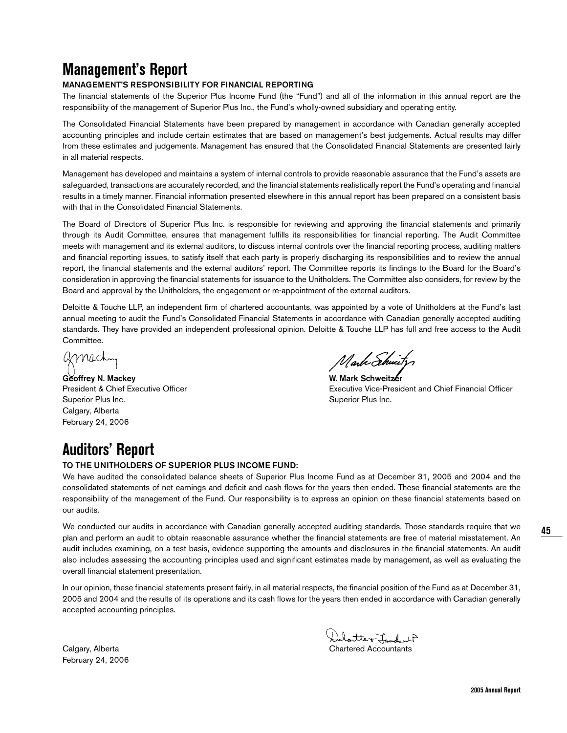# **Management's Report**

## **MANAGEMENT'S RESPONSIBILITY FOR FINANCIAL REPORTING**

The financial statements of the Superior Plus Income Fund (the "Fund") and all of the information in this annual report are the responsibility of the management of Superior Plus Inc., the Fund's wholly-owned subsidiary and operating entity.

The Consolidated Financial Statements have been prepared by management in accordance with Canadian generally accepted accounting principles and include certain estimates that are based on management's best judgements. Actual results may differ from these estimates and judgements. Management has ensured that the Consolidated Financial Statements are presented fairly in all material respects.

Management has developed and maintains a system of internal controls to provide reasonable assurance that the Fund's assets are safeguarded, transactions are accurately recorded, and the financial statements realistically report the Fund's operating and financial results in a timely manner. Financial information presented elsewhere in this annual report has been prepared on a consistent basis with that in the Consolidated Financial Statements.

The Board of Directors of Superior Plus Inc. is responsible for reviewing and approving the financial statements and primarily through its Audit Committee, ensures that management fulfills its responsibilities for financial reporting. The Audit Committee meets with management and its external auditors, to discuss internal controls over the financial reporting process, auditing matters and financial reporting issues, to satisfy itself that each party is properly discharging its responsibilities and to review the annual report, the financial statements and the external auditors' report. The Committee reports its findings to the Board for the Board's consideration in approving the financial statements for issuance to the Unitholders. The Committee also considers, for review by the Board and approval by the Unitholders, the engagement or re-appointment of the external auditors.

Deloitte & Touche LLP, an independent firm of chartered accountants, was appointed by a vote of Unitholders at the Fund's last annual meeting to audit the Fund's Consolidated Financial Statements in accordance with Canadian generally accepted auditing standards. They have provided an independent professional opinion. Deloitte & Touche LLP has full and free access to the Audit Committee.

amach

Geoffrey N. Mackey **W. Mark Schweitzer** Superior Plus Inc. **Superior Plus Inc.** Superior Plus Inc. Calgary, Alberta February 24, 2006

Mark Schwitz

President & Chief Executive Officer Executive Vice-President and Chief Financial Officer

# **Auditors' Report**

## **TO THE UNITHOLDERS OF SUPERIOR PLUS INCOME FUND:**

We have audited the consolidated balance sheets of Superior Plus Income Fund as at December 31, 2005 and 2004 and the consolidated statements of net earnings and deficit and cash flows for the years then ended. These financial statements are the responsibility of the management of the Fund. Our responsibility is to express an opinion on these financial statements based on our audits.

We conducted our audits in accordance with Canadian generally accepted auditing standards. Those standards require that we plan and perform an audit to obtain reasonable assurance whether the financial statements are free of material misstatement. An audit includes examining, on a test basis, evidence supporting the amounts and disclosures in the financial statements. An audit also includes assessing the accounting principles used and significant estimates made by management, as well as evaluating the overall financial statement presentation.

In our opinion, these financial statements present fairly, in all material respects, the financial position of the Fund as at December 31, 2005 and 2004 and the results of its operations and its cash flows for the years then ended in accordance with Canadian generally accepted accounting principles.

February 24, 2006

Calgary, Alberta Calgary, Alberta Chartered Accountants

**45**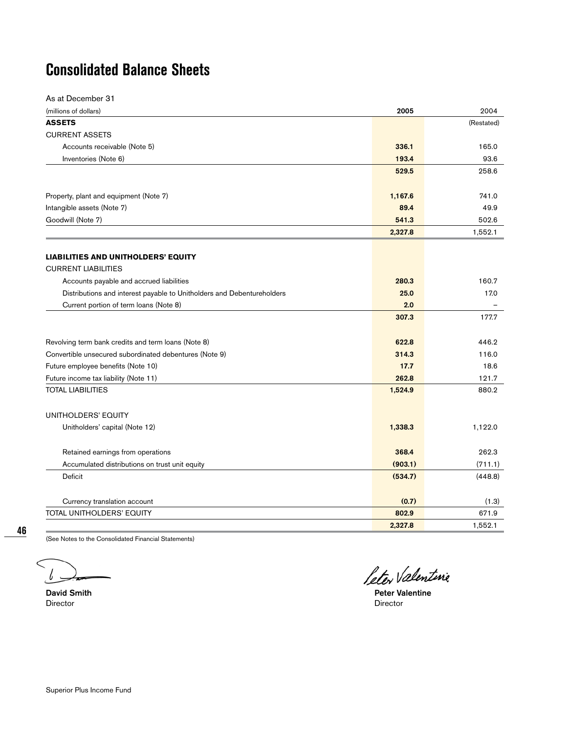# **Consolidated Balance Sheets**

| As at December 31                                                      |         |            |
|------------------------------------------------------------------------|---------|------------|
| (millions of dollars)                                                  | 2005    | 2004       |
| <b>ASSETS</b>                                                          |         | (Restated) |
| <b>CURRENT ASSETS</b>                                                  |         |            |
| Accounts receivable (Note 5)                                           | 336.1   | 165.0      |
| Inventories (Note 6)                                                   | 193.4   | 93.6       |
|                                                                        | 529.5   | 258.6      |
|                                                                        |         |            |
| Property, plant and equipment (Note 7)                                 | 1,167.6 | 741.0      |
| Intangible assets (Note 7)                                             | 89.4    | 49.9       |
| Goodwill (Note 7)                                                      | 541.3   | 502.6      |
|                                                                        | 2,327.8 | 1,552.1    |
|                                                                        |         |            |
| <b>LIABILITIES AND UNITHOLDERS' EQUITY</b>                             |         |            |
| <b>CURRENT LIABILITIES</b>                                             |         |            |
| Accounts payable and accrued liabilities                               | 280.3   | 160.7      |
| Distributions and interest payable to Unitholders and Debentureholders | 25.0    | 17.0       |
| Current portion of term loans (Note 8)                                 | 2.0     |            |
|                                                                        | 307.3   | 177.7      |
| Revolving term bank credits and term loans (Note 8)                    | 622.8   | 446.2      |
| Convertible unsecured subordinated debentures (Note 9)                 | 314.3   | 116.0      |
| Future employee benefits (Note 10)                                     | 17.7    | 18.6       |
| Future income tax liability (Note 11)                                  | 262.8   | 121.7      |
| <b>TOTAL LIABILITIES</b>                                               | 1,524.9 | 880.2      |
| UNITHOLDERS' EQUITY                                                    |         |            |
| Unitholders' capital (Note 12)                                         | 1,338.3 | 1,122.0    |
| Retained earnings from operations                                      | 368.4   | 262.3      |
| Accumulated distributions on trust unit equity                         | (903.1) | (711.1)    |
| Deficit                                                                | (534.7) | (448.8)    |
|                                                                        |         |            |
| Currency translation account                                           | (0.7)   | (1.3)      |
| TOTAL UNITHOLDERS' EQUITY                                              | 802.9   | 671.9      |
|                                                                        | 2,327.8 | 1,552.1    |

**46**

(See Notes to the Consolidated Financial Statements)

l

Director Director

Leter Valentine

**David Smith Peter Valentine**<br> **Director**<br> **Director**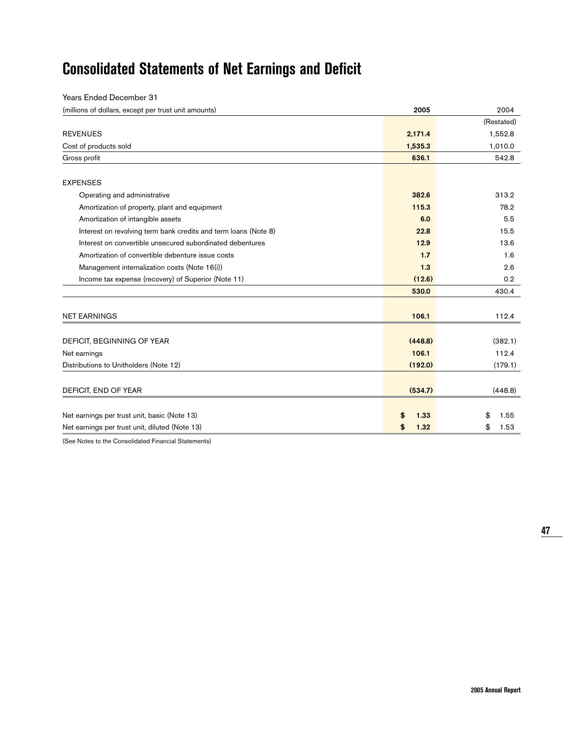# **Consolidated Statements of Net Earnings and Deficit**

| <b>Years Ended December 31</b>                                  |            |            |
|-----------------------------------------------------------------|------------|------------|
| (millions of dollars, except per trust unit amounts)            | 2005       | 2004       |
|                                                                 |            | (Restated) |
| <b>REVENUES</b>                                                 | 2,171.4    | 1,552.8    |
| Cost of products sold                                           | 1,535.3    | 1,010.0    |
| Gross profit                                                    | 636.1      | 542.8      |
| <b>EXPENSES</b>                                                 |            |            |
| Operating and administrative                                    | 382.6      | 313.2      |
| Amortization of property, plant and equipment                   | 115.3      | 78.2       |
| Amortization of intangible assets                               | 6.0        | 5.5        |
| Interest on revolving term bank credits and term loans (Note 8) | 22.8       | 15.5       |
| Interest on convertible unsecured subordinated debentures       | 12.9       | 13.6       |
| Amortization of convertible debenture issue costs               | 1.7        | 1.6        |
| Management internalization costs (Note 16(i))                   | 1.3        | 2.6        |
| Income tax expense (recovery) of Superior (Note 11)             | (12.6)     | 0.2        |
|                                                                 | 530.0      | 430.4      |
| <b>NET EARNINGS</b>                                             | 106.1      | 112.4      |
| DEFICIT, BEGINNING OF YEAR                                      | (448.8)    | (382.1)    |
| Net earnings                                                    | 106.1      | 112.4      |
| Distributions to Unitholders (Note 12)                          | (192.0)    | (179.1)    |
|                                                                 |            |            |
| DEFICIT, END OF YEAR                                            | (534.7)    | (448.8)    |
| Net earnings per trust unit, basic (Note 13)                    | \$<br>1.33 | \$<br>1.55 |
| Net earnings per trust unit, diluted (Note 13)                  | \$<br>1.32 | \$<br>1.53 |

(See Notes to the Consolidated Financial Statements)

**47**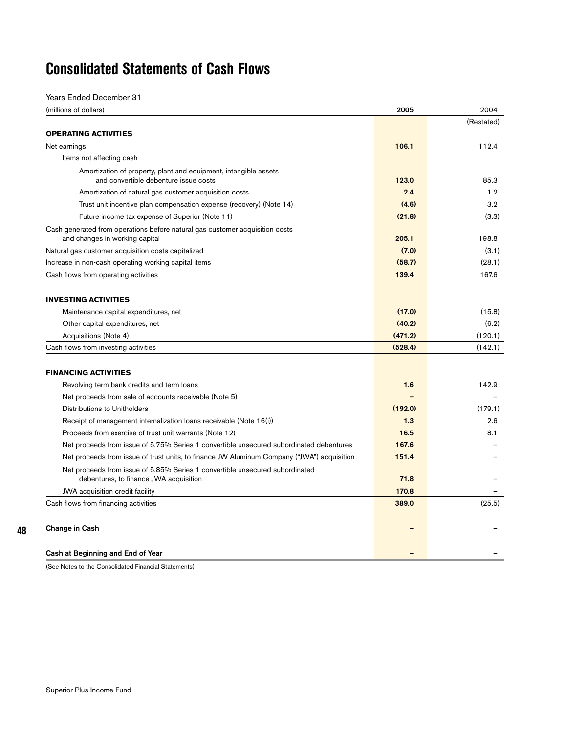# **Consolidated Statements of Cash Flows**

Years Ended December 31

| (millions of dollars)                                                                                                  | 2005    | 2004       |
|------------------------------------------------------------------------------------------------------------------------|---------|------------|
|                                                                                                                        |         | (Restated) |
| <b>OPERATING ACTIVITIES</b>                                                                                            |         |            |
| Net earnings                                                                                                           | 106.1   | 112.4      |
| Items not affecting cash                                                                                               |         |            |
| Amortization of property, plant and equipment, intangible assets                                                       |         |            |
| and convertible debenture issue costs                                                                                  | 123.0   | 85.3       |
| Amortization of natural gas customer acquisition costs                                                                 | 2.4     | 1.2        |
| Trust unit incentive plan compensation expense (recovery) (Note 14)                                                    | (4.6)   | 3.2        |
| Future income tax expense of Superior (Note 11)                                                                        | (21.8)  | (3.3)      |
| Cash generated from operations before natural gas customer acquisition costs<br>and changes in working capital         | 205.1   | 198.8      |
| Natural gas customer acquisition costs capitalized                                                                     | (7.0)   | (3.1)      |
| Increase in non-cash operating working capital items                                                                   | (58.7)  | (28.1)     |
| Cash flows from operating activities                                                                                   | 139.4   | 167.6      |
|                                                                                                                        |         |            |
| <b>INVESTING ACTIVITIES</b>                                                                                            |         |            |
| Maintenance capital expenditures, net                                                                                  | (17.0)  | (15.8)     |
| Other capital expenditures, net                                                                                        | (40.2)  | (6.2)      |
| Acquisitions (Note 4)                                                                                                  | (471.2) | (120.1)    |
| Cash flows from investing activities                                                                                   | (528.4) | (142.1)    |
|                                                                                                                        |         |            |
| <b>FINANCING ACTIVITIES</b>                                                                                            |         |            |
| Revolving term bank credits and term loans                                                                             | 1.6     | 142.9      |
| Net proceeds from sale of accounts receivable (Note 5)                                                                 |         |            |
| Distributions to Unitholders                                                                                           | (192.0) | (179.1)    |
| Receipt of management internalization loans receivable (Note 16(i))                                                    | 1.3     | 2.6        |
| Proceeds from exercise of trust unit warrants (Note 12)                                                                | 16.5    | 8.1        |
| Net proceeds from issue of 5.75% Series 1 convertible unsecured subordinated debentures                                | 167.6   |            |
| Net proceeds from issue of trust units, to finance JW Aluminum Company ("JWA") acquisition                             | 151.4   |            |
| Net proceeds from issue of 5.85% Series 1 convertible unsecured subordinated<br>debentures, to finance JWA acquisition | 71.8    |            |
| JWA acquisition credit facility                                                                                        | 170.8   |            |
| Cash flows from financing activities                                                                                   | 389.0   | (25.5)     |
|                                                                                                                        |         |            |
| Change in Cash                                                                                                         |         |            |
| Cash at Beginning and End of Year                                                                                      |         |            |

(See Notes to the Consolidated Financial Statements)

**48**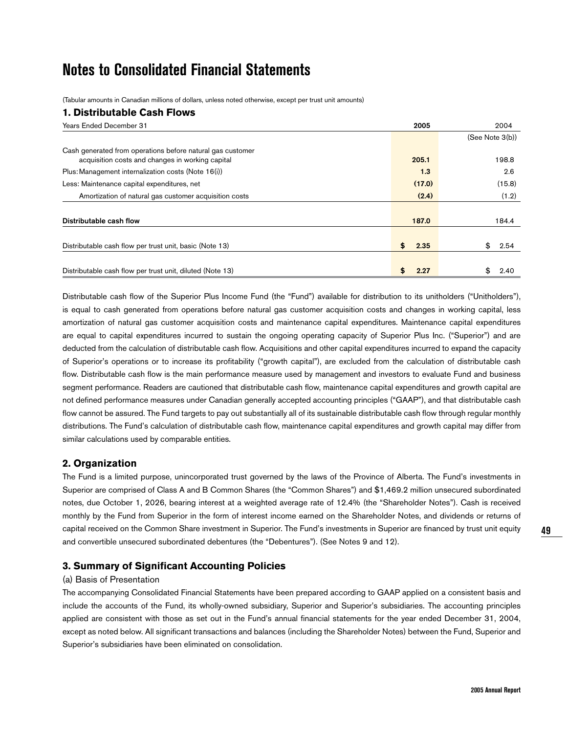# **Notes to Consolidated Financial Statements**

(Tabular amounts in Canadian millions of dollars, unless noted otherwise, except per trust unit amounts)

## **1. Distributable Cash Flows**

| <b>Years Ended December 31</b>                             | 2005       | 2004            |
|------------------------------------------------------------|------------|-----------------|
|                                                            |            | (See Note 3(b)) |
| Cash generated from operations before natural gas customer | 205.1      | 198.8           |
| acquisition costs and changes in working capital           |            |                 |
| Plus: Management internalization costs (Note 16(i))        | 1.3        | 2.6             |
| Less: Maintenance capital expenditures, net                | (17.0)     | (15.8)          |
| Amortization of natural gas customer acquisition costs     | (2.4)      | (1.2)           |
|                                                            |            |                 |
| Distributable cash flow                                    | 187.0      | 184.4           |
|                                                            |            |                 |
| Distributable cash flow per trust unit, basic (Note 13)    | \$<br>2.35 | \$<br>2.54      |
|                                                            |            |                 |
| Distributable cash flow per trust unit, diluted (Note 13)  | £<br>2.27  | 2.40            |

Distributable cash flow of the Superior Plus Income Fund (the "Fund") available for distribution to its unitholders ("Unitholders"), is equal to cash generated from operations before natural gas customer acquisition costs and changes in working capital, less amortization of natural gas customer acquisition costs and maintenance capital expenditures. Maintenance capital expenditures are equal to capital expenditures incurred to sustain the ongoing operating capacity of Superior Plus Inc. ("Superior") and are deducted from the calculation of distributable cash flow. Acquisitions and other capital expenditures incurred to expand the capacity of Superior's operations or to increase its profitability ("growth capital"), are excluded from the calculation of distributable cash flow. Distributable cash flow is the main performance measure used by management and investors to evaluate Fund and business segment performance. Readers are cautioned that distributable cash flow, maintenance capital expenditures and growth capital are not defined performance measures under Canadian generally accepted accounting principles ("GAAP"), and that distributable cash flow cannot be assured. The Fund targets to pay out substantially all of its sustainable distributable cash flow through regular monthly distributions. The Fund's calculation of distributable cash flow, maintenance capital expenditures and growth capital may differ from similar calculations used by comparable entities.

## **2. Organization**

The Fund is a limited purpose, unincorporated trust governed by the laws of the Province of Alberta. The Fund's investments in Superior are comprised of Class A and B Common Shares (the "Common Shares") and \$1,469.2 million unsecured subordinated notes, due October 1, 2026, bearing interest at a weighted average rate of 12.4% (the "Shareholder Notes"). Cash is received monthly by the Fund from Superior in the form of interest income earned on the Shareholder Notes, and dividends or returns of capital received on the Common Share investment in Superior. The Fund's investments in Superior are financed by trust unit equity and convertible unsecured subordinated debentures (the "Debentures"). (See Notes 9 and 12).

## **3. Summary of Significant Accounting Policies**

## (a) Basis of Presentation

The accompanying Consolidated Financial Statements have been prepared according to GAAP applied on a consistent basis and include the accounts of the Fund, its wholly-owned subsidiary, Superior and Superior's subsidiaries. The accounting principles applied are consistent with those as set out in the Fund's annual financial statements for the year ended December 31, 2004, except as noted below. All significant transactions and balances (including the Shareholder Notes) between the Fund, Superior and Superior's subsidiaries have been eliminated on consolidation.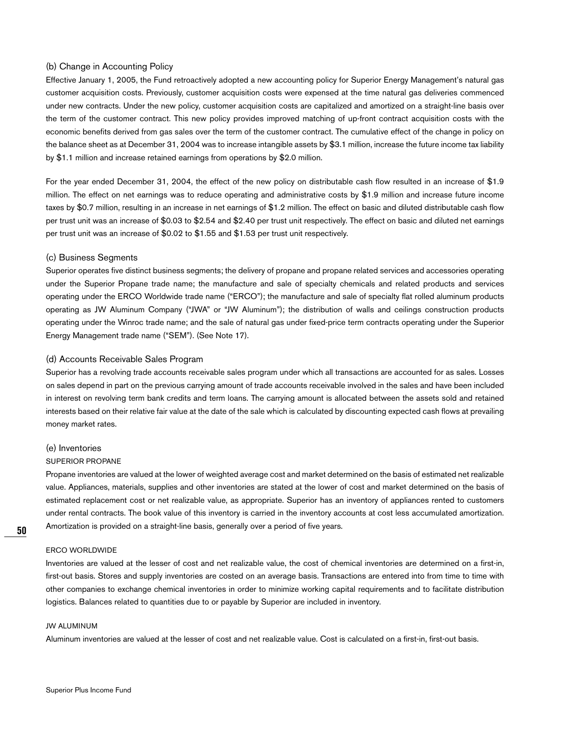#### (b) Change in Accounting Policy

Effective January 1, 2005, the Fund retroactively adopted a new accounting policy for Superior Energy Management's natural gas customer acquisition costs. Previously, customer acquisition costs were expensed at the time natural gas deliveries commenced under new contracts. Under the new policy, customer acquisition costs are capitalized and amortized on a straight-line basis over the term of the customer contract. This new policy provides improved matching of up-front contract acquisition costs with the economic benefits derived from gas sales over the term of the customer contract. The cumulative effect of the change in policy on the balance sheet as at December 31, 2004 was to increase intangible assets by \$3.1 million, increase the future income tax liability by \$1.1 million and increase retained earnings from operations by \$2.0 million.

For the year ended December 31, 2004, the effect of the new policy on distributable cash flow resulted in an increase of \$1.9 million. The effect on net earnings was to reduce operating and administrative costs by \$1.9 million and increase future income taxes by \$0.7 million, resulting in an increase in net earnings of \$1.2 million. The effect on basic and diluted distributable cash flow per trust unit was an increase of \$0.03 to \$2.54 and \$2.40 per trust unit respectively. The effect on basic and diluted net earnings per trust unit was an increase of \$0.02 to \$1.55 and \$1.53 per trust unit respectively.

## (c) Business Segments

Superior operates five distinct business segments; the delivery of propane and propane related services and accessories operating under the Superior Propane trade name; the manufacture and sale of specialty chemicals and related products and services operating under the ERCO Worldwide trade name ("ERCO"); the manufacture and sale of specialty flat rolled aluminum products operating as JW Aluminum Company ("JWA" or "JW Aluminum"); the distribution of walls and ceilings construction products operating under the Winroc trade name; and the sale of natural gas under fixed-price term contracts operating under the Superior Energy Management trade name ("SEM"). (See Note 17).

#### (d) Accounts Receivable Sales Program

Superior has a revolving trade accounts receivable sales program under which all transactions are accounted for as sales. Losses on sales depend in part on the previous carrying amount of trade accounts receivable involved in the sales and have been included in interest on revolving term bank credits and term loans. The carrying amount is allocated between the assets sold and retained interests based on their relative fair value at the date of the sale which is calculated by discounting expected cash flows at prevailing money market rates.

#### (e) Inventories

#### SUPERIOR PROPANE

Propane inventories are valued at the lower of weighted average cost and market determined on the basis of estimated net realizable value. Appliances, materials, supplies and other inventories are stated at the lower of cost and market determined on the basis of estimated replacement cost or net realizable value, as appropriate. Superior has an inventory of appliances rented to customers under rental contracts. The book value of this inventory is carried in the inventory accounts at cost less accumulated amortization. Amortization is provided on a straight-line basis, generally over a period of five years.

## ERCO WORLDWIDE

Inventories are valued at the lesser of cost and net realizable value, the cost of chemical inventories are determined on a first-in, first-out basis. Stores and supply inventories are costed on an average basis. Transactions are entered into from time to time with other companies to exchange chemical inventories in order to minimize working capital requirements and to facilitate distribution logistics. Balances related to quantities due to or payable by Superior are included in inventory.

#### JW ALUMINUM

Aluminum inventories are valued at the lesser of cost and net realizable value. Cost is calculated on a first-in, first-out basis.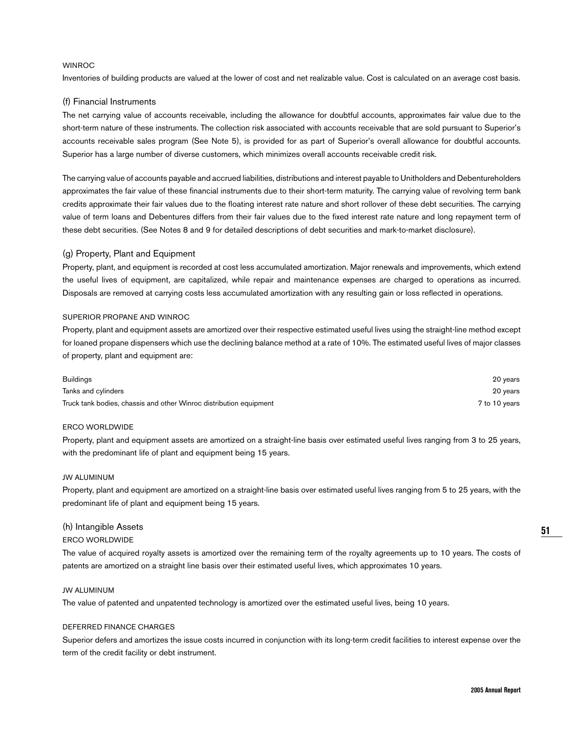#### WINROC

Inventories of building products are valued at the lower of cost and net realizable value. Cost is calculated on an average cost basis.

#### (f) Financial Instruments

The net carrying value of accounts receivable, including the allowance for doubtful accounts, approximates fair value due to the short-term nature of these instruments. The collection risk associated with accounts receivable that are sold pursuant to Superior's accounts receivable sales program (See Note 5), is provided for as part of Superior's overall allowance for doubtful accounts. Superior has a large number of diverse customers, which minimizes overall accounts receivable credit risk.

The carrying value of accounts payable and accrued liabilities, distributions and interest payable to Unitholders and Debentureholders approximates the fair value of these financial instruments due to their short-term maturity. The carrying value of revolving term bank credits approximate their fair values due to the floating interest rate nature and short rollover of these debt securities. The carrying value of term loans and Debentures differs from their fair values due to the fixed interest rate nature and long repayment term of these debt securities. (See Notes 8 and 9 for detailed descriptions of debt securities and mark-to-market disclosure).

### (g) Property, Plant and Equipment

Property, plant, and equipment is recorded at cost less accumulated amortization. Major renewals and improvements, which extend the useful lives of equipment, are capitalized, while repair and maintenance expenses are charged to operations as incurred. Disposals are removed at carrying costs less accumulated amortization with any resulting gain or loss reflected in operations.

#### SUPERIOR PROPANE AND WINROC

Property, plant and equipment assets are amortized over their respective estimated useful lives using the straight-line method except for loaned propane dispensers which use the declining balance method at a rate of 10%. The estimated useful lives of major classes of property, plant and equipment are:

| <b>Buildings</b>                                                   | 20 years      |
|--------------------------------------------------------------------|---------------|
| Tanks and cylinders                                                | 20 years      |
| Truck tank bodies, chassis and other Winroc distribution equipment | 7 to 10 years |

#### ERCO WORLDWIDE

Property, plant and equipment assets are amortized on a straight-line basis over estimated useful lives ranging from 3 to 25 years, with the predominant life of plant and equipment being 15 years.

#### JW ALUMINUM

Property, plant and equipment are amortized on a straight-line basis over estimated useful lives ranging from 5 to 25 years, with the predominant life of plant and equipment being 15 years.

#### (h) Intangible Assets

#### ERCO WORLDWIDE

The value of acquired royalty assets is amortized over the remaining term of the royalty agreements up to 10 years. The costs of patents are amortized on a straight line basis over their estimated useful lives, which approximates 10 years.

### JW ALUMINUM

The value of patented and unpatented technology is amortized over the estimated useful lives, being 10 years.

#### DEFERRED FINANCE CHARGES

Superior defers and amortizes the issue costs incurred in conjunction with its long-term credit facilities to interest expense over the term of the credit facility or debt instrument.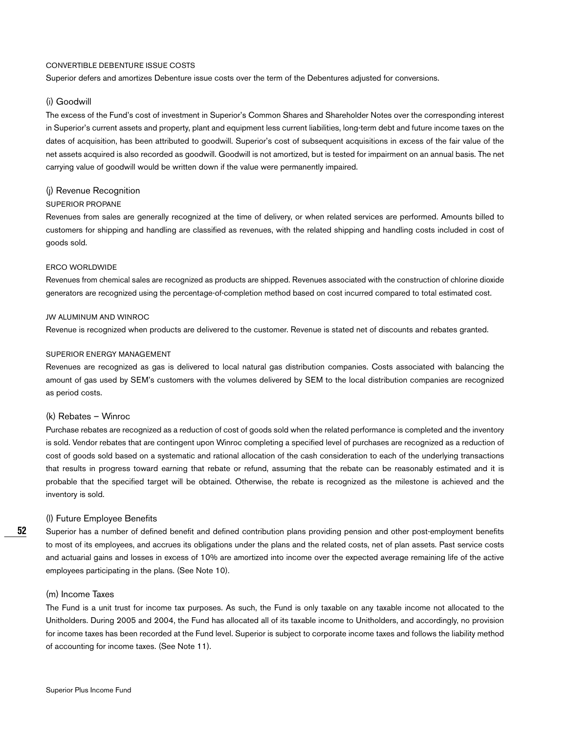#### CONVERTIBLE DEBENTURE ISSUE COSTS

Superior defers and amortizes Debenture issue costs over the term of the Debentures adjusted for conversions.

#### (i) Goodwill

The excess of the Fund's cost of investment in Superior's Common Shares and Shareholder Notes over the corresponding interest in Superior's current assets and property, plant and equipment less current liabilities, long-term debt and future income taxes on the dates of acquisition, has been attributed to goodwill. Superior's cost of subsequent acquisitions in excess of the fair value of the net assets acquired is also recorded as goodwill. Goodwill is not amortized, but is tested for impairment on an annual basis. The net carrying value of goodwill would be written down if the value were permanently impaired.

#### (j) Revenue Recognition

#### SUPERIOR PROPANE

Revenues from sales are generally recognized at the time of delivery, or when related services are performed. Amounts billed to customers for shipping and handling are classified as revenues, with the related shipping and handling costs included in cost of goods sold.

#### ERCO WORLDWIDE

Revenues from chemical sales are recognized as products are shipped. Revenues associated with the construction of chlorine dioxide generators are recognized using the percentage-of-completion method based on cost incurred compared to total estimated cost.

#### JW ALUMINUM AND WINROC

Revenue is recognized when products are delivered to the customer. Revenue is stated net of discounts and rebates granted.

#### SUPERIOR ENERGY MANAGEMENT

Revenues are recognized as gas is delivered to local natural gas distribution companies. Costs associated with balancing the amount of gas used by SEM's customers with the volumes delivered by SEM to the local distribution companies are recognized as period costs.

#### (k) Rebates – Winroc

Purchase rebates are recognized as a reduction of cost of goods sold when the related performance is completed and the inventory is sold. Vendor rebates that are contingent upon Winroc completing a specified level of purchases are recognized as a reduction of cost of goods sold based on a systematic and rational allocation of the cash consideration to each of the underlying transactions that results in progress toward earning that rebate or refund, assuming that the rebate can be reasonably estimated and it is probable that the specified target will be obtained. Otherwise, the rebate is recognized as the milestone is achieved and the inventory is sold.

#### (l) Future Employee Benefits

Superior has a number of defined benefit and defined contribution plans providing pension and other post-employment benefits to most of its employees, and accrues its obligations under the plans and the related costs, net of plan assets. Past service costs and actuarial gains and losses in excess of 10% are amortized into income over the expected average remaining life of the active employees participating in the plans. (See Note 10).

#### (m) Income Taxes

**52**

The Fund is a unit trust for income tax purposes. As such, the Fund is only taxable on any taxable income not allocated to the Unitholders. During 2005 and 2004, the Fund has allocated all of its taxable income to Unitholders, and accordingly, no provision for income taxes has been recorded at the Fund level. Superior is subject to corporate income taxes and follows the liability method of accounting for income taxes. (See Note 11).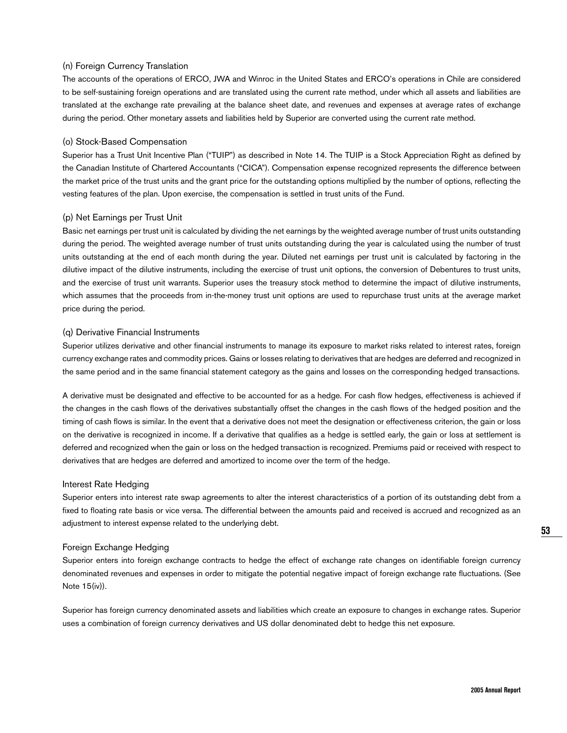#### (n) Foreign Currency Translation

The accounts of the operations of ERCO, JWA and Winroc in the United States and ERCO's operations in Chile are considered to be self-sustaining foreign operations and are translated using the current rate method, under which all assets and liabilities are translated at the exchange rate prevailing at the balance sheet date, and revenues and expenses at average rates of exchange during the period. Other monetary assets and liabilities held by Superior are converted using the current rate method.

#### (o) Stock-Based Compensation

Superior has a Trust Unit Incentive Plan ("TUIP") as described in Note 14. The TUIP is a Stock Appreciation Right as defined by the Canadian Institute of Chartered Accountants ("CICA"). Compensation expense recognized represents the difference between the market price of the trust units and the grant price for the outstanding options multiplied by the number of options, reflecting the vesting features of the plan. Upon exercise, the compensation is settled in trust units of the Fund.

#### (p) Net Earnings per Trust Unit

Basic net earnings per trust unit is calculated by dividing the net earnings by the weighted average number of trust units outstanding during the period. The weighted average number of trust units outstanding during the year is calculated using the number of trust units outstanding at the end of each month during the year. Diluted net earnings per trust unit is calculated by factoring in the dilutive impact of the dilutive instruments, including the exercise of trust unit options, the conversion of Debentures to trust units, and the exercise of trust unit warrants. Superior uses the treasury stock method to determine the impact of dilutive instruments, which assumes that the proceeds from in-the-money trust unit options are used to repurchase trust units at the average market price during the period.

#### (q) Derivative Financial Instruments

Superior utilizes derivative and other financial instruments to manage its exposure to market risks related to interest rates, foreign currency exchange rates and commodity prices. Gains or losses relating to derivatives that are hedges are deferred and recognized in the same period and in the same financial statement category as the gains and losses on the corresponding hedged transactions.

A derivative must be designated and effective to be accounted for as a hedge. For cash flow hedges, effectiveness is achieved if the changes in the cash flows of the derivatives substantially offset the changes in the cash flows of the hedged position and the timing of cash flows is similar. In the event that a derivative does not meet the designation or effectiveness criterion, the gain or loss on the derivative is recognized in income. If a derivative that qualifies as a hedge is settled early, the gain or loss at settlement is deferred and recognized when the gain or loss on the hedged transaction is recognized. Premiums paid or received with respect to derivatives that are hedges are deferred and amortized to income over the term of the hedge.

#### Interest Rate Hedging

Superior enters into interest rate swap agreements to alter the interest characteristics of a portion of its outstanding debt from a fixed to floating rate basis or vice versa. The differential between the amounts paid and received is accrued and recognized as an adjustment to interest expense related to the underlying debt.

#### Foreign Exchange Hedging

Superior enters into foreign exchange contracts to hedge the effect of exchange rate changes on identifiable foreign currency denominated revenues and expenses in order to mitigate the potential negative impact of foreign exchange rate fluctuations. (See Note 15(iv)).

Superior has foreign currency denominated assets and liabilities which create an exposure to changes in exchange rates. Superior uses a combination of foreign currency derivatives and US dollar denominated debt to hedge this net exposure.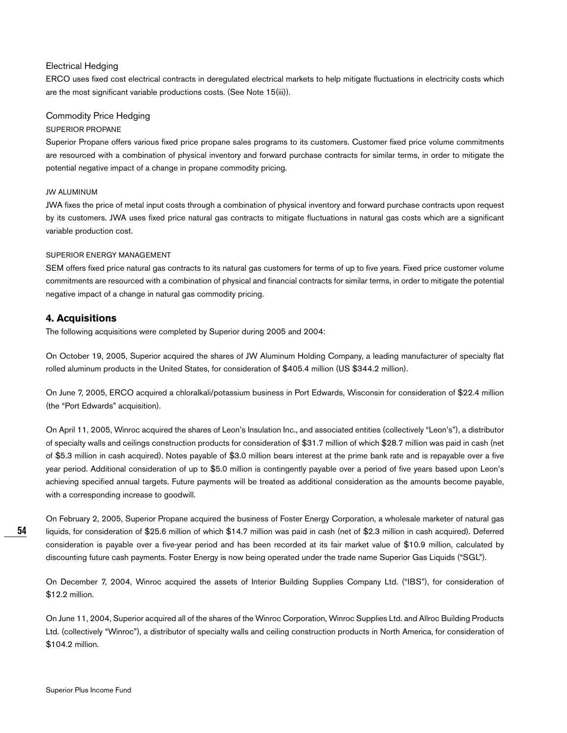### Electrical Hedging

ERCO uses fixed cost electrical contracts in deregulated electrical markets to help mitigate fluctuations in electricity costs which are the most significant variable productions costs. (See Note 15(iii)).

### Commodity Price Hedging

#### SUPERIOR PROPANE

Superior Propane offers various fixed price propane sales programs to its customers. Customer fixed price volume commitments are resourced with a combination of physical inventory and forward purchase contracts for similar terms, in order to mitigate the potential negative impact of a change in propane commodity pricing.

#### JW ALUMINUM

JWA fixes the price of metal input costs through a combination of physical inventory and forward purchase contracts upon request by its customers. JWA uses fixed price natural gas contracts to mitigate fluctuations in natural gas costs which are a significant variable production cost.

#### SUPERIOR ENERGY MANAGEMENT

SEM offers fixed price natural gas contracts to its natural gas customers for terms of up to five years. Fixed price customer volume commitments are resourced with a combination of physical and financial contracts for similar terms, in order to mitigate the potential negative impact of a change in natural gas commodity pricing.

## **4. Acquisitions**

The following acquisitions were completed by Superior during 2005 and 2004:

On October 19, 2005, Superior acquired the shares of JW Aluminum Holding Company, a leading manufacturer of specialty flat rolled aluminum products in the United States, for consideration of \$405.4 million (US \$344.2 million).

On June 7, 2005, ERCO acquired a chloralkali/potassium business in Port Edwards, Wisconsin for consideration of \$22.4 million (the "Port Edwards" acquisition).

On April 11, 2005, Winroc acquired the shares of Leon's Insulation Inc., and associated entities (collectively "Leon's"), a distributor of specialty walls and ceilings construction products for consideration of \$31.7 million of which \$28.7 million was paid in cash (net of \$5.3 million in cash acquired). Notes payable of \$3.0 million bears interest at the prime bank rate and is repayable over a five year period. Additional consideration of up to \$5.0 million is contingently payable over a period of five years based upon Leon's achieving specified annual targets. Future payments will be treated as additional consideration as the amounts become payable, with a corresponding increase to goodwill.

On February 2, 2005, Superior Propane acquired the business of Foster Energy Corporation, a wholesale marketer of natural gas liquids, for consideration of \$25.6 million of which \$14.7 million was paid in cash (net of \$2.3 million in cash acquired). Deferred consideration is payable over a five-year period and has been recorded at its fair market value of \$10.9 million, calculated by discounting future cash payments. Foster Energy is now being operated under the trade name Superior Gas Liquids ("SGL").

On December 7, 2004, Winroc acquired the assets of Interior Building Supplies Company Ltd. ("IBS"), for consideration of \$12.2 million.

On June 11, 2004, Superior acquired all of the shares of the Winroc Corporation, Winroc Supplies Ltd. and Allroc Building Products Ltd. (collectively "Winroc"), a distributor of specialty walls and ceiling construction products in North America, for consideration of \$104.2 million.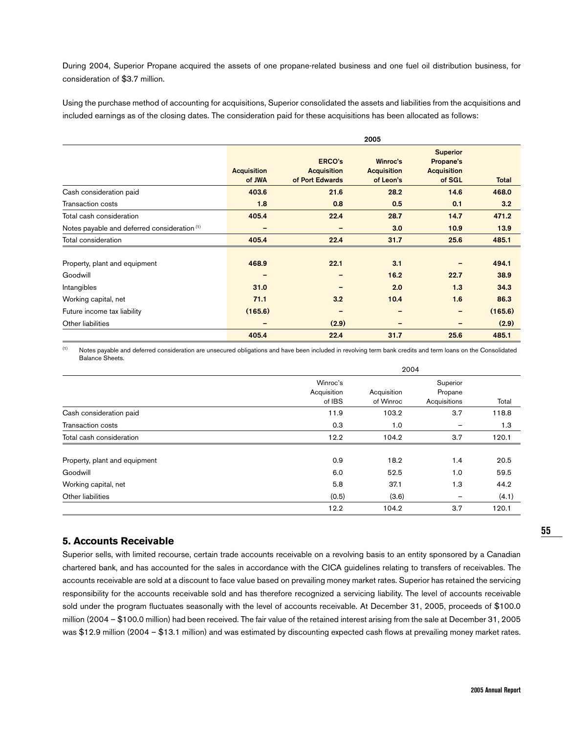During 2004, Superior Propane acquired the assets of one propane-related business and one fuel oil distribution business, for consideration of \$3.7 million.

Using the purchase method of accounting for acquisitions, Superior consolidated the assets and liabilities from the acquisitions and included earnings as of the closing dates. The consideration paid for these acquisitions has been allocated as follows:

|                                                         |                              | 2005                                                   |                                             |                                                              |              |  |  |
|---------------------------------------------------------|------------------------------|--------------------------------------------------------|---------------------------------------------|--------------------------------------------------------------|--------------|--|--|
|                                                         | <b>Acquisition</b><br>of JWA | <b>ERCO's</b><br><b>Acquisition</b><br>of Port Edwards | Winroc's<br><b>Acquisition</b><br>of Leon's | <b>Superior</b><br>Propane's<br><b>Acquisition</b><br>of SGL | <b>Total</b> |  |  |
| Cash consideration paid                                 | 403.6                        | 21.6                                                   | 28.2                                        | 14.6                                                         | 468.0        |  |  |
| <b>Transaction costs</b>                                | 1.8                          | 0.8                                                    | 0.5                                         | 0.1                                                          | 3.2          |  |  |
| Total cash consideration                                | 405.4                        | 22.4                                                   | 28.7                                        | 14.7                                                         | 471.2        |  |  |
| Notes payable and deferred consideration <sup>(1)</sup> | $\qquad \qquad$              | -                                                      | 3.0                                         | 10.9                                                         | 13.9         |  |  |
| Total consideration                                     | 405.4                        | 22.4                                                   | 31.7                                        | 25.6                                                         | 485.1        |  |  |
| Property, plant and equipment                           | 468.9                        | 22.1                                                   | 3.1                                         |                                                              | 494.1        |  |  |
| Goodwill                                                |                              |                                                        | 16.2                                        | 22.7                                                         | 38.9         |  |  |
| Intangibles                                             | 31.0                         |                                                        | 2.0                                         | 1.3                                                          | 34.3         |  |  |
| Working capital, net                                    | 71.1                         | 3.2                                                    | 10.4                                        | 1.6                                                          | 86.3         |  |  |
| Future income tax liability                             | (165.6)                      |                                                        |                                             | -                                                            | (165.6)      |  |  |
| Other liabilities                                       | $\qquad \qquad \blacksquare$ | (2.9)                                                  | -                                           |                                                              | (2.9)        |  |  |
|                                                         | 405.4                        | 22.4                                                   | 31.7                                        | 25.6                                                         | 485.1        |  |  |

<sup>(1)</sup> Notes payable and deferred consideration are unsecured obligations and have been included in revolving term bank credits and term loans on the Consolidated Balance Sheets.

|                               | 2004                              |                          |                                     |       |  |
|-------------------------------|-----------------------------------|--------------------------|-------------------------------------|-------|--|
|                               | Winroc's<br>Acquisition<br>of IBS | Acquisition<br>of Winroc | Superior<br>Propane<br>Acquisitions | Total |  |
| Cash consideration paid       | 11.9                              | 103.2                    | 3.7                                 | 118.8 |  |
| Transaction costs             | 0.3                               | 1.0                      |                                     | 1.3   |  |
| Total cash consideration      | 12.2                              | 104.2                    | 3.7                                 | 120.1 |  |
| Property, plant and equipment | 0.9                               | 18.2                     | 1.4                                 | 20.5  |  |
| Goodwill                      | 6.0                               | 52.5                     | 1.0                                 | 59.5  |  |
| Working capital, net          | 5.8                               | 37.1                     | 1.3                                 | 44.2  |  |
| Other liabilities             | (0.5)                             | (3.6)                    | -                                   | (4.1) |  |
|                               | 12.2                              | 104.2                    | 3.7                                 | 120.1 |  |

## **5. Accounts Receivable**

Superior sells, with limited recourse, certain trade accounts receivable on a revolving basis to an entity sponsored by a Canadian chartered bank, and has accounted for the sales in accordance with the CICA guidelines relating to transfers of receivables. The accounts receivable are sold at a discount to face value based on prevailing money market rates. Superior has retained the servicing responsibility for the accounts receivable sold and has therefore recognized a servicing liability. The level of accounts receivable sold under the program fluctuates seasonally with the level of accounts receivable. At December 31, 2005, proceeds of \$100.0 million (2004 – \$100.0 million) had been received. The fair value of the retained interest arising from the sale at December 31, 2005 was \$12.9 million (2004 – \$13.1 million) and was estimated by discounting expected cash flows at prevailing money market rates.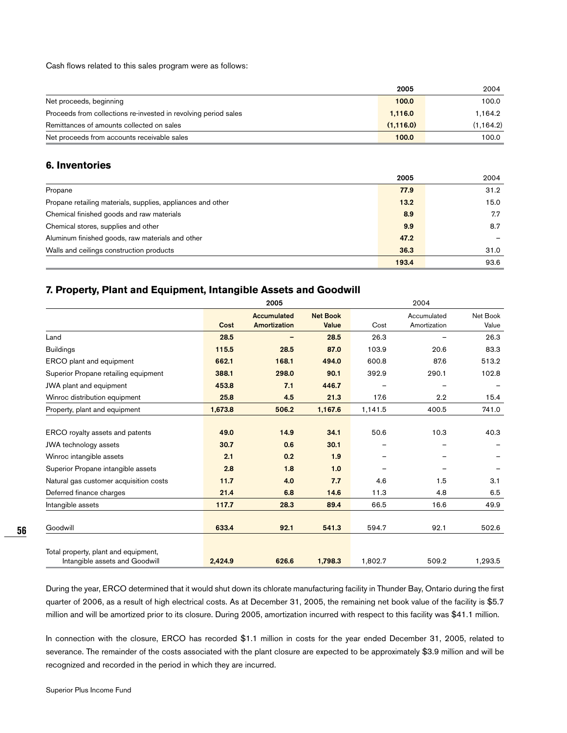Cash flows related to this sales program were as follows:

|                                                                 | 2005      | 2004       |
|-----------------------------------------------------------------|-----------|------------|
| Net proceeds, beginning                                         | 100.0     | 100.0      |
| Proceeds from collections re-invested in revolving period sales | 1.116.0   | 1.164.2    |
| Remittances of amounts collected on sales                       | (1,116.0) | (1, 164.2) |
| Net proceeds from accounts receivable sales                     | 100.0     | 100.0      |

## **6. Inventories**

|                                                             | 2005  | 2004 |
|-------------------------------------------------------------|-------|------|
| Propane                                                     | 77.9  | 31.2 |
| Propane retailing materials, supplies, appliances and other | 13.2  | 15.0 |
| Chemical finished goods and raw materials                   | 8.9   | 7.7  |
| Chemical stores, supplies and other                         | 9.9   | 8.7  |
| Aluminum finished goods, raw materials and other            | 47.2  |      |
| Walls and ceilings construction products                    | 36.3  | 31.0 |
|                                                             | 193.4 | 93.6 |

# **7. Property, Plant and Equipment, Intangible Assets and Goodwill**

|                                        |         | 2005                        |                          |         | 2004                        |                   |  |
|----------------------------------------|---------|-----------------------------|--------------------------|---------|-----------------------------|-------------------|--|
|                                        | Cost    | Accumulated<br>Amortization | <b>Net Book</b><br>Value | Cost    | Accumulated<br>Amortization | Net Book<br>Value |  |
| Land                                   | 28.5    |                             | 28.5                     | 26.3    |                             | 26.3              |  |
| <b>Buildings</b>                       | 115.5   | 28.5                        | 87.0                     | 103.9   | 20.6                        | 83.3              |  |
| ERCO plant and equipment               | 662.1   | 168.1                       | 494.0                    | 600.8   | 87.6                        | 513.2             |  |
| Superior Propane retailing equipment   | 388.1   | 298.0                       | 90.1                     | 392.9   | 290.1                       | 102.8             |  |
| JWA plant and equipment                | 453.8   | 7.1                         | 446.7                    |         |                             |                   |  |
| Winroc distribution equipment          | 25.8    | 4.5                         | 21.3                     | 17.6    | 2.2                         | 15.4              |  |
| Property, plant and equipment          | 1,673.8 | 506.2                       | 1,167.6                  | 1,141.5 | 400.5                       | 741.0             |  |
|                                        |         |                             |                          |         |                             |                   |  |
| ERCO royalty assets and patents        | 49.0    | 14.9                        | 34.1                     | 50.6    | 10.3                        | 40.3              |  |
| JWA technology assets                  | 30.7    | 0.6                         | 30.1                     |         |                             |                   |  |
| Winroc intangible assets               | 2.1     | 0.2                         | 1.9                      |         |                             |                   |  |
| Superior Propane intangible assets     | 2.8     | 1.8                         | 1.0                      |         |                             |                   |  |
| Natural gas customer acquisition costs | 11.7    | 4.0                         | 7.7                      | 4.6     | 1.5                         | 3.1               |  |
| Deferred finance charges               | 21.4    | 6.8                         | 14.6                     | 11.3    | 4.8                         | 6.5               |  |
| Intangible assets                      | 117.7   | 28.3                        | 89.4                     | 66.5    | 16.6                        | 49.9              |  |
|                                        |         |                             |                          |         |                             |                   |  |
| Goodwill                               | 633.4   | 92.1                        | 541.3                    | 594.7   | 92.1                        | 502.6             |  |
|                                        |         |                             |                          |         |                             |                   |  |
| Total property, plant and equipment,   |         |                             |                          |         |                             |                   |  |
| Intangible assets and Goodwill         | 2,424.9 | 626.6                       | 1,798.3                  | 1,802.7 | 509.2                       | 1,293.5           |  |

During the year, ERCO determined that it would shut down its chlorate manufacturing facility in Thunder Bay, Ontario during the first quarter of 2006, as a result of high electrical costs. As at December 31, 2005, the remaining net book value of the facility is \$5.7 million and will be amortized prior to its closure. During 2005, amortization incurred with respect to this facility was \$41.1 million.

In connection with the closure, ERCO has recorded \$1.1 million in costs for the year ended December 31, 2005, related to severance. The remainder of the costs associated with the plant closure are expected to be approximately \$3.9 million and will be recognized and recorded in the period in which they are incurred.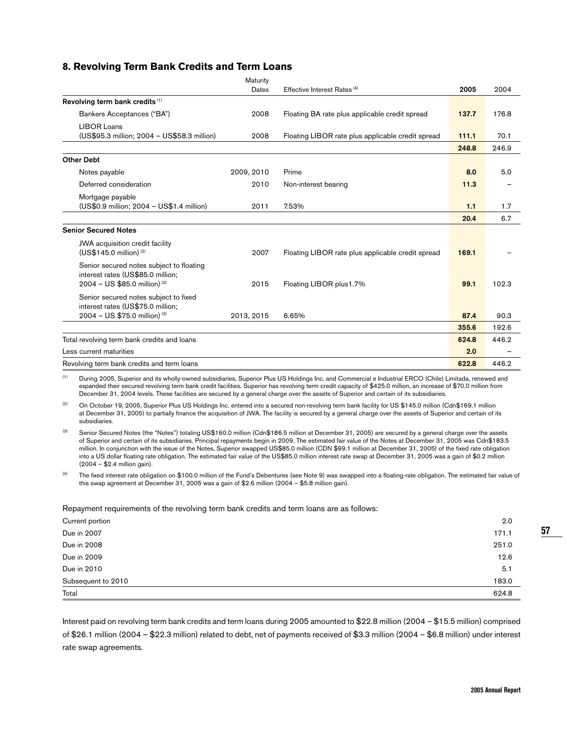## **8. Revolving Term Bank Credits and Term Loans**

|                                                                                                                 | Maturity   |                                                   |       |       |
|-----------------------------------------------------------------------------------------------------------------|------------|---------------------------------------------------|-------|-------|
|                                                                                                                 | Dates      | Effective Interest Rates <sup>(4)</sup>           | 2005  | 2004  |
| Revolving term bank credits (1)                                                                                 |            |                                                   |       |       |
| Bankers Acceptances ("BA")                                                                                      | 2008       | Floating BA rate plus applicable credit spread    | 137.7 | 176.8 |
| LIBOR Loans<br>(US\$95.3 million; 2004 - US\$58.3 million)                                                      | 2008       | Floating LIBOR rate plus applicable credit spread | 111.1 | 70.1  |
|                                                                                                                 |            |                                                   | 248.8 | 246.9 |
| <b>Other Debt</b>                                                                                               |            |                                                   |       |       |
| Notes payable                                                                                                   | 2009, 2010 | Prime                                             | 8.0   | 5.0   |
| Deferred consideration                                                                                          | 2010       | Non-interest bearing                              | 11.3  |       |
| Mortgage payable<br>(US\$0.9 million; 2004 - US\$1.4 million)                                                   | 2011       | 7.53%                                             | 1.1   | 1.7   |
|                                                                                                                 |            |                                                   | 20.4  | 6.7   |
| <b>Senior Secured Notes</b>                                                                                     |            |                                                   |       |       |
| <b>JWA</b> acquisition credit facility<br>(US\$145.0 million) (2)                                               | 2007       | Floating LIBOR rate plus applicable credit spread | 169.1 |       |
| Senior secured notes subject to floating<br>interest rates (US\$85.0 million;<br>$2004 - US $85.0$ million) (3) | 2015       | Floating LIBOR plus1.7%                           | 99.1  | 102.3 |
| Senior secured notes subject to fixed<br>interest rates (US\$75.0 million;<br>2004 - US \$75.0 million) (3)     | 2013, 2015 | 6.65%                                             | 87.4  | 90.3  |
|                                                                                                                 |            |                                                   | 355.6 | 192.6 |
|                                                                                                                 |            |                                                   |       |       |
| Total revolving term bank credits and loans                                                                     |            |                                                   | 624.8 | 446.2 |
| Less current maturities                                                                                         |            |                                                   | 2.0   |       |
| Revolving term bank credits and term loans                                                                      |            |                                                   | 622.8 | 446.2 |

<sup>(1)</sup> During 2005, Superior and its wholly-owned subsidiaries, Superior Plus US Holdings Inc. and Commercial e Industrial ERCO (Chile) Limitada, renewed and expanded their secured revolving term bank credit facilities. Superior has revolving term credit capacity of \$425.0 million, an increase of \$70.0 million from December 31, 2004 levels. These facilities are secured by a general charge over the assets of Superior and certain of its subsidiaries.

(2) On October 19, 2005, Superior Plus US Holdings Inc. entered into a secured non-revolving term bank facility for US \$145.0 million (Cdn\$169.1 million at December 31, 2005) to partially finance the acquisition of JWA. The facility is secured by a general charge over the assets of Superior and certain of its subsidiaries.

(3) Senior Secured Notes (the "Notes") totaling US\$160.0 million (Cdn\$186.5 million at December 31, 2005) are secured by a general charge over the assets of Superior and certain of its subsidiaries. Principal repayments begin in 2009. The estimated fair value of the Notes at December 31, 2005 was Cdn\$183.5 million. In conjunction with the issue of the Notes, Superior swapped US\$85.0 million (CDN \$99.1 million at December 31, 2005) of the fixed rate obligation into a US dollar floating rate obligation. The estimated fair value of the US\$85.0 million interest rate swap at December 31, 2005 was a gain of \$0.2 million (2004 – \$2.4 million gain).

<sup>(4)</sup> The fixed interest rate obligation on \$100.0 million of the Fund's Debentures (see Note 9) was swapped into a floating-rate obligation. The estimated fair value of this swap agreement at December 31, 2005 was a gain of \$2.6 million (2004 – \$5.8 million gain).

#### Repayment requirements of the revolving term bank credits and term loans are as follows:

| Current portion    | 2.0   |
|--------------------|-------|
| Due in 2007        | 171.1 |
| Due in 2008        | 251.0 |
| Due in 2009        | 12.6  |
| Due in 2010        | 5.1   |
| Subsequent to 2010 | 183.0 |
| Total              | 624.8 |

Interest paid on revolving term bank credits and term loans during 2005 amounted to \$22.8 million (2004 – \$15.5 million) comprised of \$26.1 million (2004 – \$22.3 million) related to debt, net of payments received of \$3.3 million (2004 – \$6.8 million) under interest rate swap agreements.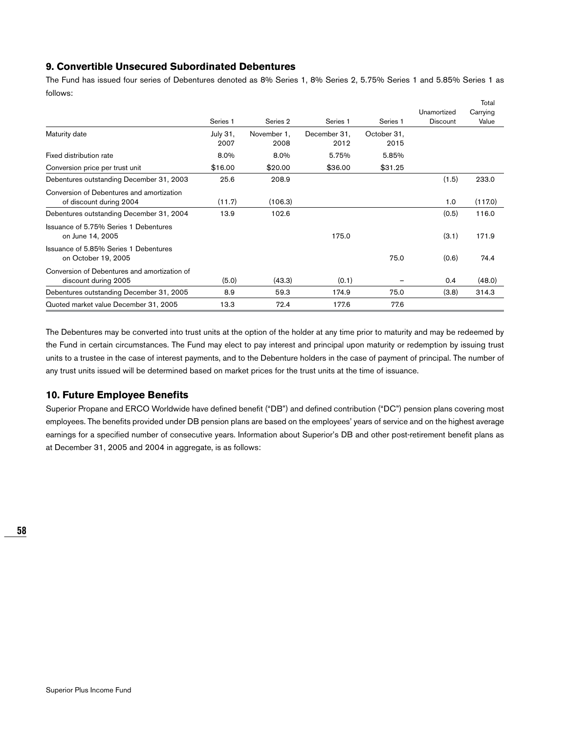## **9. Convertible Unsecured Subordinated Debentures**

The Fund has issued four series of Debentures denoted as 8% Series 1, 8% Series 2, 5.75% Series 1 and 5.85% Series 1 as follows:

|                                                                      |                     |                     |                     |                     |                                | Total             |
|----------------------------------------------------------------------|---------------------|---------------------|---------------------|---------------------|--------------------------------|-------------------|
|                                                                      | Series <sub>1</sub> | Series <sub>2</sub> | Series <sub>1</sub> | Series <sub>1</sub> | Unamortized<br><b>Discount</b> | Carrying<br>Value |
| Maturity date                                                        | July 31,            | November 1,         | December 31,        | October 31,         |                                |                   |
|                                                                      | 2007                | 2008                | 2012                | 2015                |                                |                   |
| Fixed distribution rate                                              | 8.0%                | 8.0%                | 5.75%               | 5.85%               |                                |                   |
| Conversion price per trust unit                                      | \$16.00             | \$20.00             | \$36.00             | \$31.25             |                                |                   |
| Debentures outstanding December 31, 2003                             | 25.6                | 208.9               |                     |                     | (1.5)                          | 233.0             |
| Conversion of Debentures and amortization<br>of discount during 2004 | (11.7)              | (106.3)             |                     |                     | 1.0                            | (117.0)           |
| Debentures outstanding December 31, 2004                             | 13.9                | 102.6               |                     |                     | (0.5)                          | 116.0             |
| Issuance of 5.75% Series 1 Debentures<br>on June 14, 2005            |                     |                     | 175.0               |                     | (3.1)                          | 171.9             |
| Issuance of 5.85% Series 1 Debentures<br>on October 19, 2005         |                     |                     |                     | 75.0                | (0.6)                          | 74.4              |
| Conversion of Debentures and amortization of<br>discount during 2005 | (5.0)               | (43.3)              | (0.1)               |                     | 0.4                            | (48.0)            |
| Debentures outstanding December 31, 2005                             | 8.9                 | 59.3                | 174.9               | 75.0                | (3.8)                          | 314.3             |
| Quoted market value December 31, 2005                                | 13.3                | 72.4                | 177.6               | 77.6                |                                |                   |

The Debentures may be converted into trust units at the option of the holder at any time prior to maturity and may be redeemed by the Fund in certain circumstances. The Fund may elect to pay interest and principal upon maturity or redemption by issuing trust units to a trustee in the case of interest payments, and to the Debenture holders in the case of payment of principal. The number of any trust units issued will be determined based on market prices for the trust units at the time of issuance.

## **10. Future Employee Benefits**

Superior Propane and ERCO Worldwide have defined benefit ("DB") and defined contribution ("DC") pension plans covering most employees. The benefits provided under DB pension plans are based on the employees' years of service and on the highest average earnings for a specified number of consecutive years. Information about Superior's DB and other post-retirement benefit plans as at December 31, 2005 and 2004 in aggregate, is as follows: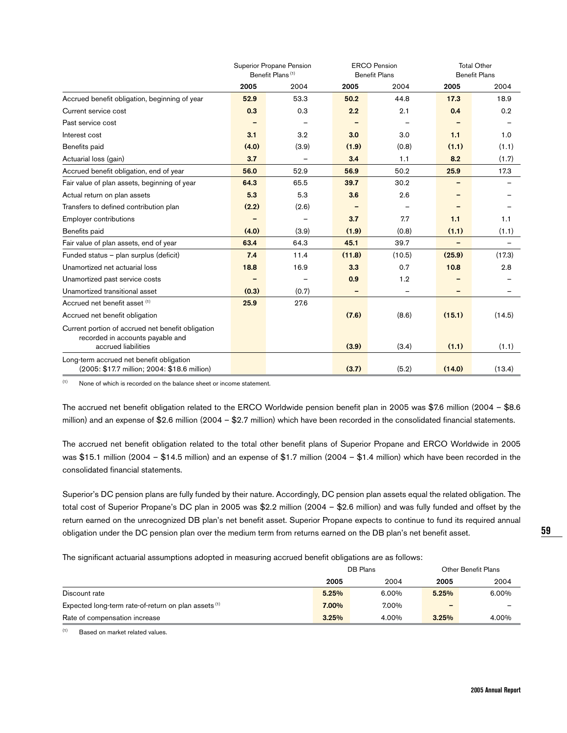|                                                   | Superior Propane Pension     |       |        | <b>ERCO Pension</b>  |        | <b>Total Other</b>   |  |
|---------------------------------------------------|------------------------------|-------|--------|----------------------|--------|----------------------|--|
|                                                   | Benefit Plans <sup>(1)</sup> |       |        | <b>Benefit Plans</b> |        | <b>Benefit Plans</b> |  |
|                                                   | 2005                         | 2004  | 2005   | 2004                 | 2005   | 2004                 |  |
| Accrued benefit obligation, beginning of year     | 52.9                         | 53.3  | 50.2   | 44.8                 | 17.3   | 18.9                 |  |
| Current service cost                              | 0.3                          | 0.3   | 2.2    | 2.1                  | 0.4    | 0.2                  |  |
| Past service cost                                 |                              |       |        |                      |        |                      |  |
| Interest cost                                     | 3.1                          | 3.2   | 3.0    | 3.0                  | 1.1    | 1.0                  |  |
| Benefits paid                                     | (4.0)                        | (3.9) | (1.9)  | (0.8)                | (1.1)  | (1.1)                |  |
| Actuarial loss (gain)                             | 3.7                          |       | 3.4    | 1.1                  | 8.2    | (1.7)                |  |
| Accrued benefit obligation, end of year           | 56.0                         | 52.9  | 56.9   | 50.2                 | 25.9   | 17.3                 |  |
| Fair value of plan assets, beginning of year      | 64.3                         | 65.5  | 39.7   | 30.2                 |        |                      |  |
| Actual return on plan assets                      | 5.3                          | 5.3   | 3.6    | 2.6                  |        |                      |  |
| Transfers to defined contribution plan            | (2.2)                        | (2.6) |        |                      |        |                      |  |
| Employer contributions                            |                              |       | 3.7    | 7.7                  | 1.1    | 1.1                  |  |
| Benefits paid                                     | (4.0)                        | (3.9) | (1.9)  | (0.8)                | (1.1)  | (1.1)                |  |
| Fair value of plan assets, end of year            | 63.4                         | 64.3  | 45.1   | 39.7                 | -      |                      |  |
| Funded status - plan surplus (deficit)            | 7.4                          | 11.4  | (11.8) | (10.5)               | (25.9) | (17.3)               |  |
| Unamortized net actuarial loss                    | 18.8                         | 16.9  | 3.3    | 0.7                  | 10.8   | 2.8                  |  |
| Unamortized past service costs                    |                              |       | 0.9    | 1.2                  |        |                      |  |
| Unamortized transitional asset                    | (0.3)                        | (0.7) |        |                      |        |                      |  |
| Accrued net benefit asset (1)                     | 25.9                         | 27.6  |        |                      |        |                      |  |
| Accrued net benefit obligation                    |                              |       | (7.6)  | (8.6)                | (15.1) | (14.5)               |  |
| Current portion of accrued net benefit obligation |                              |       |        |                      |        |                      |  |
| recorded in accounts payable and                  |                              |       |        |                      |        |                      |  |
| accrued liabilities                               |                              |       | (3.9)  | (3.4)                | (1.1)  | (1.1)                |  |
| Long-term accrued net benefit obligation          |                              |       |        |                      |        |                      |  |
| (2005: \$17.7 million; 2004: \$18.6 million)      |                              |       | (3.7)  | (5.2)                | (14.0) | (13.4)               |  |

 $(1)$  None of which is recorded on the balance sheet or income statement.

The accrued net benefit obligation related to the ERCO Worldwide pension benefit plan in 2005 was \$7.6 million (2004 – \$8.6 million) and an expense of \$2.6 million (2004 – \$2.7 million) which have been recorded in the consolidated financial statements.

The accrued net benefit obligation related to the total other benefit plans of Superior Propane and ERCO Worldwide in 2005 was \$15.1 million (2004 – \$14.5 million) and an expense of \$1.7 million (2004 – \$1.4 million) which have been recorded in the consolidated financial statements.

Superior's DC pension plans are fully funded by their nature. Accordingly, DC pension plan assets equal the related obligation. The total cost of Superior Propane's DC plan in 2005 was \$2.2 million (2004 – \$2.6 million) and was fully funded and offset by the return earned on the unrecognized DB plan's net benefit asset. Superior Propane expects to continue to fund its required annual obligation under the DC pension plan over the medium term from returns earned on the DB plan's net benefit asset.

The significant actuarial assumptions adopted in measuring accrued benefit obligations are as follows:

|                                                      | DB Plans |       | Other Benefit Plans |       |
|------------------------------------------------------|----------|-------|---------------------|-------|
|                                                      | 2005     | 2004  | 2005                | 2004  |
| Discount rate                                        | 5.25%    | 6.00% | 5.25%               | 6.00% |
| Expected long-term rate-of-return on plan assets (1) | 7.00%    | 7.00% | -                   |       |
| Rate of compensation increase                        | 3.25%    | 4.00% | 3.25%               | 4.00% |

 $(1)$  Based on market related values.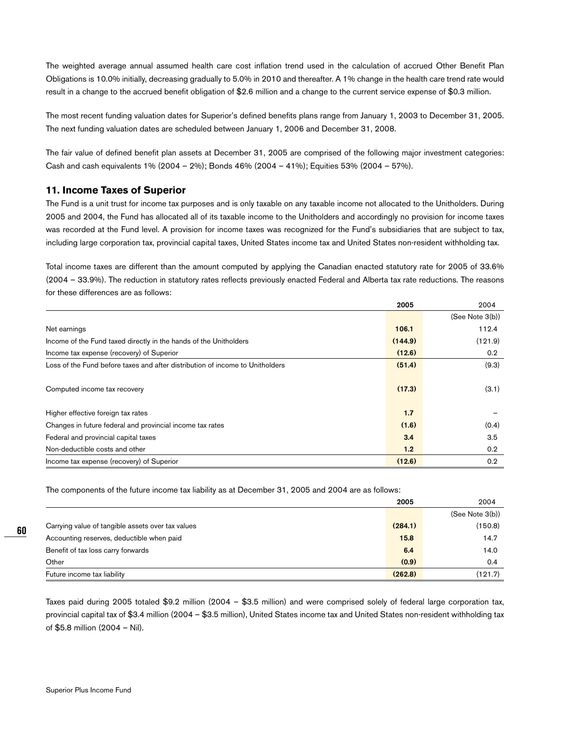The weighted average annual assumed health care cost inflation trend used in the calculation of accrued Other Benefit Plan Obligations is 10.0% initially, decreasing gradually to 5.0% in 2010 and thereafter. A 1% change in the health care trend rate would result in a change to the accrued benefit obligation of \$2.6 million and a change to the current service expense of \$0.3 million.

The most recent funding valuation dates for Superior's defined benefits plans range from January 1, 2003 to December 31, 2005. The next funding valuation dates are scheduled between January 1, 2006 and December 31, 2008.

The fair value of defined benefit plan assets at December 31, 2005 are comprised of the following major investment categories: Cash and cash equivalents 1% (2004 – 2%); Bonds 46% (2004 – 41%); Equities 53% (2004 – 57%).

## **11. Income Taxes of Superior**

The Fund is a unit trust for income tax purposes and is only taxable on any taxable income not allocated to the Unitholders. During 2005 and 2004, the Fund has allocated all of its taxable income to the Unitholders and accordingly no provision for income taxes was recorded at the Fund level. A provision for income taxes was recognized for the Fund's subsidiaries that are subject to tax, including large corporation tax, provincial capital taxes, United States income tax and United States non-resident withholding tax.

Total income taxes are different than the amount computed by applying the Canadian enacted statutory rate for 2005 of 33.6% (2004 – 33.9%). The reduction in statutory rates reflects previously enacted Federal and Alberta tax rate reductions. The reasons for these differences are as follows:

|                                                                               | 2005    | 2004             |
|-------------------------------------------------------------------------------|---------|------------------|
|                                                                               |         | (See Note 3(b))  |
| Net earnings                                                                  | 106.1   | 112.4            |
| Income of the Fund taxed directly in the hands of the Unitholders             | (144.9) | (121.9)          |
| Income tax expense (recovery) of Superior                                     | (12.6)  | 0.2              |
| Loss of the Fund before taxes and after distribution of income to Unitholders | (51.4)  | (9.3)            |
| Computed income tax recovery                                                  | (17.3)  | (3.1)            |
| Higher effective foreign tax rates                                            | 1.7     |                  |
| Changes in future federal and provincial income tax rates                     | (1.6)   | (0.4)            |
| Federal and provincial capital taxes                                          | 3.4     | 3.5              |
| Non-deductible costs and other                                                | 1.2     | 0.2 <sub>0</sub> |
| Income tax expense (recovery) of Superior                                     | (12.6)  | 0.2              |

The components of the future income tax liability as at December 31, 2005 and 2004 are as follows:

|                                                   | 2005    | 2004            |
|---------------------------------------------------|---------|-----------------|
|                                                   |         | (See Note 3(b)) |
| Carrying value of tangible assets over tax values | (284.1) | (150.8)         |
| Accounting reserves, deductible when paid         | 15.8    | 14.7            |
| Benefit of tax loss carry forwards                | 6.4     | 14.0            |
| Other                                             | (0.9)   | 0.4             |
| Future income tax liability                       | (262.8) | (121.7)         |

Taxes paid during 2005 totaled \$9.2 million (2004 – \$3.5 million) and were comprised solely of federal large corporation tax, provincial capital tax of \$3.4 million (2004 – \$3.5 million), United States income tax and United States non-resident withholding tax of \$5.8 million (2004 – Nil).

**60**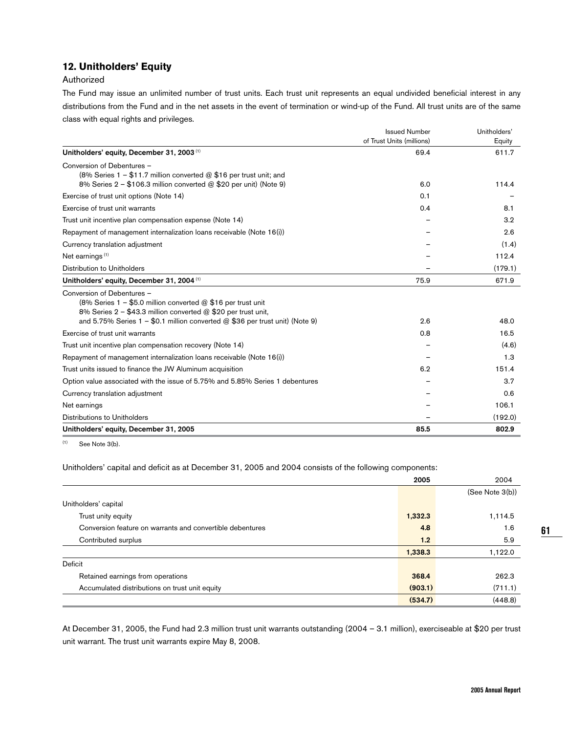## **12. Unitholders' Equity**

#### Authorized

The Fund may issue an unlimited number of trust units. Each trust unit represents an equal undivided beneficial interest in any distributions from the Fund and in the net assets in the event of termination or wind-up of the Fund. All trust units are of the same class with equal rights and privileges.

| <b>Issued Number</b><br>Unitholders' |
|--------------------------------------|
| of Trust Units (millions)<br>Equity  |
| 611.7<br>69.4                        |
|                                      |
|                                      |
| 114.4<br>6.0                         |
| 0.1                                  |
| 0.4<br>8.1                           |
| 3.2                                  |
| 2.6                                  |
| (1.4)                                |
| 112.4                                |
| (179.1)                              |
| 671.9<br>75.9                        |
|                                      |
|                                      |
|                                      |
| 2.6<br>48.0                          |
| 0.8<br>16.5                          |
| (4.6)                                |
| 1.3                                  |
| 151.4<br>6.2                         |
| 3.7                                  |
| 0.6                                  |
| 106.1                                |
| (192.0)                              |
| 85.5<br>802.9                        |
|                                      |

 $(1)$  See Note 3(b).

Unitholders' capital and deficit as at December 31, 2005 and 2004 consists of the following components:

|                                                           | 2005    | 2004            |
|-----------------------------------------------------------|---------|-----------------|
|                                                           |         | (See Note 3(b)) |
| Unitholders' capital                                      |         |                 |
| Trust unity equity                                        | 1,332.3 | 1,114.5         |
| Conversion feature on warrants and convertible debentures | 4.8     | 1.6             |
| Contributed surplus                                       | 1.2     | 5.9             |
|                                                           | 1,338.3 | 1,122.0         |
| Deficit                                                   |         |                 |
| Retained earnings from operations                         | 368.4   | 262.3           |
| Accumulated distributions on trust unit equity            | (903.1) | (711.1)         |
|                                                           | (534.7) | (448.8)         |

At December 31, 2005, the Fund had 2.3 million trust unit warrants outstanding (2004 – 3.1 million), exerciseable at \$20 per trust unit warrant. The trust unit warrants expire May 8, 2008.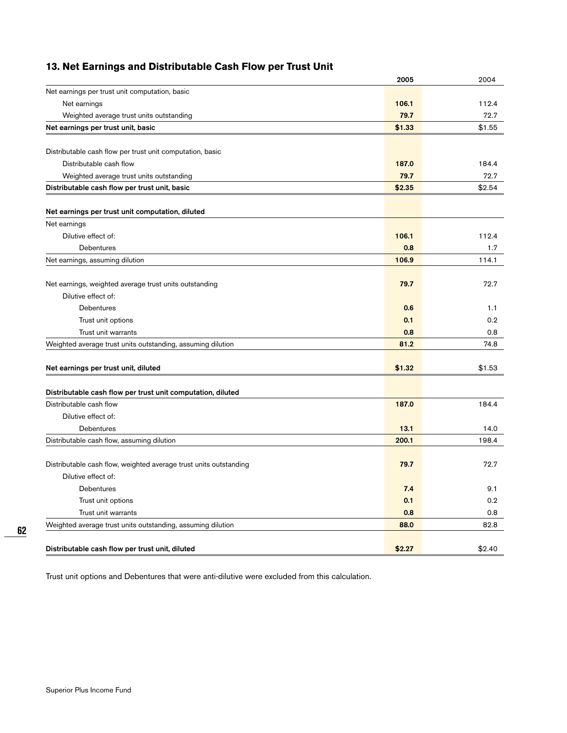# **13. Net Earnings and Distributable Cash Flow per Trust Unit**

|                                                                                      | 2005   | 2004   |
|--------------------------------------------------------------------------------------|--------|--------|
| Net earnings per trust unit computation, basic                                       |        |        |
| Net earnings                                                                         | 106.1  | 112.4  |
| Weighted average trust units outstanding                                             | 79.7   | 72.7   |
| Net earnings per trust unit, basic                                                   | \$1.33 | \$1.55 |
|                                                                                      |        |        |
| Distributable cash flow per trust unit computation, basic<br>Distributable cash flow | 187.0  | 184.4  |
|                                                                                      | 79.7   | 72.7   |
| Weighted average trust units outstanding                                             |        |        |
| Distributable cash flow per trust unit, basic                                        | \$2.35 | \$2.54 |
| Net earnings per trust unit computation, diluted                                     |        |        |
| Net earnings                                                                         |        |        |
| Dilutive effect of:                                                                  | 106.1  | 112.4  |
| <b>Debentures</b>                                                                    | 0.8    | 1.7    |
| Net earnings, assuming dilution                                                      | 106.9  | 114.1  |
| Net earnings, weighted average trust units outstanding                               | 79.7   | 72.7   |
| Dilutive effect of:                                                                  |        |        |
| <b>Debentures</b>                                                                    | 0.6    | 1.1    |
| Trust unit options                                                                   | 0.1    | 0.2    |
| Trust unit warrants                                                                  | 0.8    | 0.8    |
| Weighted average trust units outstanding, assuming dilution                          | 81.2   | 74.8   |
|                                                                                      |        |        |
| Net earnings per trust unit, diluted                                                 | \$1.32 | \$1.53 |
| Distributable cash flow per trust unit computation, diluted                          |        |        |
| Distributable cash flow                                                              | 187.0  | 184.4  |
| Dilutive effect of:                                                                  |        |        |
| Debentures                                                                           | 13.1   | 14.0   |
| Distributable cash flow, assuming dilution                                           | 200.1  | 198.4  |
|                                                                                      |        |        |
| Distributable cash flow, weighted average trust units outstanding                    | 79.7   | 72.7   |
| Dilutive effect of:                                                                  |        |        |
| Debentures                                                                           | 7.4    | 9.1    |
| Trust unit options                                                                   | 0.1    | 0.2    |
| Trust unit warrants                                                                  | 0.8    | 0.8    |
| Weighted average trust units outstanding, assuming dilution                          | 88.0   | 82.8   |
|                                                                                      |        |        |
| Distributable cash flow per trust unit, diluted                                      | \$2.27 | \$2.40 |

Trust unit options and Debentures that were anti-dilutive were excluded from this calculation.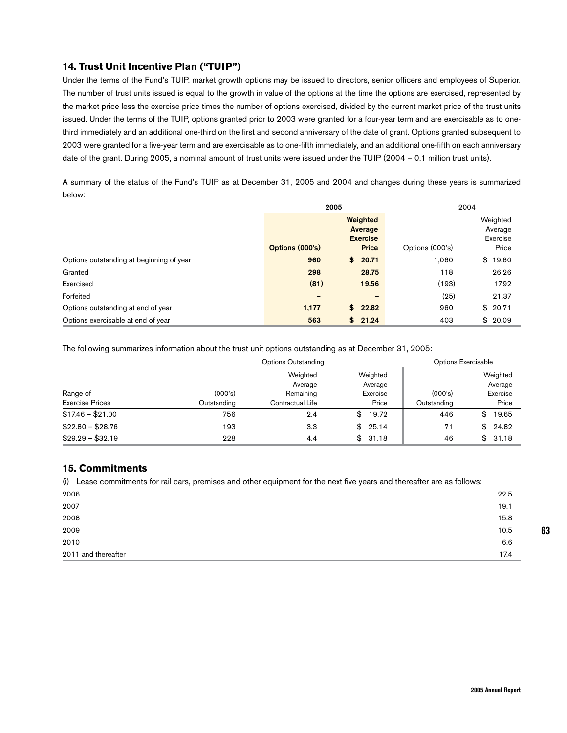## **14. Trust Unit Incentive Plan ("TUIP")**

Under the terms of the Fund's TUIP, market growth options may be issued to directors, senior officers and employees of Superior. The number of trust units issued is equal to the growth in value of the options at the time the options are exercised, represented by the market price less the exercise price times the number of options exercised, divided by the current market price of the trust units issued. Under the terms of the TUIP, options granted prior to 2003 were granted for a four-year term and are exercisable as to onethird immediately and an additional one-third on the first and second anniversary of the date of grant. Options granted subsequent to 2003 were granted for a five-year term and are exercisable as to one-fifth immediately, and an additional one-fifth on each anniversary date of the grant. During 2005, a nominal amount of trust units were issued under the TUIP (2004 – 0.1 million trust units).

A summary of the status of the Fund's TUIP as at December 31, 2005 and 2004 and changes during these years is summarized below:

|                                          | 2005            |    | 2004                                   |                 |                                 |
|------------------------------------------|-----------------|----|----------------------------------------|-----------------|---------------------------------|
|                                          |                 |    | Weighted<br>Average<br><b>Exercise</b> |                 | Weighted<br>Average<br>Exercise |
|                                          | Options (000's) |    | <b>Price</b>                           | Options (000's) | Price                           |
| Options outstanding at beginning of year | 960             | \$ | 20.71                                  | 1.060           | 19.60<br>\$                     |
| Granted                                  | 298             |    | 28.75                                  | 118             | 26.26                           |
| Exercised                                | (81)            |    | 19.56                                  | (193)           | 17.92                           |
| Forfeited                                | -               |    | $\overline{\phantom{0}}$               | (25)            | 21.37                           |
| Options outstanding at end of year       | 1,177           | \$ | 22.82                                  | 960             | \$20.71                         |
| Options exercisable at end of year       | 563             | \$ | 21.24                                  | 403             | \$20.09                         |

The following summarizes information about the trust unit options outstanding as at December 31, 2005:

|                        |             | <b>Options Outstanding</b> |             |             | Options Exercisable |
|------------------------|-------------|----------------------------|-------------|-------------|---------------------|
|                        |             | Weighted                   | Weighted    |             | Weighted            |
|                        |             | Average                    | Average     |             | Average             |
| Range of               | (000's)     | Remaining                  | Exercise    | (000's)     | Exercise            |
| <b>Exercise Prices</b> | Outstanding | Contractual Life           | Price       | Outstanding | Price               |
| $$17.46 - $21.00$      | 756         | 2.4                        | 19.72<br>\$ | 446         | 19.65<br>\$         |
| $$22.80 - $28.76$      | 193         | 3.3                        | 25.14<br>\$ | 71          | \$24.82             |
| $$29.29 - $32.19$      | 228         | 4.4                        | 31.18<br>\$ | 46          | 31.18<br>\$         |

## **15. Commitments**

(i) Lease commitments for rail cars, premises and other equipment for the next five years and thereafter are as follows:

| 2006                | 22.5 |
|---------------------|------|
| 2007                | 19.1 |
| 2008                | 15.8 |
| 2009                | 10.5 |
| 2010                | 6.6  |
| 2011 and thereafter | 17.4 |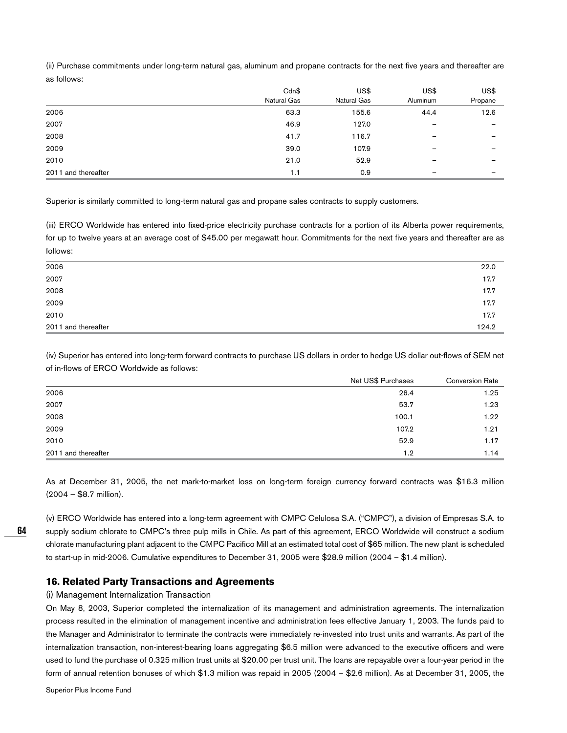(ii) Purchase commitments under long-term natural gas, aluminum and propane contracts for the next five years and thereafter are as follows:

|                     | Cdn\$       | US\$        | US\$                     | US\$    |
|---------------------|-------------|-------------|--------------------------|---------|
|                     | Natural Gas | Natural Gas | Aluminum                 | Propane |
| 2006                | 63.3        | 155.6       | 44.4                     | 12.6    |
| 2007                | 46.9        | 127.0       | $\qquad \qquad$          |         |
| 2008                | 41.7        | 116.7       | $\overline{\phantom{0}}$ |         |
| 2009                | 39.0        | 107.9       | -                        |         |
| 2010                | 21.0        | 52.9        |                          |         |
| 2011 and thereafter | 1.1         | 0.9         | -                        |         |

Superior is similarly committed to long-term natural gas and propane sales contracts to supply customers.

(iii) ERCO Worldwide has entered into fixed-price electricity purchase contracts for a portion of its Alberta power requirements, for up to twelve years at an average cost of \$45.00 per megawatt hour. Commitments for the next five years and thereafter are as follows:

| 2011 and thereafter | 124.2 |
|---------------------|-------|
| 2010                | 17.7  |
| 2009                | 17.7  |
| 2008                | 17.7  |
| 2007                | 17.7  |
| 2006                | 22.0  |

(iv) Superior has entered into long-term forward contracts to purchase US dollars in order to hedge US dollar out-flows of SEM net of in-flows of ERCO Worldwide as follows:

|                     | Net US\$ Purchases | <b>Conversion Rate</b> |
|---------------------|--------------------|------------------------|
| 2006                | 26.4               | 1.25                   |
| 2007                | 53.7               | 1.23                   |
| 2008                | 100.1              | 1.22                   |
| 2009                | 107.2              | 1.21                   |
| 2010                | 52.9               | 1.17                   |
| 2011 and thereafter | 1.2                | 1.14                   |

As at December 31, 2005, the net mark-to-market loss on long-term foreign currency forward contracts was \$16.3 million (2004 – \$8.7 million).

(v) ERCO Worldwide has entered into a long-term agreement with CMPC Celulosa S.A. ("CMPC"), a division of Empresas S.A. to supply sodium chlorate to CMPC's three pulp mills in Chile. As part of this agreement, ERCO Worldwide will construct a sodium chlorate manufacturing plant adjacent to the CMPC Pacifico Mill at an estimated total cost of \$65 million. The new plant is scheduled to start-up in mid-2006. Cumulative expenditures to December 31, 2005 were \$28.9 million (2004 – \$1.4 million).

## **16. Related Party Transactions and Agreements**

#### (i) Management Internalization Transaction

On May 8, 2003, Superior completed the internalization of its management and administration agreements. The internalization process resulted in the elimination of management incentive and administration fees effective January 1, 2003. The funds paid to the Manager and Administrator to terminate the contracts were immediately re-invested into trust units and warrants. As part of the internalization transaction, non-interest-bearing loans aggregating \$6.5 million were advanced to the executive officers and were used to fund the purchase of 0.325 million trust units at \$20.00 per trust unit. The loans are repayable over a four-year period in the form of annual retention bonuses of which \$1.3 million was repaid in 2005 (2004 – \$2.6 million). As at December 31, 2005, the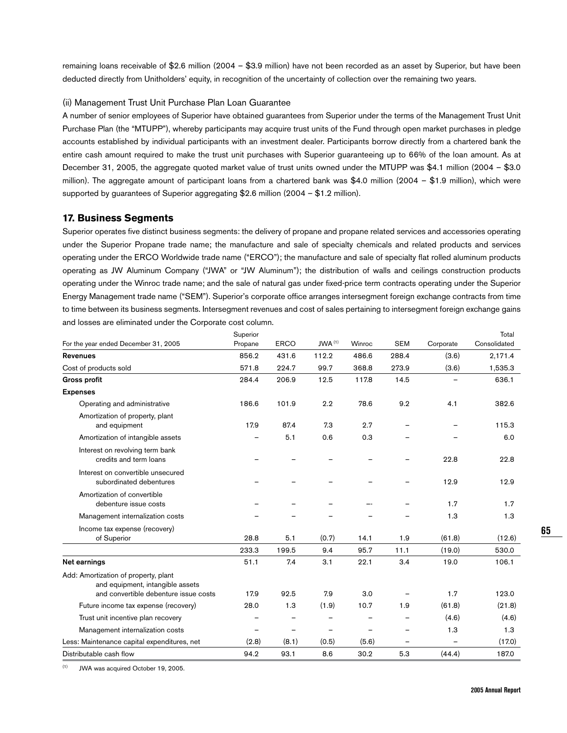remaining loans receivable of \$2.6 million (2004 – \$3.9 million) have not been recorded as an asset by Superior, but have been deducted directly from Unitholders' equity, in recognition of the uncertainty of collection over the remaining two years.

#### (ii) Management Trust Unit Purchase Plan Loan Guarantee

A number of senior employees of Superior have obtained guarantees from Superior under the terms of the Management Trust Unit Purchase Plan (the "MTUPP"), whereby participants may acquire trust units of the Fund through open market purchases in pledge accounts established by individual participants with an investment dealer. Participants borrow directly from a chartered bank the entire cash amount required to make the trust unit purchases with Superior guaranteeing up to 66% of the loan amount. As at December 31, 2005, the aggregate quoted market value of trust units owned under the MTUPP was \$4.1 million (2004 – \$3.0 million). The aggregate amount of participant loans from a chartered bank was \$4.0 million (2004 – \$1.9 million), which were supported by guarantees of Superior aggregating \$2.6 million (2004 – \$1.2 million).

### **17. Business Segments**

Superior operates five distinct business segments: the delivery of propane and propane related services and accessories operating under the Superior Propane trade name; the manufacture and sale of specialty chemicals and related products and services operating under the ERCO Worldwide trade name ("ERCO"); the manufacture and sale of specialty flat rolled aluminum products operating as JW Aluminum Company ("JWA" or "JW Aluminum"); the distribution of walls and ceilings construction products operating under the Winroc trade name; and the sale of natural gas under fixed-price term contracts operating under the Superior Energy Management trade name ("SEM"). Superior's corporate office arranges intersegment foreign exchange contracts from time to time between its business segments. Intersegment revenues and cost of sales pertaining to intersegment foreign exchange gains and losses are eliminated under the Corporate cost column.

|                                                                                                                   | Superior |             | JWA <sup>(1)</sup> | Winroc |                          |                          | Total        |
|-------------------------------------------------------------------------------------------------------------------|----------|-------------|--------------------|--------|--------------------------|--------------------------|--------------|
| For the year ended December 31, 2005                                                                              | Propane  | <b>ERCO</b> |                    |        | <b>SEM</b>               | Corporate                | Consolidated |
| <b>Revenues</b>                                                                                                   | 856.2    | 431.6       | 112.2              | 486.6  | 288.4                    | (3.6)                    | 2,171.4      |
| Cost of products sold                                                                                             | 571.8    | 224.7       | 99.7               | 368.8  | 273.9                    | (3.6)                    | 1,535.3      |
| <b>Gross profit</b>                                                                                               | 284.4    | 206.9       | 12.5               | 117.8  | 14.5                     |                          | 636.1        |
| <b>Expenses</b>                                                                                                   |          |             |                    |        |                          |                          |              |
| Operating and administrative                                                                                      | 186.6    | 101.9       | 2.2                | 78.6   | 9.2                      | 4.1                      | 382.6        |
| Amortization of property, plant<br>and equipment                                                                  | 17.9     | 87.4        | 7.3                | 2.7    |                          |                          | 115.3        |
| Amortization of intangible assets                                                                                 |          | 5.1         | 0.6                | 0.3    |                          |                          | 6.0          |
| Interest on revolving term bank<br>credits and term loans                                                         |          |             |                    |        |                          | 22.8                     | 22.8         |
| Interest on convertible unsecured<br>subordinated debentures                                                      |          |             |                    |        |                          | 12.9                     | 12.9         |
| Amortization of convertible<br>debenture issue costs                                                              |          |             |                    |        |                          | 1.7                      | 1.7          |
| Management internalization costs                                                                                  |          |             |                    |        |                          | 1.3                      | 1.3          |
| Income tax expense (recovery)                                                                                     |          |             |                    |        |                          |                          |              |
| of Superior                                                                                                       | 28.8     | 5.1         | (0.7)              | 14.1   | 1.9                      | (61.8)                   | (12.6)       |
|                                                                                                                   | 233.3    | 199.5       | 9.4                | 95.7   | 11.1                     | (19.0)                   | 530.0        |
| Net earnings                                                                                                      | 51.1     | 7.4         | 3.1                | 22.1   | 3.4                      | 19.0                     | 106.1        |
| Add: Amortization of property, plant<br>and equipment, intangible assets<br>and convertible debenture issue costs | 17.9     | 92.5        | 7.9                | 3.0    |                          | 1.7                      | 123.0        |
| Future income tax expense (recovery)                                                                              | 28.0     | 1.3         | (1.9)              | 10.7   | 1.9                      | (61.8)                   | (21.8)       |
| Trust unit incentive plan recovery                                                                                |          |             |                    |        |                          | (4.6)                    | (4.6)        |
| Management internalization costs                                                                                  |          |             |                    |        |                          | 1.3                      | 1.3          |
| Less: Maintenance capital expenditures, net                                                                       | (2.8)    | (8.1)       | (0.5)              | (5.6)  | $\overline{\phantom{0}}$ | $\overline{\phantom{0}}$ | (17.0)       |
| Distributable cash flow                                                                                           | 94.2     | 93.1        | 8.6                | 30.2   | 5.3                      | (44.4)                   | 187.0        |

(1) JWA was acquired October 19, 2005.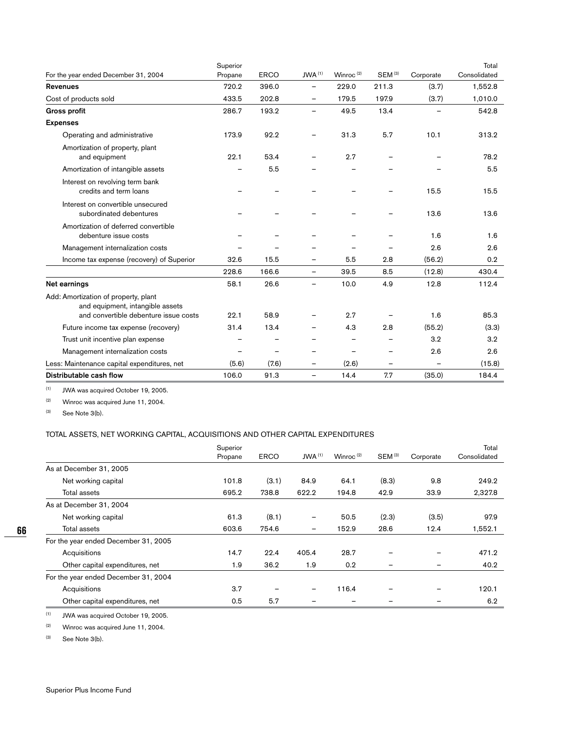|                                                                          | Superior |             |                                   |                       |                    |           | Total        |
|--------------------------------------------------------------------------|----------|-------------|-----------------------------------|-----------------------|--------------------|-----------|--------------|
| For the year ended December 31, 2004                                     | Propane  | <b>ERCO</b> | $JWA$ <sup><math>(1)</math></sup> | Winroc <sup>(2)</sup> | SEM <sup>(3)</sup> | Corporate | Consolidated |
| <b>Revenues</b>                                                          | 720.2    | 396.0       | $\overline{\phantom{0}}$          | 229.0                 | 211.3              | (3.7)     | 1,552.8      |
| Cost of products sold                                                    | 433.5    | 202.8       | $\overline{\phantom{0}}$          | 179.5                 | 197.9              | (3.7)     | 1,010.0      |
| <b>Gross profit</b>                                                      | 286.7    | 193.2       | $\overline{\phantom{0}}$          | 49.5                  | 13.4               |           | 542.8        |
| <b>Expenses</b>                                                          |          |             |                                   |                       |                    |           |              |
| Operating and administrative                                             | 173.9    | 92.2        |                                   | 31.3                  | 5.7                | 10.1      | 313.2        |
| Amortization of property, plant<br>and equipment                         | 22.1     | 53.4        |                                   | 2.7                   |                    |           | 78.2         |
| Amortization of intangible assets                                        |          | 5.5         |                                   |                       |                    |           | 5.5          |
| Interest on revolving term bank<br>credits and term loans                |          |             |                                   |                       |                    | 15.5      | 15.5         |
| Interest on convertible unsecured<br>subordinated debentures             |          |             |                                   |                       |                    | 13.6      | 13.6         |
| Amortization of deferred convertible<br>debenture issue costs            |          |             |                                   |                       |                    | 1.6       | 1.6          |
| Management internalization costs                                         |          |             |                                   |                       |                    | 2.6       | 2.6          |
| Income tax expense (recovery) of Superior                                | 32.6     | 15.5        |                                   | 5.5                   | 2.8                | (56.2)    | 0.2          |
|                                                                          | 228.6    | 166.6       | $\qquad \qquad -$                 | 39.5                  | 8.5                | (12.8)    | 430.4        |
| Net earnings                                                             | 58.1     | 26.6        |                                   | 10.0                  | 4.9                | 12.8      | 112.4        |
| Add: Amortization of property, plant<br>and equipment, intangible assets |          |             |                                   |                       |                    |           |              |
| and convertible debenture issue costs                                    | 22.1     | 58.9        |                                   | 2.7                   |                    | 1.6       | 85.3         |
| Future income tax expense (recovery)                                     | 31.4     | 13.4        |                                   | 4.3                   | 2.8                | (55.2)    | (3.3)        |
| Trust unit incentive plan expense                                        |          |             |                                   |                       |                    | 3.2       | 3.2          |
| Management internalization costs                                         |          |             |                                   |                       |                    | 2.6       | 2.6          |
| Less: Maintenance capital expenditures, net                              | (5.6)    | (7.6)       | $\overline{\phantom{0}}$          | (2.6)                 | $\qquad \qquad -$  | -         | (15.8)       |
| Distributable cash flow                                                  | 106.0    | 91.3        | $\overline{\phantom{0}}$          | 14.4                  | 7.7                | (35.0)    | 184.4        |

 $(1)$  JWA was acquired October 19, 2005.

 $(2)$  Winroc was acquired June 11, 2004.

 $(3)$  See Note 3(b).

## TOTAL ASSETS, NET WORKING CAPITAL, ACQUISITIONS AND OTHER CAPITAL EXPENDITURES

|                                      | Superior |             |                    |              |             |           | Total        |
|--------------------------------------|----------|-------------|--------------------|--------------|-------------|-----------|--------------|
|                                      | Propane  | <b>ERCO</b> | JWA <sup>(1)</sup> | Winroc $(2)$ | $SEM^{(3)}$ | Corporate | Consolidated |
| As at December 31, 2005              |          |             |                    |              |             |           |              |
| Net working capital                  | 101.8    | (3.1)       | 84.9               | 64.1         | (8.3)       | 9.8       | 249.2        |
| Total assets                         | 695.2    | 738.8       | 622.2              | 194.8        | 42.9        | 33.9      | 2,327.8      |
| As at December 31, 2004              |          |             |                    |              |             |           |              |
| Net working capital                  | 61.3     | (8.1)       | -                  | 50.5         | (2.3)       | (3.5)     | 97.9         |
| Total assets                         | 603.6    | 754.6       | -                  | 152.9        | 28.6        | 12.4      | 1,552.1      |
| For the year ended December 31, 2005 |          |             |                    |              |             |           |              |
| Acquisitions                         | 14.7     | 22.4        | 405.4              | 28.7         |             |           | 471.2        |
| Other capital expenditures, net      | 1.9      | 36.2        | 1.9                | 0.2          | -           |           | 40.2         |
| For the year ended December 31, 2004 |          |             |                    |              |             |           |              |
| Acquisitions                         | 3.7      |             | -                  | 116.4        |             |           | 120.1        |
| Other capital expenditures, net      | 0.5      | 5.7         |                    | -            |             |           | 6.2          |

 $(1)$  JWA was acquired October 19, 2005.

 $(2)$  Winroc was acquired June 11, 2004.

(3) See Note 3(b).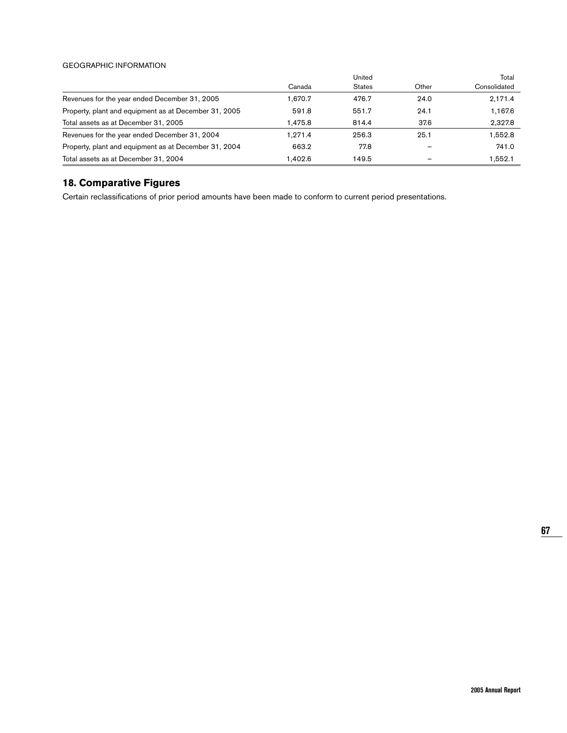#### GEOGRAPHIC INFORMATION

|                                                       |         | United        |       | Total        |
|-------------------------------------------------------|---------|---------------|-------|--------------|
|                                                       | Canada  | <b>States</b> | Other | Consolidated |
| Revenues for the year ended December 31, 2005         | 1.670.7 | 476.7         | 24.0  | 2,171.4      |
| Property, plant and equipment as at December 31, 2005 | 591.8   | 551.7         | 24.1  | 1,167.6      |
| Total assets as at December 31, 2005                  | 1.475.8 | 814.4         | 37.6  | 2,327.8      |
| Revenues for the year ended December 31, 2004         | 1.271.4 | 256.3         | 25.1  | 1.552.8      |
| Property, plant and equipment as at December 31, 2004 | 663.2   | 77.8          |       | 741.0        |
| Total assets as at December 31, 2004                  | 1.402.6 | 149.5         |       | 1.552.1      |

# **18. Comparative Figures**

Certain reclassifications of prior period amounts have been made to conform to current period presentations.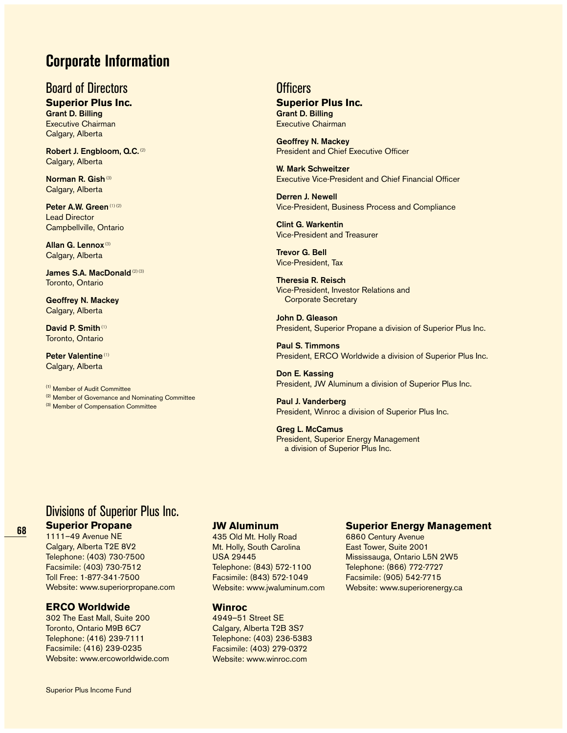# **Corporate Information**

# Board of Directors

**Superior Plus Inc.**

**Grant D. Billing** Executive Chairman Calgary, Alberta

**Robert J. Engbloom, Q.C. (2)** Calgary, Alberta

**Norman R. Gish**(3) Calgary, Alberta

**Peter A.W. Green** (1) (2) Lead Director Campbellville, Ontario

**Allan G. Lennox** (3) Calgary, Alberta

**James S.A. MacDonald**<sup>(2) (3)</sup> Toronto, Ontario

**Geoffrey N. Mackey** Calgary, Alberta

**David P. Smith**(1) Toronto, Ontario

**Peter Valentine** (1) Calgary, Alberta

(1) Member of Audit Committee

<sup>(2)</sup> Member of Governance and Nominating Committee

(3) Member of Compensation Committee

# **Officers**

#### **Superior Plus Inc. Grant D. Billing**

Executive Chairman

**Geoffrey N. Mackey** President and Chief Executive Officer

**W. Mark Schweitzer** Executive Vice-President and Chief Financial Officer

**Derren J. Newell** Vice-President, Business Process and Compliance

**Clint G. Warkentin** Vice-President and Treasurer

**Trevor G. Bell** Vice-President, Tax

**Theresia R. Reisch** Vice-President, Investor Relations and Corporate Secretary

**John D. Gleason** President, Superior Propane a division of Superior Plus Inc.

**Paul S. Timmons** President, ERCO Worldwide a division of Superior Plus Inc.

**Don E. Kassing** President, JW Aluminum a division of Superior Plus Inc.

**Paul J. Vanderberg** President, Winroc a division of Superior Plus Inc.

**Greg L. McCamus** President, Superior Energy Management a division of Superior Plus Inc.

# Divisions of Superior Plus Inc.

## **Superior Propane**

1111–49 Avenue NE Calgary, Alberta T2E 8V2 Telephone: (403) 730-7500 Facsimile: (403) 730-7512 Toll Free: 1-877-341-7500 Website: www.superiorpropane.com

## **ERCO Worldwide**

302 The East Mall, Suite 200 Toronto, Ontario M9B 6C7 Telephone: (416) 239-7111 Facsimile: (416) 239-0235 Website: www.ercoworldwide.com

#### **JW Aluminum**

435 Old Mt. Holly Road Mt. Holly, South Carolina USA 29445 Telephone: (843) 572-1100 Facsimile: (843) 572-1049 Website: www.jwaluminum.com

# **Winroc**

4949–51 Street SE Calgary, Alberta T2B 3S7 Telephone: (403) 236-5383 Facsimile: (403) 279-0372 Website: www.winroc.com

## **Superior Energy Management**

6860 Century Avenue East Tower, Suite 2001 Mississauga, Ontario L5N 2W5 Telephone: (866) 772-7727 Facsimile: (905) 542-7715 Website: www.superiorenergy.ca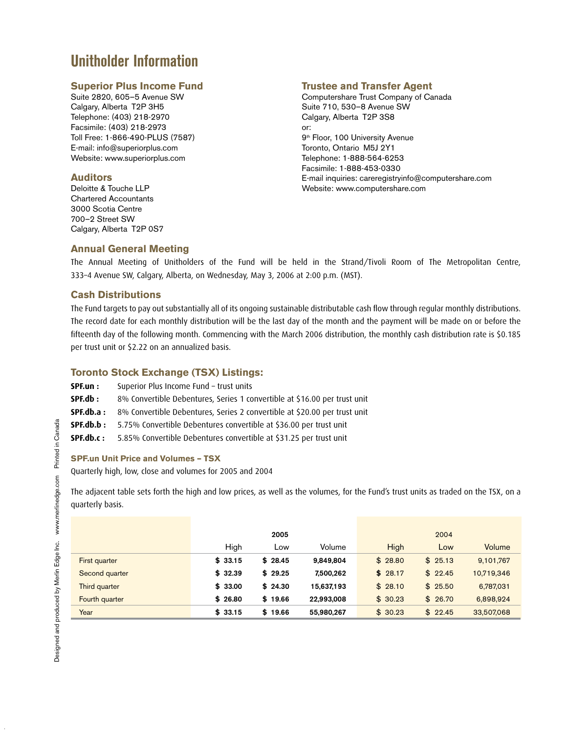# **Unitholder Information**

#### **Superior Plus Income Fund**

Suite 2820, 605–5 Avenue SW Calgary, Alberta T2P 3H5 Telephone: (403) 218-2970 Facsimile: (403) 218-2973 Toll Free: 1-866-490-PLUS (7587) E-mail: info@superiorplus.com Website: www.superiorplus.com

#### **Auditors**

Deloitte & Touche LLP Chartered Accountants 3000 Scotia Centre 700–2 Street SW Calgary, Alberta T2P 0S7

# **Trustee and Transfer Agent**

Computershare Trust Company of Canada Suite 710, 530–8 Avenue SW Calgary, Alberta T2P 3S8 or: 9<sup>th</sup> Floor, 100 University Avenue Toronto, Ontario M5J 2Y1 Telephone: 1-888-564-6253 Facsimile: 1-888-453-0330 E-mail inquiries: careregistryinfo@computershare.com Website: www.computershare.com

# **Annual General Meeting**

The Annual Meeting of Unitholders of the Fund will be held in the Strand/Tivoli Room of The Metropolitan Centre, 333-4 Avenue SW, Calgary, Alberta, on Wednesday, May 3, 2006 at 2:00 p.m. (MST).

#### **Cash Distributions**

The Fund targets to pay out substantially all of its ongoing sustainable distributable cash flow through regular monthly distributions. The record date for each monthly distribution will be the last day of the month and the payment will be made on or before the fifteenth day of the following month. Commencing with the March 2006 distribution, the monthly cash distribution rate is \$0.185 per trust unit or \$2.22 on an annualized basis.

### **Toronto Stock Exchange (TSX) Listings:**

- **SPF.un**: Superior Plus Income Fund trust units
- **SPF.db**: 8% Convertible Debentures, Series 1 convertible at \$16.00 per trust unit
- **SPF.db.a :** 8% Convertible Debentures, Series 2 convertible at \$20.00 per trust unit
- **SPF.db.b** : 5.75% Convertible Debentures convertible at \$36.00 per trust unit
- **SPF.db.c:** 5.85% Convertible Debentures convertible at \$31.25 per trust unit

#### **SPF.un Unit Price and Volumes – TSX**

Quarterly high, low, close and volumes for 2005 and 2004

The adjacent table sets forth the high and low prices, as well as the volumes, for the Fund's trust units as traded on the TSX, on a quarterly basis.

|                      |         | 2005    |            |         | 2004    |            |
|----------------------|---------|---------|------------|---------|---------|------------|
|                      | High    | Low     | Volume     | High    | Low     | Volume     |
| <b>First quarter</b> | \$33.15 | \$28.45 | 9.849.804  | \$28.80 | \$25.13 | 9,101,767  |
| Second quarter       | \$32.39 | \$29.25 | 7,500,262  | \$28.17 | \$22.45 | 10,719,346 |
| <b>Third quarter</b> | \$33.00 | \$24.30 | 15,637,193 | \$28.10 | \$25.50 | 6,787,031  |
| Fourth quarter       | \$26.80 | \$19.66 | 22,993,008 | \$30.23 | \$26.70 | 6,898,924  |
| Year                 | \$33.15 | \$19.66 | 55,980,267 | \$30.23 | \$22.45 | 33,507,068 |